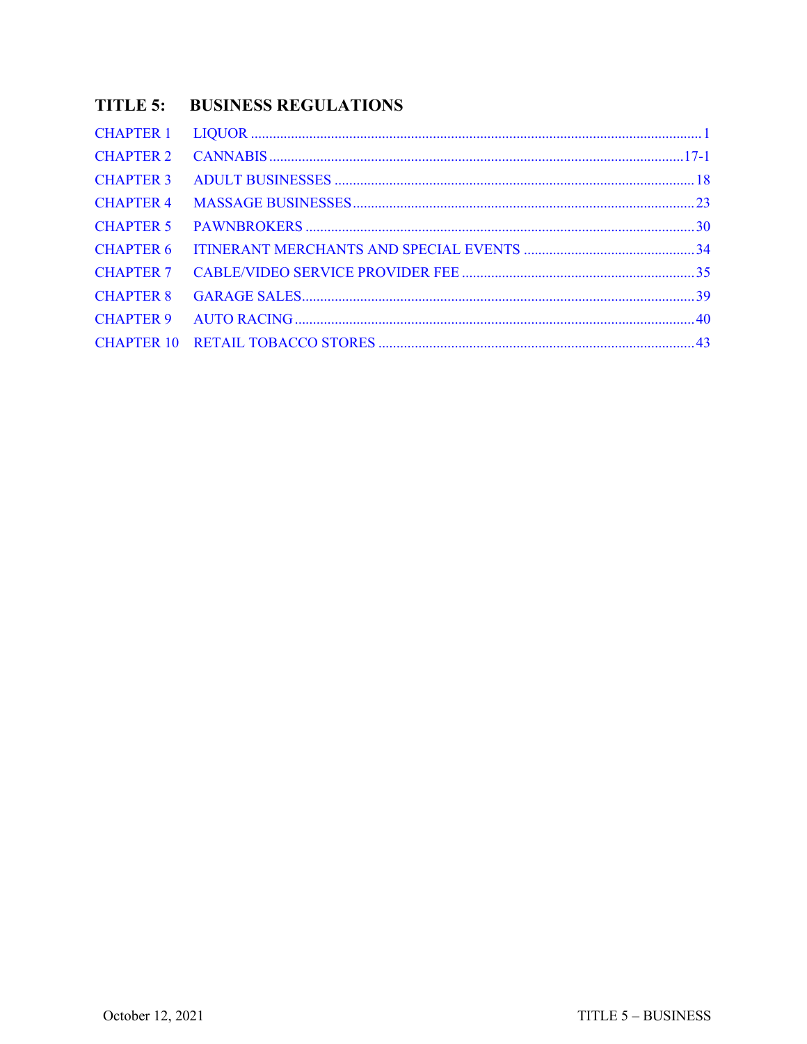# **TITLE 5: BUSINESS REGULATIONS**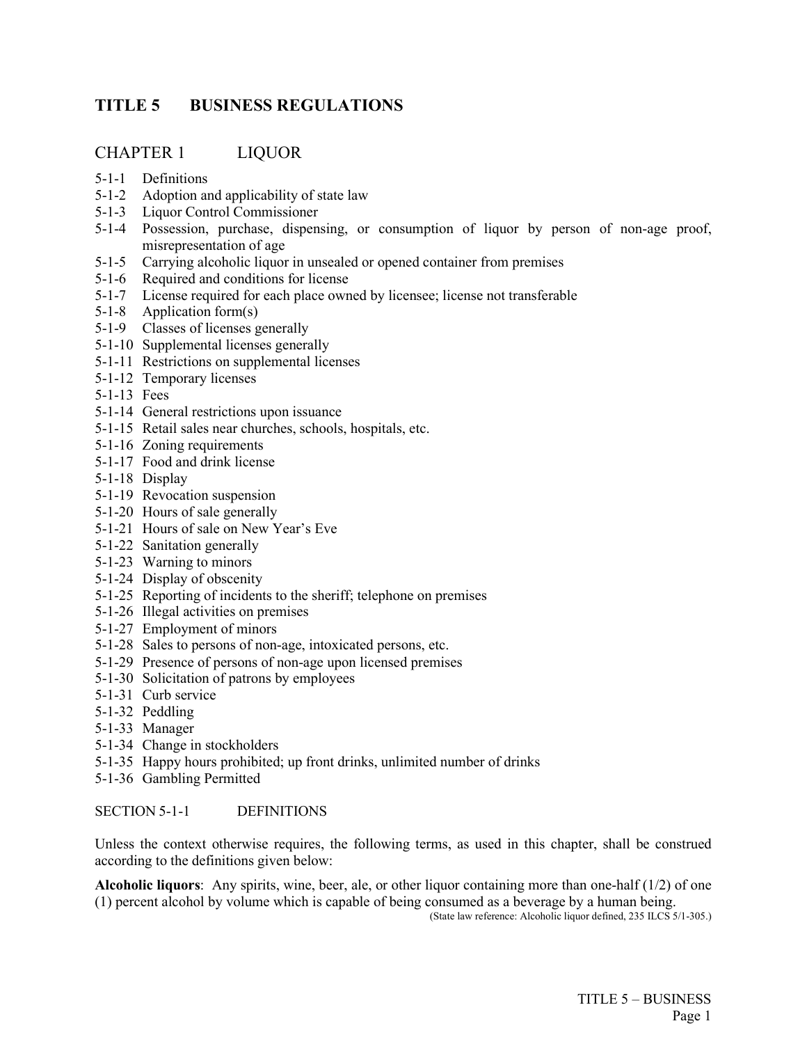# <span id="page-1-0"></span>**TITLE 5 BUSINESS REGULATIONS**

## CHAPTER 1 LIQUOR

- 5-1-1 Definitions
- 5-1-2 Adoption and applicability of state law
- 5-1-3 Liquor Control Commissioner
- 5-1-4 Possession, purchase, dispensing, or consumption of liquor by person of non-age proof, misrepresentation of age
- 5-1-5 Carrying alcoholic liquor in unsealed or opened container from premises
- 5-1-6 Required and conditions for license
- 5-1-7 License required for each place owned by licensee; license not transferable
- 5-1-8 Application form(s)
- 5-1-9 Classes of licenses generally
- 5-1-10 Supplemental licenses generally
- 5-1-11 Restrictions on supplemental licenses
- 5-1-12 Temporary licenses
- 5-1-13 Fees
- 5-1-14 General restrictions upon issuance
- 5-1-15 Retail sales near churches, schools, hospitals, etc.
- 5-1-16 Zoning requirements
- 5-1-17 Food and drink license
- 5-1-18 Display
- 5-1-19 Revocation suspension
- 5-1-20 Hours of sale generally
- 5-1-21 Hours of sale on New Year's Eve
- 5-1-22 Sanitation generally
- 5-1-23 Warning to minors
- 5-1-24 Display of obscenity
- 5-1-25 Reporting of incidents to the sheriff; telephone on premises
- 5-1-26 Illegal activities on premises
- 5-1-27 Employment of minors
- 5-1-28 Sales to persons of non-age, intoxicated persons, etc.
- 5-1-29 Presence of persons of non-age upon licensed premises
- 5-1-30 Solicitation of patrons by employees
- 5-1-31 Curb service
- 5-1-32 Peddling
- 5-1-33 Manager
- 5-1-34 Change in stockholders
- 5-1-35 Happy hours prohibited; up front drinks, unlimited number of drinks
- 5-1-36 Gambling Permitted

## SECTION 5-1-1 DEFINITIONS

Unless the context otherwise requires, the following terms, as used in this chapter, shall be construed according to the definitions given below:

**Alcoholic liquors**: Any spirits, wine, beer, ale, or other liquor containing more than one-half (1/2) of one (1) percent alcohol by volume which is capable of being consumed as a beverage by a human being.

(State law reference: Alcoholic liquor defined, 235 ILCS 5/1-305.)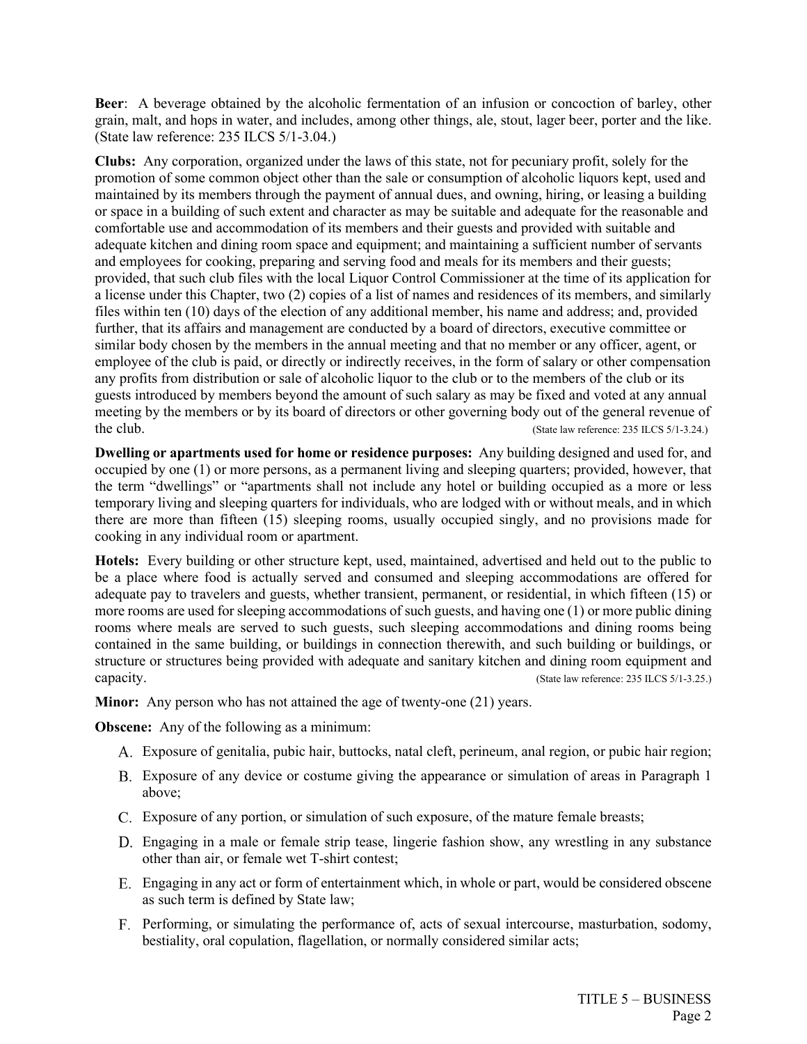**Beer**: A beverage obtained by the alcoholic fermentation of an infusion or concoction of barley, other grain, malt, and hops in water, and includes, among other things, ale, stout, lager beer, porter and the like. (State law reference: 235 ILCS 5/1-3.04.)

**Clubs:** Any corporation, organized under the laws of this state, not for pecuniary profit, solely for the promotion of some common object other than the sale or consumption of alcoholic liquors kept, used and maintained by its members through the payment of annual dues, and owning, hiring, or leasing a building or space in a building of such extent and character as may be suitable and adequate for the reasonable and comfortable use and accommodation of its members and their guests and provided with suitable and adequate kitchen and dining room space and equipment; and maintaining a sufficient number of servants and employees for cooking, preparing and serving food and meals for its members and their guests; provided, that such club files with the local Liquor Control Commissioner at the time of its application for a license under this Chapter, two (2) copies of a list of names and residences of its members, and similarly files within ten (10) days of the election of any additional member, his name and address; and, provided further, that its affairs and management are conducted by a board of directors, executive committee or similar body chosen by the members in the annual meeting and that no member or any officer, agent, or employee of the club is paid, or directly or indirectly receives, in the form of salary or other compensation any profits from distribution or sale of alcoholic liquor to the club or to the members of the club or its guests introduced by members beyond the amount of such salary as may be fixed and voted at any annual meeting by the members or by its board of directors or other governing body out of the general revenue of the club. (State law reference: 235 ILCS 5/1-3.24.)

**Dwelling or apartments used for home or residence purposes:** Any building designed and used for, and occupied by one (1) or more persons, as a permanent living and sleeping quarters; provided, however, that the term "dwellings" or "apartments shall not include any hotel or building occupied as a more or less temporary living and sleeping quarters for individuals, who are lodged with or without meals, and in which there are more than fifteen (15) sleeping rooms, usually occupied singly, and no provisions made for cooking in any individual room or apartment.

**Hotels:** Every building or other structure kept, used, maintained, advertised and held out to the public to be a place where food is actually served and consumed and sleeping accommodations are offered for adequate pay to travelers and guests, whether transient, permanent, or residential, in which fifteen (15) or more rooms are used for sleeping accommodations of such guests, and having one (1) or more public dining rooms where meals are served to such guests, such sleeping accommodations and dining rooms being contained in the same building, or buildings in connection therewith, and such building or buildings, or structure or structures being provided with adequate and sanitary kitchen and dining room equipment and capacity. (State law reference: 235 ILCS 5/1-3.25.)

**Minor:** Any person who has not attained the age of twenty-one (21) years.

**Obscene:** Any of the following as a minimum:

- Exposure of genitalia, pubic hair, buttocks, natal cleft, perineum, anal region, or pubic hair region;
- Exposure of any device or costume giving the appearance or simulation of areas in Paragraph 1 above;
- Exposure of any portion, or simulation of such exposure, of the mature female breasts;
- Engaging in a male or female strip tease, lingerie fashion show, any wrestling in any substance other than air, or female wet T-shirt contest;
- Engaging in any act or form of entertainment which, in whole or part, would be considered obscene as such term is defined by State law;
- Performing, or simulating the performance of, acts of sexual intercourse, masturbation, sodomy, bestiality, oral copulation, flagellation, or normally considered similar acts;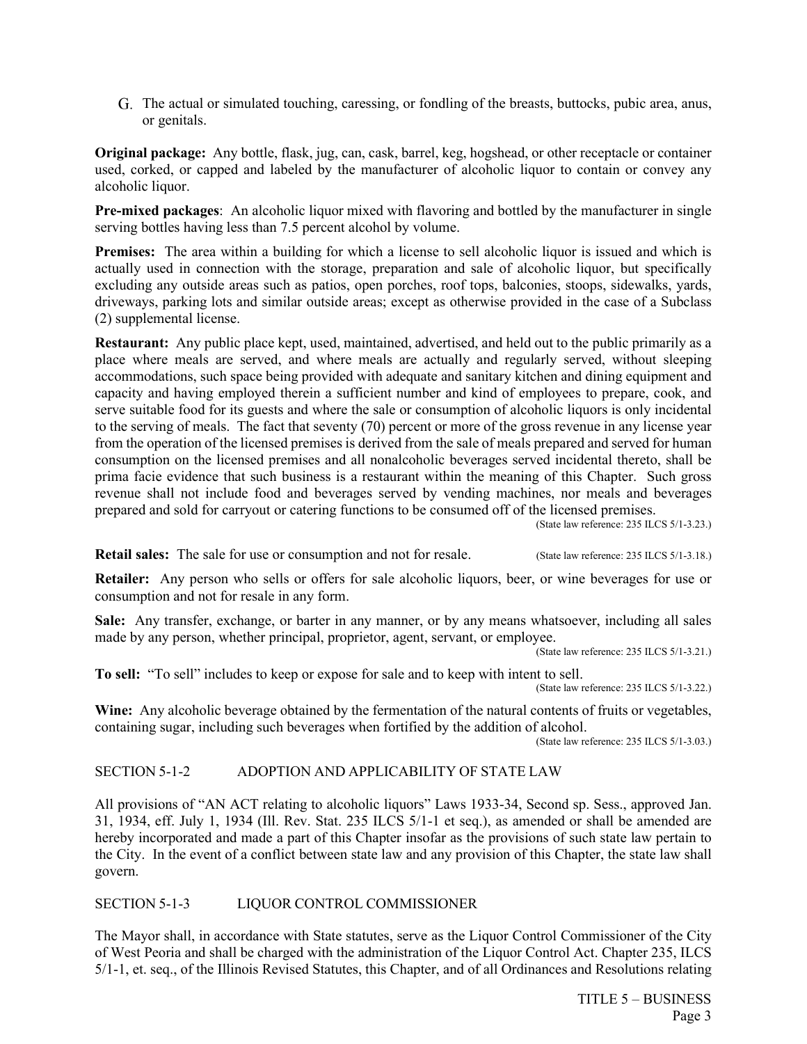The actual or simulated touching, caressing, or fondling of the breasts, buttocks, pubic area, anus, or genitals.

**Original package:** Any bottle, flask, jug, can, cask, barrel, keg, hogshead, or other receptacle or container used, corked, or capped and labeled by the manufacturer of alcoholic liquor to contain or convey any alcoholic liquor.

**Pre-mixed packages**: An alcoholic liquor mixed with flavoring and bottled by the manufacturer in single serving bottles having less than 7.5 percent alcohol by volume.

**Premises:** The area within a building for which a license to sell alcoholic liquor is issued and which is actually used in connection with the storage, preparation and sale of alcoholic liquor, but specifically excluding any outside areas such as patios, open porches, roof tops, balconies, stoops, sidewalks, yards, driveways, parking lots and similar outside areas; except as otherwise provided in the case of a Subclass (2) supplemental license.

**Restaurant:** Any public place kept, used, maintained, advertised, and held out to the public primarily as a place where meals are served, and where meals are actually and regularly served, without sleeping accommodations, such space being provided with adequate and sanitary kitchen and dining equipment and capacity and having employed therein a sufficient number and kind of employees to prepare, cook, and serve suitable food for its guests and where the sale or consumption of alcoholic liquors is only incidental to the serving of meals. The fact that seventy (70) percent or more of the gross revenue in any license year from the operation of the licensed premises is derived from the sale of meals prepared and served for human consumption on the licensed premises and all nonalcoholic beverages served incidental thereto, shall be prima facie evidence that such business is a restaurant within the meaning of this Chapter. Such gross revenue shall not include food and beverages served by vending machines, nor meals and beverages prepared and sold for carryout or catering functions to be consumed off of the licensed premises.

(State law reference: 235 ILCS 5/1-3.23.)

**Retail sales:** The sale for use or consumption and not for resale. (State law reference: 235 ILCS 5/1-3.18.)

**Retailer:** Any person who sells or offers for sale alcoholic liquors, beer, or wine beverages for use or consumption and not for resale in any form.

**Sale:** Any transfer, exchange, or barter in any manner, or by any means whatsoever, including all sales made by any person, whether principal, proprietor, agent, servant, or employee.

(State law reference: 235 ILCS 5/1-3.21.)

**To sell:** "To sell" includes to keep or expose for sale and to keep with intent to sell.

(State law reference: 235 ILCS 5/1-3.22.)

**Wine:** Any alcoholic beverage obtained by the fermentation of the natural contents of fruits or vegetables, containing sugar, including such beverages when fortified by the addition of alcohol.

(State law reference: 235 ILCS 5/1-3.03.)

## SECTION 5-1-2 ADOPTION AND APPLICABILITY OF STATE LAW

All provisions of "AN ACT relating to alcoholic liquors" Laws 1933-34, Second sp. Sess., approved Jan. 31, 1934, eff. July 1, 1934 (Ill. Rev. Stat. 235 ILCS 5/1-1 et seq.), as amended or shall be amended are hereby incorporated and made a part of this Chapter insofar as the provisions of such state law pertain to the City. In the event of a conflict between state law and any provision of this Chapter, the state law shall govern.

SECTION 5-1-3 LIQUOR CONTROL COMMISSIONER

The Mayor shall, in accordance with State statutes, serve as the Liquor Control Commissioner of the City of West Peoria and shall be charged with the administration of the Liquor Control Act. Chapter 235, ILCS 5/1-1, et. seq., of the Illinois Revised Statutes, this Chapter, and of all Ordinances and Resolutions relating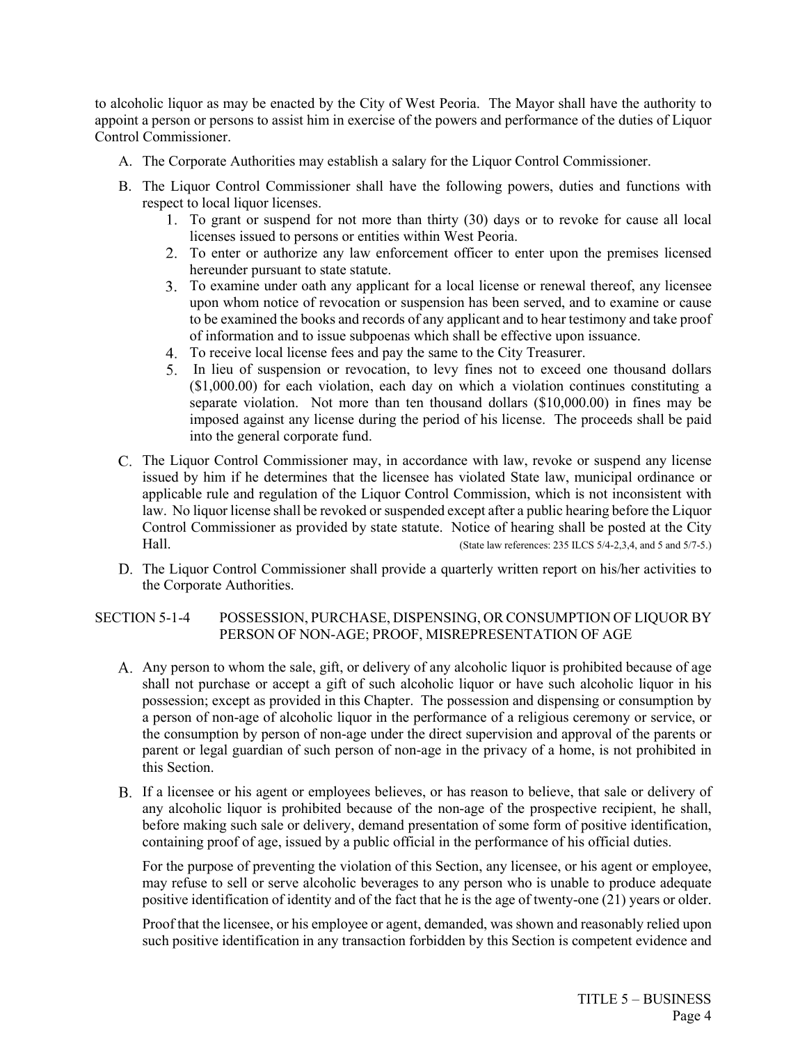to alcoholic liquor as may be enacted by the City of West Peoria. The Mayor shall have the authority to appoint a person or persons to assist him in exercise of the powers and performance of the duties of Liquor Control Commissioner.

- A. The Corporate Authorities may establish a salary for the Liquor Control Commissioner.
- B. The Liquor Control Commissioner shall have the following powers, duties and functions with respect to local liquor licenses.
	- To grant or suspend for not more than thirty (30) days or to revoke for cause all local licenses issued to persons or entities within West Peoria.
	- To enter or authorize any law enforcement officer to enter upon the premises licensed hereunder pursuant to state statute.
	- To examine under oath any applicant for a local license or renewal thereof, any licensee upon whom notice of revocation or suspension has been served, and to examine or cause to be examined the books and records of any applicant and to hear testimony and take proof of information and to issue subpoenas which shall be effective upon issuance.
	- To receive local license fees and pay the same to the City Treasurer.
	- In lieu of suspension or revocation, to levy fines not to exceed one thousand dollars (\$1,000.00) for each violation, each day on which a violation continues constituting a separate violation. Not more than ten thousand dollars (\$10,000.00) in fines may be imposed against any license during the period of his license. The proceeds shall be paid into the general corporate fund.
- The Liquor Control Commissioner may, in accordance with law, revoke or suspend any license issued by him if he determines that the licensee has violated State law, municipal ordinance or applicable rule and regulation of the Liquor Control Commission, which is not inconsistent with law. No liquor license shall be revoked or suspended except after a public hearing before the Liquor Control Commissioner as provided by state statute. Notice of hearing shall be posted at the City Hall. (State law references: 235 ILCS 5/4-2,3,4, and 5 and 5/7-5.)
- D. The Liquor Control Commissioner shall provide a quarterly written report on his/her activities to the Corporate Authorities.

## SECTION 5-1-4 POSSESSION, PURCHASE, DISPENSING, OR CONSUMPTION OF LIQUOR BY PERSON OF NON-AGE; PROOF, MISREPRESENTATION OF AGE

- A. Any person to whom the sale, gift, or delivery of any alcoholic liquor is prohibited because of age shall not purchase or accept a gift of such alcoholic liquor or have such alcoholic liquor in his possession; except as provided in this Chapter. The possession and dispensing or consumption by a person of non-age of alcoholic liquor in the performance of a religious ceremony or service, or the consumption by person of non-age under the direct supervision and approval of the parents or parent or legal guardian of such person of non-age in the privacy of a home, is not prohibited in this Section.
- If a licensee or his agent or employees believes, or has reason to believe, that sale or delivery of any alcoholic liquor is prohibited because of the non-age of the prospective recipient, he shall, before making such sale or delivery, demand presentation of some form of positive identification, containing proof of age, issued by a public official in the performance of his official duties.

For the purpose of preventing the violation of this Section, any licensee, or his agent or employee, may refuse to sell or serve alcoholic beverages to any person who is unable to produce adequate positive identification of identity and of the fact that he is the age of twenty-one (21) years or older.

Proof that the licensee, or his employee or agent, demanded, was shown and reasonably relied upon such positive identification in any transaction forbidden by this Section is competent evidence and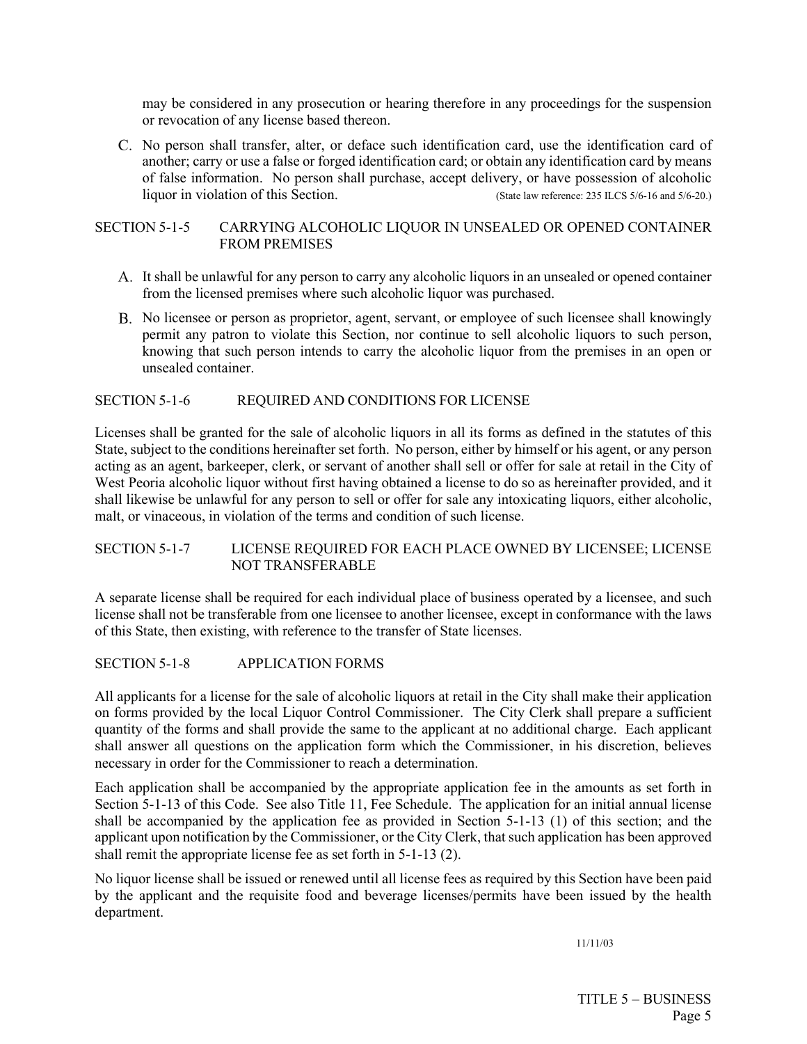may be considered in any prosecution or hearing therefore in any proceedings for the suspension or revocation of any license based thereon.

C. No person shall transfer, alter, or deface such identification card, use the identification card of another; carry or use a false or forged identification card; or obtain any identification card by means of false information. No person shall purchase, accept delivery, or have possession of alcoholic liquor in violation of this Section. (State law reference: 235 ILCS 5/6-16 and 5/6-20.)

### SECTION 5-1-5 CARRYING ALCOHOLIC LIQUOR IN UNSEALED OR OPENED CONTAINER FROM PREMISES

- It shall be unlawful for any person to carry any alcoholic liquors in an unsealed or opened container from the licensed premises where such alcoholic liquor was purchased.
- No licensee or person as proprietor, agent, servant, or employee of such licensee shall knowingly permit any patron to violate this Section, nor continue to sell alcoholic liquors to such person, knowing that such person intends to carry the alcoholic liquor from the premises in an open or unsealed container.

## SECTION 5-1-6 REQUIRED AND CONDITIONS FOR LICENSE

Licenses shall be granted for the sale of alcoholic liquors in all its forms as defined in the statutes of this State, subject to the conditions hereinafter set forth. No person, either by himself or his agent, or any person acting as an agent, barkeeper, clerk, or servant of another shall sell or offer for sale at retail in the City of West Peoria alcoholic liquor without first having obtained a license to do so as hereinafter provided, and it shall likewise be unlawful for any person to sell or offer for sale any intoxicating liquors, either alcoholic, malt, or vinaceous, in violation of the terms and condition of such license.

## SECTION 5-1-7 LICENSE REQUIRED FOR EACH PLACE OWNED BY LICENSEE; LICENSE NOT TRANSFERABLE

A separate license shall be required for each individual place of business operated by a licensee, and such license shall not be transferable from one licensee to another licensee, except in conformance with the laws of this State, then existing, with reference to the transfer of State licenses.

#### SECTION 5-1-8 APPLICATION FORMS

All applicants for a license for the sale of alcoholic liquors at retail in the City shall make their application on forms provided by the local Liquor Control Commissioner. The City Clerk shall prepare a sufficient quantity of the forms and shall provide the same to the applicant at no additional charge. Each applicant shall answer all questions on the application form which the Commissioner, in his discretion, believes necessary in order for the Commissioner to reach a determination.

Each application shall be accompanied by the appropriate application fee in the amounts as set forth in Section 5-1-13 of this Code. See also Title 11, Fee Schedule. The application for an initial annual license shall be accompanied by the application fee as provided in Section 5-1-13 (1) of this section; and the applicant upon notification by the Commissioner, or the City Clerk, that such application has been approved shall remit the appropriate license fee as set forth in 5-1-13 (2).

No liquor license shall be issued or renewed until all license fees as required by this Section have been paid by the applicant and the requisite food and beverage licenses/permits have been issued by the health department.

11/11/03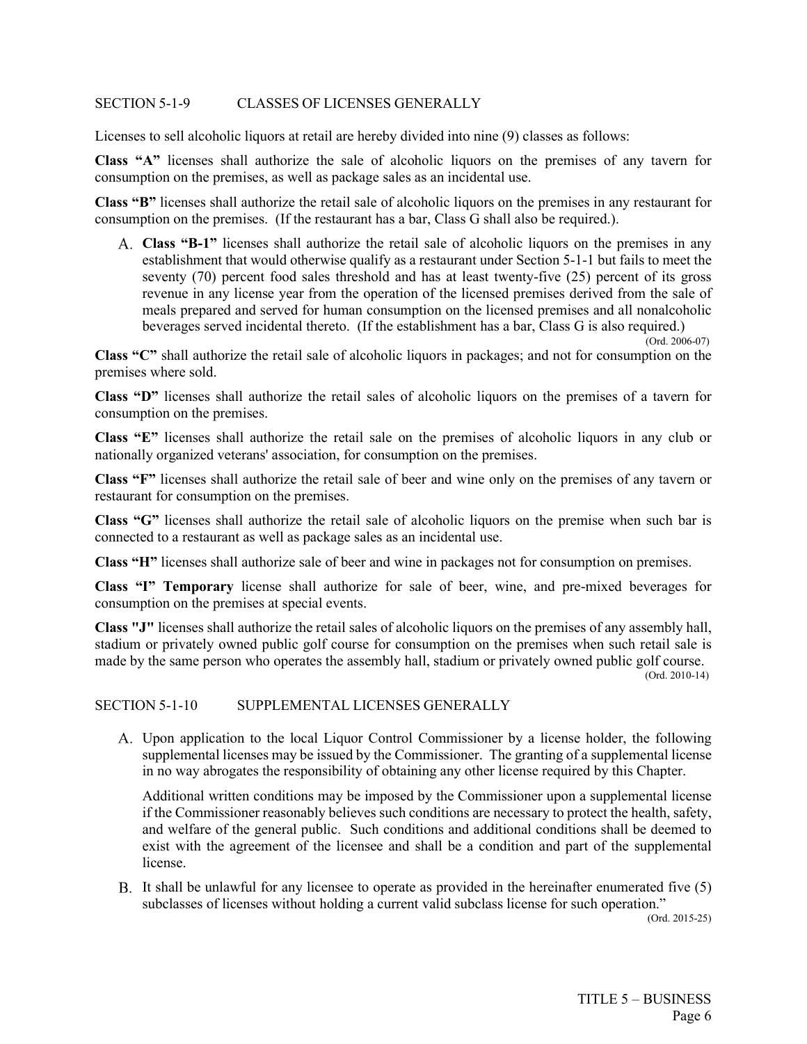#### SECTION 5-1-9 CLASSES OF LICENSES GENERALLY

Licenses to sell alcoholic liquors at retail are hereby divided into nine (9) classes as follows:

**Class "A"** licenses shall authorize the sale of alcoholic liquors on the premises of any tavern for consumption on the premises, as well as package sales as an incidental use.

**Class "B"** licenses shall authorize the retail sale of alcoholic liquors on the premises in any restaurant for consumption on the premises. (If the restaurant has a bar, Class G shall also be required.).

**Class "B-1"** licenses shall authorize the retail sale of alcoholic liquors on the premises in any establishment that would otherwise qualify as a restaurant under Section 5-1-1 but fails to meet the seventy (70) percent food sales threshold and has at least twenty-five (25) percent of its gross revenue in any license year from the operation of the licensed premises derived from the sale of meals prepared and served for human consumption on the licensed premises and all nonalcoholic beverages served incidental thereto. (If the establishment has a bar, Class G is also required.) (Ord. 2006-07)

**Class "C"** shall authorize the retail sale of alcoholic liquors in packages; and not for consumption on the premises where sold.

**Class "D"** licenses shall authorize the retail sales of alcoholic liquors on the premises of a tavern for consumption on the premises.

**Class "E"** licenses shall authorize the retail sale on the premises of alcoholic liquors in any club or nationally organized veterans' association, for consumption on the premises.

**Class "F"** licenses shall authorize the retail sale of beer and wine only on the premises of any tavern or restaurant for consumption on the premises.

**Class "G"** licenses shall authorize the retail sale of alcoholic liquors on the premise when such bar is connected to a restaurant as well as package sales as an incidental use.

**Class "H"** licenses shall authorize sale of beer and wine in packages not for consumption on premises.

**Class "I" Temporary** license shall authorize for sale of beer, wine, and pre-mixed beverages for consumption on the premises at special events.

**Class "J"** licenses shall authorize the retail sales of alcoholic liquors on the premises of any assembly hall, stadium or privately owned public golf course for consumption on the premises when such retail sale is made by the same person who operates the assembly hall, stadium or privately owned public golf course.<br>(Ord. 2010-14)

#### SECTION 5-1-10 SUPPLEMENTAL LICENSES GENERALLY

Upon application to the local Liquor Control Commissioner by a license holder, the following supplemental licenses may be issued by the Commissioner. The granting of a supplemental license in no way abrogates the responsibility of obtaining any other license required by this Chapter.

Additional written conditions may be imposed by the Commissioner upon a supplemental license if the Commissioner reasonably believes such conditions are necessary to protect the health, safety, and welfare of the general public. Such conditions and additional conditions shall be deemed to exist with the agreement of the licensee and shall be a condition and part of the supplemental license.

It shall be unlawful for any licensee to operate as provided in the hereinafter enumerated five (5) subclasses of licenses without holding a current valid subclass license for such operation."

(Ord. 2015-25)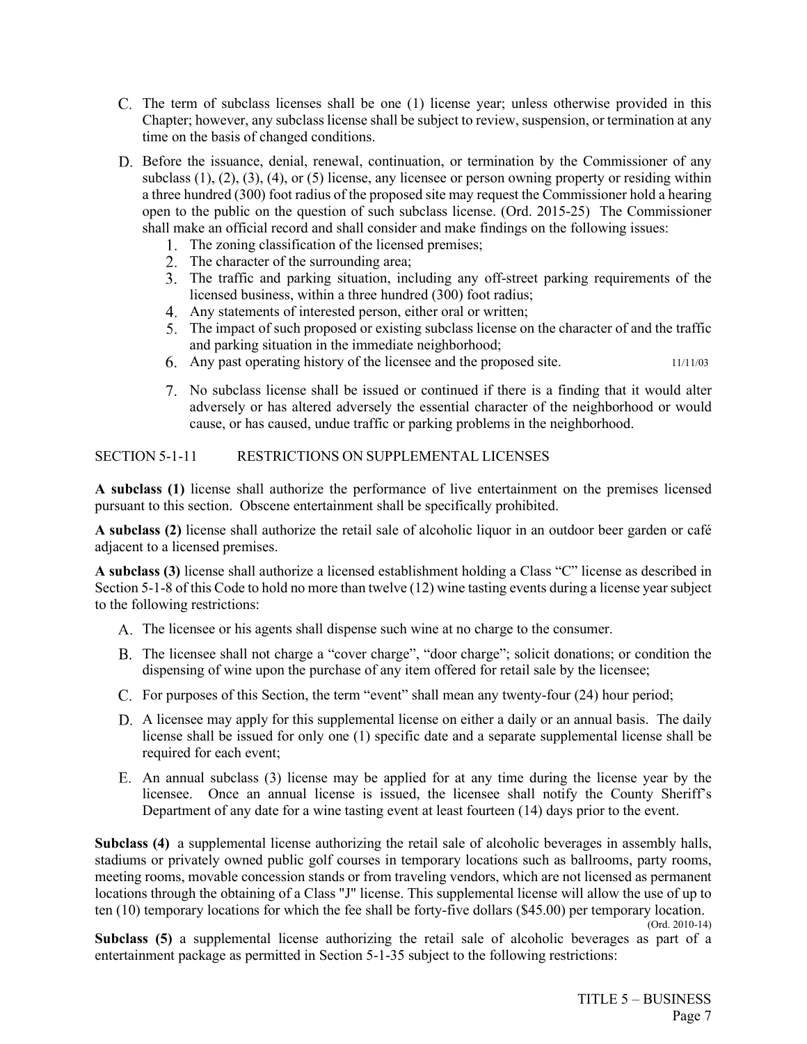- The term of subclass licenses shall be one (1) license year; unless otherwise provided in this Chapter; however, any subclass license shall be subject to review, suspension, or termination at any time on the basis of changed conditions.
- Before the issuance, denial, renewal, continuation, or termination by the Commissioner of any subclass (1), (2), (3), (4), or (5) license, any licensee or person owning property or residing within a three hundred (300) foot radius of the proposed site may request the Commissioner hold a hearing open to the public on the question of such subclass license. (Ord. 2015-25) The Commissioner shall make an official record and shall consider and make findings on the following issues:
	- 1. The zoning classification of the licensed premises;
	- 2. The character of the surrounding area;
	- The traffic and parking situation, including any off-street parking requirements of the licensed business, within a three hundred (300) foot radius;
	- Any statements of interested person, either oral or written;
	- The impact of such proposed or existing subclass license on the character of and the traffic and parking situation in the immediate neighborhood;
	- Any past operating history of the licensee and the proposed site. 11/11/03
	- No subclass license shall be issued or continued if there is a finding that it would alter adversely or has altered adversely the essential character of the neighborhood or would cause, or has caused, undue traffic or parking problems in the neighborhood.

## SECTION 5-1-11 RESTRICTIONS ON SUPPLEMENTAL LICENSES

**A subclass (1)** license shall authorize the performance of live entertainment on the premises licensed pursuant to this section. Obscene entertainment shall be specifically prohibited.

**A subclass (2)** license shall authorize the retail sale of alcoholic liquor in an outdoor beer garden or café adjacent to a licensed premises.

**A subclass (3)** license shall authorize a licensed establishment holding a Class "C" license as described in Section 5-1-8 of this Code to hold no more than twelve (12) wine tasting events during a license year subject to the following restrictions:

- The licensee or his agents shall dispense such wine at no charge to the consumer.
- The licensee shall not charge a "cover charge", "door charge"; solicit donations; or condition the dispensing of wine upon the purchase of any item offered for retail sale by the licensee;
- For purposes of this Section, the term "event" shall mean any twenty-four (24) hour period;
- A licensee may apply for this supplemental license on either a daily or an annual basis. The daily license shall be issued for only one (1) specific date and a separate supplemental license shall be required for each event;
- An annual subclass (3) license may be applied for at any time during the license year by the licensee. Once an annual license is issued, the licensee shall notify the County Sheriff's Department of any date for a wine tasting event at least fourteen (14) days prior to the event.

**Subclass (4)** a supplemental license authorizing the retail sale of alcoholic beverages in assembly halls, stadiums or privately owned public golf courses in temporary locations such as ballrooms, party rooms, meeting rooms, movable concession stands or from traveling vendors, which are not licensed as permanent locations through the obtaining of a Class "J" license. This supplemental license will allow the use of up to ten (10) temporary locations for which the fee shall be forty-five dollars (\$45.00) per temporary location.

(Ord. 2010-14)

**Subclass (5)** a supplemental license authorizing the retail sale of alcoholic beverages as part of a entertainment package as permitted in Section 5-1-35 subject to the following restrictions: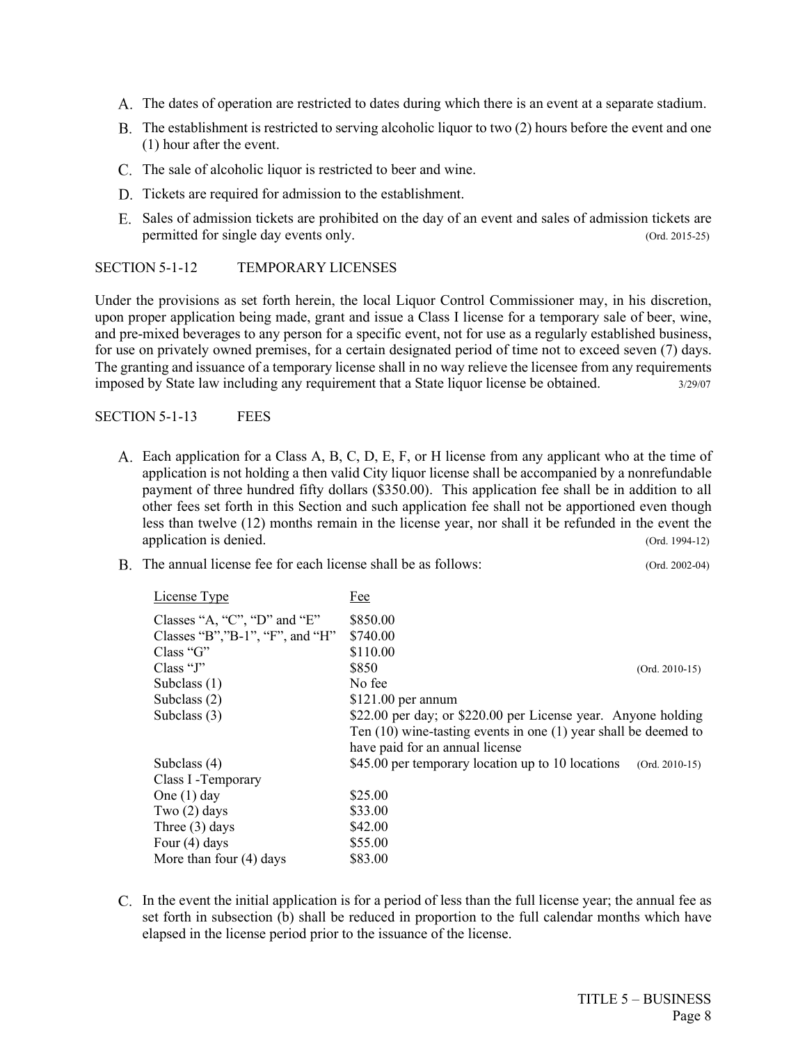- The dates of operation are restricted to dates during which there is an event at a separate stadium.
- The establishment is restricted to serving alcoholic liquor to two (2) hours before the event and one (1) hour after the event.
- C. The sale of alcoholic liquor is restricted to beer and wine.
- D. Tickets are required for admission to the establishment.
- Sales of admission tickets are prohibited on the day of an event and sales of admission tickets are permitted for single day events only. (Ord. 2015-25)

#### SECTION 5-1-12 TEMPORARY LICENSES

Under the provisions as set forth herein, the local Liquor Control Commissioner may, in his discretion, upon proper application being made, grant and issue a Class I license for a temporary sale of beer, wine, and pre-mixed beverages to any person for a specific event, not for use as a regularly established business, for use on privately owned premises, for a certain designated period of time not to exceed seven (7) days. The granting and issuance of a temporary license shall in no way relieve the licensee from any requirements imposed by State law including any requirement that a State liquor license be obtained. 3/29/07

SECTION 5-1-13 FEES

- Each application for a Class A, B, C, D, E, F, or H license from any applicant who at the time of application is not holding a then valid City liquor license shall be accompanied by a nonrefundable payment of three hundred fifty dollars (\$350.00). This application fee shall be in addition to all other fees set forth in this Section and such application fee shall not be apportioned even though less than twelve (12) months remain in the license year, nor shall it be refunded in the event the application is denied. (Ord. 1994-12)
- B. The annual license fee for each license shall be as follows: (Ord. 2002-04)

| License Type                     | Fee                                                                   |
|----------------------------------|-----------------------------------------------------------------------|
| Classes "A, "C", "D" and "E"     | \$850.00                                                              |
| Classes "B", "B-1", "F", and "H" | \$740.00                                                              |
| Class 'G'                        | \$110.00                                                              |
| Class " $J$ "                    | \$850<br>$(Ord. 2010-15)$                                             |
| Subclass $(1)$                   | No fee                                                                |
| Subclass $(2)$                   | $$121.00$ per annum                                                   |
| Subclass $(3)$                   | \$22.00 per day; or \$220.00 per License year. Anyone holding         |
|                                  | Ten $(10)$ wine-tasting events in one $(1)$ year shall be deemed to   |
|                                  | have paid for an annual license                                       |
| Subclass $(4)$                   | \$45.00 per temporary location up to 10 locations<br>$(Ord. 2010-15)$ |
| Class I - Temporary              |                                                                       |
| One $(1)$ day                    | \$25.00                                                               |
| Two $(2)$ days                   | \$33.00                                                               |
| Three $(3)$ days                 | \$42.00                                                               |
| Four $(4)$ days                  | \$55.00                                                               |
| More than four $(4)$ days        | \$83.00                                                               |

In the event the initial application is for a period of less than the full license year; the annual fee as set forth in subsection (b) shall be reduced in proportion to the full calendar months which have elapsed in the license period prior to the issuance of the license.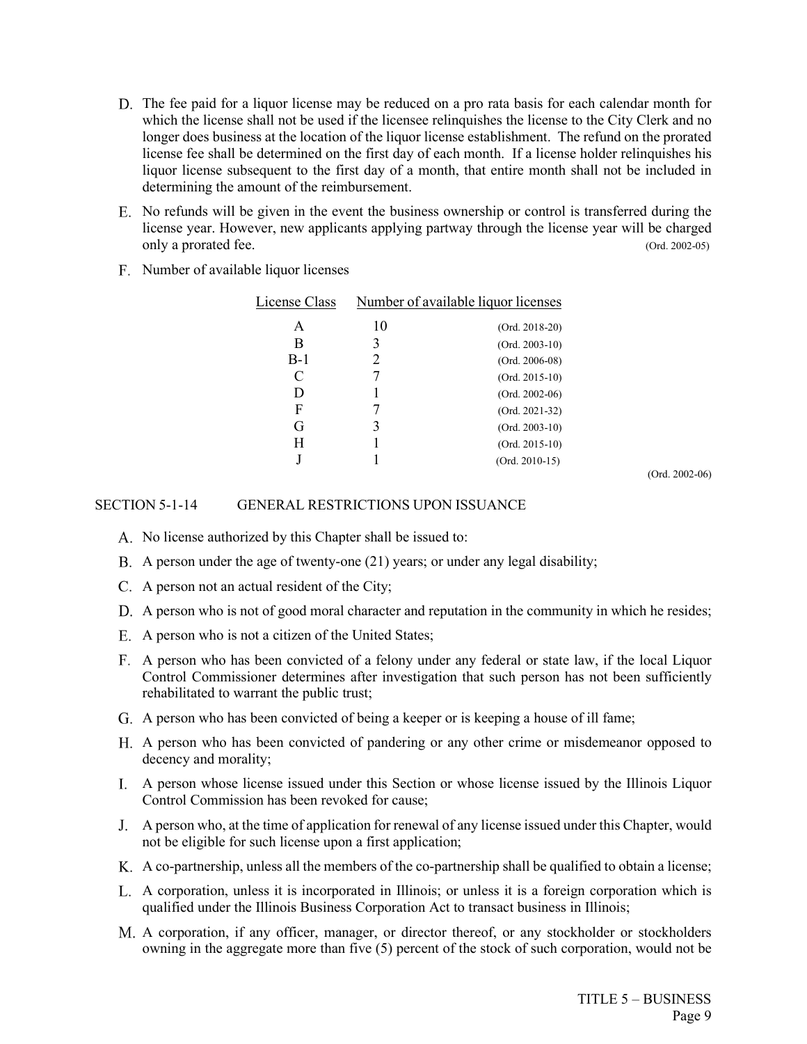- D. The fee paid for a liquor license may be reduced on a pro rata basis for each calendar month for which the license shall not be used if the licensee relinquishes the license to the City Clerk and no longer does business at the location of the liquor license establishment. The refund on the prorated license fee shall be determined on the first day of each month. If a license holder relinquishes his liquor license subsequent to the first day of a month, that entire month shall not be included in determining the amount of the reimbursement.
- No refunds will be given in the event the business ownership or control is transferred during the license year. However, new applicants applying partway through the license year will be charged only a prorated fee. (Ord. 2002-05)
- F. Number of available liquor licenses

| License Class | Number of available liquor licenses |                  |  |
|---------------|-------------------------------------|------------------|--|
| A             | 10                                  | $(Ord. 2018-20)$ |  |
| В             |                                     | $(Ord. 2003-10)$ |  |
| $B-1$         |                                     | $(Ord. 2006-08)$ |  |
| C             |                                     | $(Ord. 2015-10)$ |  |
| D             |                                     | $(Ord. 2002-06)$ |  |
| F             |                                     | $(Ord. 2021-32)$ |  |
| G             |                                     | $(Ord. 2003-10)$ |  |
| Н             |                                     | $(Ord. 2015-10)$ |  |
|               |                                     | $(Ord. 2010-15)$ |  |

(Ord. 2002-06)

#### SECTION 5-1-14 GENERAL RESTRICTIONS UPON ISSUANCE

- A. No license authorized by this Chapter shall be issued to:
- A person under the age of twenty-one (21) years; or under any legal disability;
- A person not an actual resident of the City;
- A person who is not of good moral character and reputation in the community in which he resides;
- A person who is not a citizen of the United States;
- A person who has been convicted of a felony under any federal or state law, if the local Liquor Control Commissioner determines after investigation that such person has not been sufficiently rehabilitated to warrant the public trust;
- A person who has been convicted of being a keeper or is keeping a house of ill fame;
- A person who has been convicted of pandering or any other crime or misdemeanor opposed to decency and morality;
- A person whose license issued under this Section or whose license issued by the Illinois Liquor Control Commission has been revoked for cause;
- A person who, at the time of application for renewal of any license issued under this Chapter, would not be eligible for such license upon a first application;
- A co-partnership, unless all the members of the co-partnership shall be qualified to obtain a license;
- A corporation, unless it is incorporated in Illinois; or unless it is a foreign corporation which is qualified under the Illinois Business Corporation Act to transact business in Illinois;
- A corporation, if any officer, manager, or director thereof, or any stockholder or stockholders owning in the aggregate more than five (5) percent of the stock of such corporation, would not be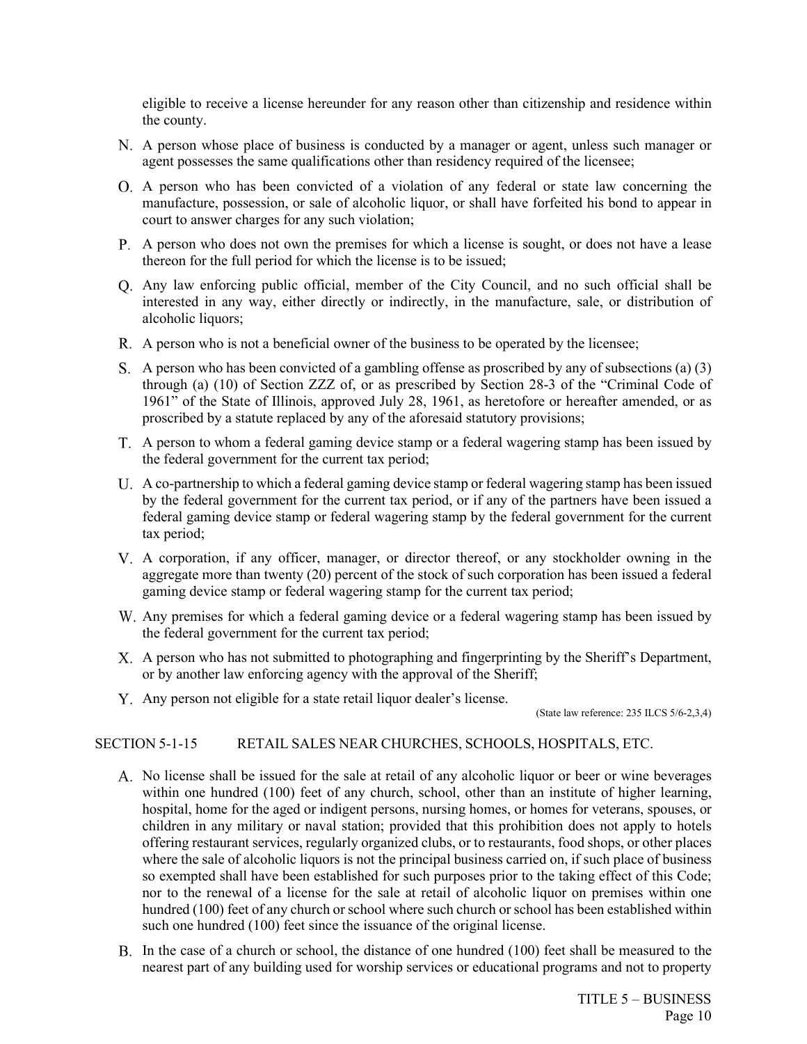eligible to receive a license hereunder for any reason other than citizenship and residence within the county.

- A person whose place of business is conducted by a manager or agent, unless such manager or agent possesses the same qualifications other than residency required of the licensee;
- A person who has been convicted of a violation of any federal or state law concerning the manufacture, possession, or sale of alcoholic liquor, or shall have forfeited his bond to appear in court to answer charges for any such violation;
- A person who does not own the premises for which a license is sought, or does not have a lease thereon for the full period for which the license is to be issued;
- Any law enforcing public official, member of the City Council, and no such official shall be interested in any way, either directly or indirectly, in the manufacture, sale, or distribution of alcoholic liquors;
- A person who is not a beneficial owner of the business to be operated by the licensee;
- S. A person who has been convicted of a gambling offense as proscribed by any of subsections (a)  $(3)$ through (a) (10) of Section ZZZ of, or as prescribed by Section 28-3 of the "Criminal Code of 1961" of the State of Illinois, approved July 28, 1961, as heretofore or hereafter amended, or as proscribed by a statute replaced by any of the aforesaid statutory provisions;
- A person to whom a federal gaming device stamp or a federal wagering stamp has been issued by the federal government for the current tax period;
- A co-partnership to which a federal gaming device stamp or federal wagering stamp has been issued by the federal government for the current tax period, or if any of the partners have been issued a federal gaming device stamp or federal wagering stamp by the federal government for the current tax period;
- A corporation, if any officer, manager, or director thereof, or any stockholder owning in the aggregate more than twenty (20) percent of the stock of such corporation has been issued a federal gaming device stamp or federal wagering stamp for the current tax period;
- Any premises for which a federal gaming device or a federal wagering stamp has been issued by the federal government for the current tax period;
- A person who has not submitted to photographing and fingerprinting by the Sheriff's Department, or by another law enforcing agency with the approval of the Sheriff;
- Any person not eligible for a state retail liquor dealer's license.

(State law reference: 235 ILCS 5/6-2,3,4)

## SECTION 5-1-15 RETAIL SALES NEAR CHURCHES, SCHOOLS, HOSPITALS, ETC.

- A. No license shall be issued for the sale at retail of any alcoholic liquor or beer or wine beverages within one hundred (100) feet of any church, school, other than an institute of higher learning, hospital, home for the aged or indigent persons, nursing homes, or homes for veterans, spouses, or children in any military or naval station; provided that this prohibition does not apply to hotels offering restaurant services, regularly organized clubs, or to restaurants, food shops, or other places where the sale of alcoholic liquors is not the principal business carried on, if such place of business so exempted shall have been established for such purposes prior to the taking effect of this Code; nor to the renewal of a license for the sale at retail of alcoholic liquor on premises within one hundred (100) feet of any church or school where such church or school has been established within such one hundred (100) feet since the issuance of the original license.
- In the case of a church or school, the distance of one hundred (100) feet shall be measured to the nearest part of any building used for worship services or educational programs and not to property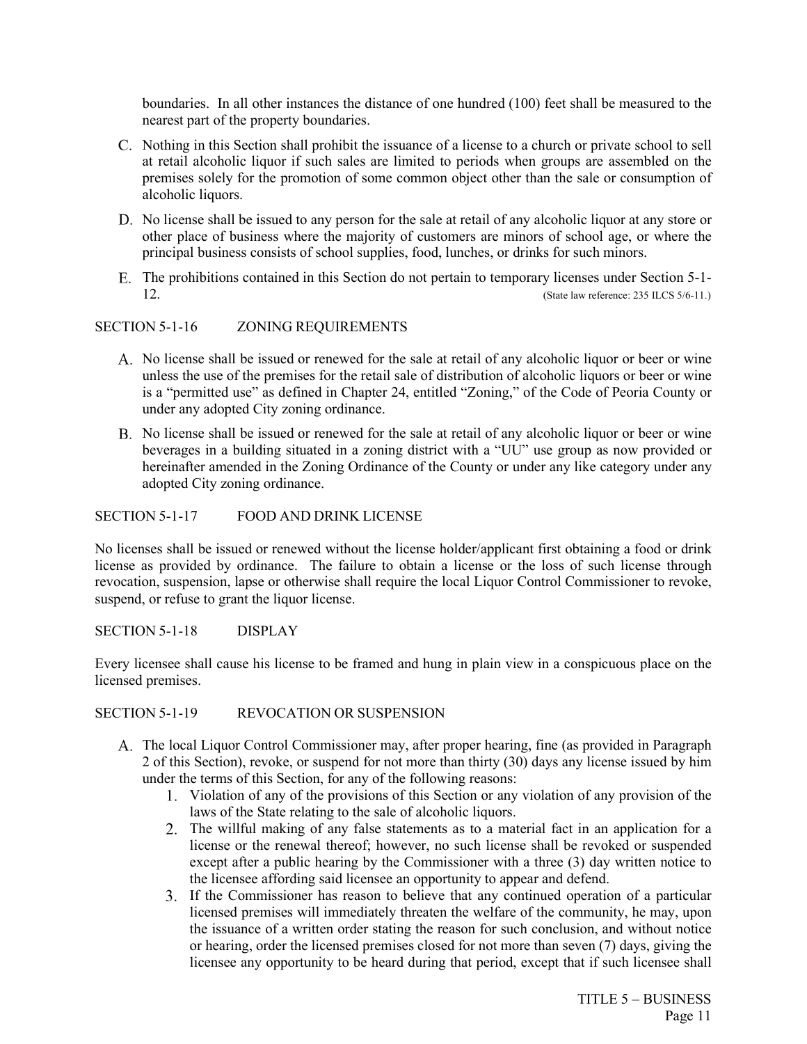boundaries. In all other instances the distance of one hundred (100) feet shall be measured to the nearest part of the property boundaries.

- C. Nothing in this Section shall prohibit the issuance of a license to a church or private school to sell at retail alcoholic liquor if such sales are limited to periods when groups are assembled on the premises solely for the promotion of some common object other than the sale or consumption of alcoholic liquors.
- No license shall be issued to any person for the sale at retail of any alcoholic liquor at any store or other place of business where the majority of customers are minors of school age, or where the principal business consists of school supplies, food, lunches, or drinks for such minors.
- The prohibitions contained in this Section do not pertain to temporary licenses under Section 5-1- 12. (State law reference: 235 ILCS 5/6-11.)

### SECTION 5-1-16 ZONING REQUIREMENTS

- No license shall be issued or renewed for the sale at retail of any alcoholic liquor or beer or wine unless the use of the premises for the retail sale of distribution of alcoholic liquors or beer or wine is a "permitted use" as defined in Chapter 24, entitled "Zoning," of the Code of Peoria County or under any adopted City zoning ordinance.
- B. No license shall be issued or renewed for the sale at retail of any alcoholic liquor or beer or wine beverages in a building situated in a zoning district with a "UU" use group as now provided or hereinafter amended in the Zoning Ordinance of the County or under any like category under any adopted City zoning ordinance.

#### SECTION 5-1-17 FOOD AND DRINK LICENSE

No licenses shall be issued or renewed without the license holder/applicant first obtaining a food or drink license as provided by ordinance. The failure to obtain a license or the loss of such license through revocation, suspension, lapse or otherwise shall require the local Liquor Control Commissioner to revoke, suspend, or refuse to grant the liquor license.

SECTION 5-1-18 DISPLAY

Every licensee shall cause his license to be framed and hung in plain view in a conspicuous place on the licensed premises.

SECTION 5-1-19 REVOCATION OR SUSPENSION

- The local Liquor Control Commissioner may, after proper hearing, fine (as provided in Paragraph 2 of this Section), revoke, or suspend for not more than thirty (30) days any license issued by him under the terms of this Section, for any of the following reasons:
	- Violation of any of the provisions of this Section or any violation of any provision of the laws of the State relating to the sale of alcoholic liquors.
	- The willful making of any false statements as to a material fact in an application for a license or the renewal thereof; however, no such license shall be revoked or suspended except after a public hearing by the Commissioner with a three (3) day written notice to the licensee affording said licensee an opportunity to appear and defend.
	- If the Commissioner has reason to believe that any continued operation of a particular licensed premises will immediately threaten the welfare of the community, he may, upon the issuance of a written order stating the reason for such conclusion, and without notice or hearing, order the licensed premises closed for not more than seven (7) days, giving the licensee any opportunity to be heard during that period, except that if such licensee shall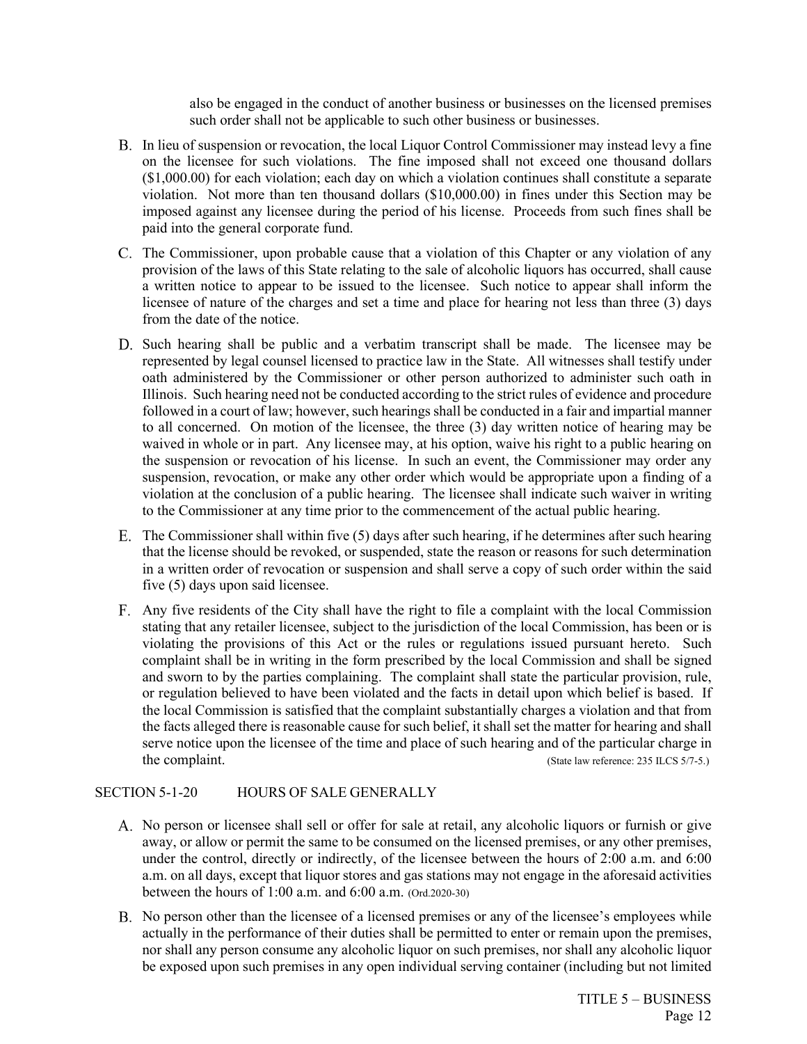also be engaged in the conduct of another business or businesses on the licensed premises such order shall not be applicable to such other business or businesses.

- B. In lieu of suspension or revocation, the local Liquor Control Commissioner may instead levy a fine on the licensee for such violations. The fine imposed shall not exceed one thousand dollars (\$1,000.00) for each violation; each day on which a violation continues shall constitute a separate violation. Not more than ten thousand dollars (\$10,000.00) in fines under this Section may be imposed against any licensee during the period of his license. Proceeds from such fines shall be paid into the general corporate fund.
- The Commissioner, upon probable cause that a violation of this Chapter or any violation of any provision of the laws of this State relating to the sale of alcoholic liquors has occurred, shall cause a written notice to appear to be issued to the licensee. Such notice to appear shall inform the licensee of nature of the charges and set a time and place for hearing not less than three (3) days from the date of the notice.
- D. Such hearing shall be public and a verbatim transcript shall be made. The licensee may be represented by legal counsel licensed to practice law in the State. All witnesses shall testify under oath administered by the Commissioner or other person authorized to administer such oath in Illinois. Such hearing need not be conducted according to the strict rules of evidence and procedure followed in a court of law; however, such hearings shall be conducted in a fair and impartial manner to all concerned. On motion of the licensee, the three (3) day written notice of hearing may be waived in whole or in part. Any licensee may, at his option, waive his right to a public hearing on the suspension or revocation of his license. In such an event, the Commissioner may order any suspension, revocation, or make any other order which would be appropriate upon a finding of a violation at the conclusion of a public hearing. The licensee shall indicate such waiver in writing to the Commissioner at any time prior to the commencement of the actual public hearing.
- The Commissioner shall within five (5) days after such hearing, if he determines after such hearing that the license should be revoked, or suspended, state the reason or reasons for such determination in a written order of revocation or suspension and shall serve a copy of such order within the said five (5) days upon said licensee.
- Any five residents of the City shall have the right to file a complaint with the local Commission stating that any retailer licensee, subject to the jurisdiction of the local Commission, has been or is violating the provisions of this Act or the rules or regulations issued pursuant hereto. Such complaint shall be in writing in the form prescribed by the local Commission and shall be signed and sworn to by the parties complaining. The complaint shall state the particular provision, rule, or regulation believed to have been violated and the facts in detail upon which belief is based. If the local Commission is satisfied that the complaint substantially charges a violation and that from the facts alleged there is reasonable cause for such belief, it shall set the matter for hearing and shall serve notice upon the licensee of the time and place of such hearing and of the particular charge in the complaint. (State law reference: 235 ILCS 5/7-5.)

#### SECTION 5-1-20 HOURS OF SALE GENERALLY

- No person or licensee shall sell or offer for sale at retail, any alcoholic liquors or furnish or give away, or allow or permit the same to be consumed on the licensed premises, or any other premises, under the control, directly or indirectly, of the licensee between the hours of 2:00 a.m. and 6:00 a.m. on all days, except that liquor stores and gas stations may not engage in the aforesaid activities between the hours of 1:00 a.m. and 6:00 a.m. (Ord.2020-30)
- No person other than the licensee of a licensed premises or any of the licensee's employees while actually in the performance of their duties shall be permitted to enter or remain upon the premises, nor shall any person consume any alcoholic liquor on such premises, nor shall any alcoholic liquor be exposed upon such premises in any open individual serving container (including but not limited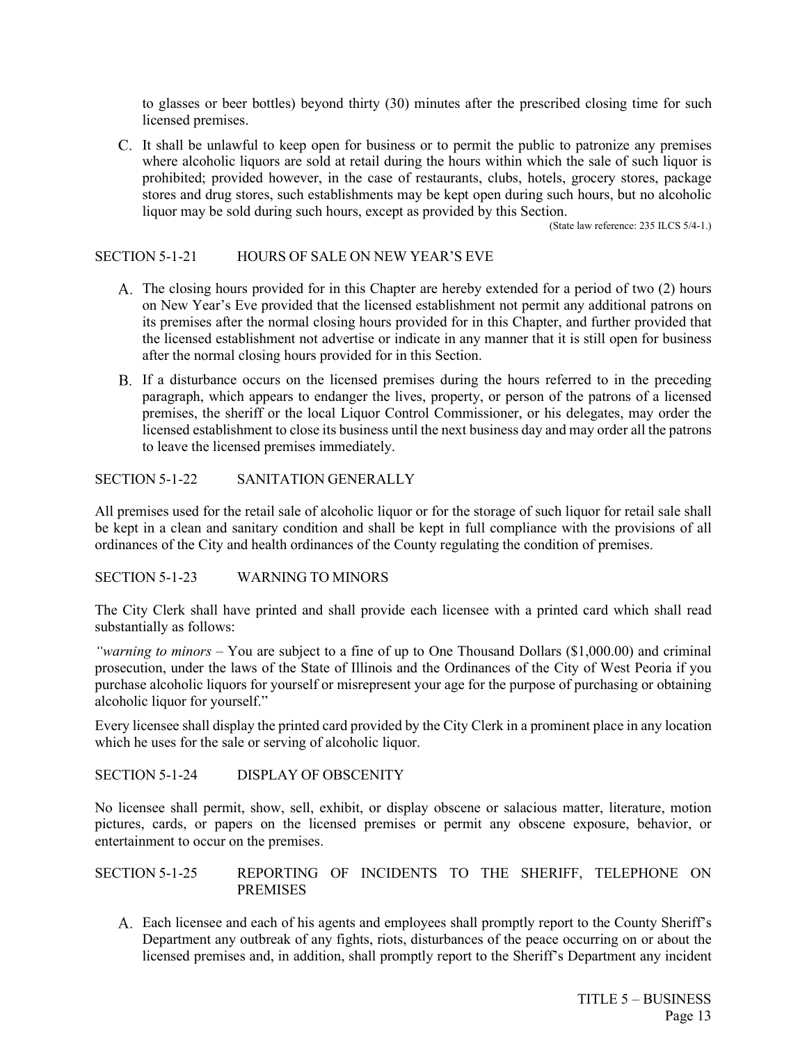to glasses or beer bottles) beyond thirty (30) minutes after the prescribed closing time for such licensed premises.

C. It shall be unlawful to keep open for business or to permit the public to patronize any premises where alcoholic liquors are sold at retail during the hours within which the sale of such liquor is prohibited; provided however, in the case of restaurants, clubs, hotels, grocery stores, package stores and drug stores, such establishments may be kept open during such hours, but no alcoholic liquor may be sold during such hours, except as provided by this Section.

(State law reference: 235 ILCS 5/4-1.)

### SECTION 5-1-21 HOURS OF SALE ON NEW YEAR'S EVE

- A. The closing hours provided for in this Chapter are hereby extended for a period of two (2) hours on New Year's Eve provided that the licensed establishment not permit any additional patrons on its premises after the normal closing hours provided for in this Chapter, and further provided that the licensed establishment not advertise or indicate in any manner that it is still open for business after the normal closing hours provided for in this Section.
- If a disturbance occurs on the licensed premises during the hours referred to in the preceding paragraph, which appears to endanger the lives, property, or person of the patrons of a licensed premises, the sheriff or the local Liquor Control Commissioner, or his delegates, may order the licensed establishment to close its business until the next business day and may order all the patrons to leave the licensed premises immediately.

### SECTION 5-1-22 SANITATION GENERALLY

All premises used for the retail sale of alcoholic liquor or for the storage of such liquor for retail sale shall be kept in a clean and sanitary condition and shall be kept in full compliance with the provisions of all ordinances of the City and health ordinances of the County regulating the condition of premises.

#### SECTION 5-1-23 WARNING TO MINORS

The City Clerk shall have printed and shall provide each licensee with a printed card which shall read substantially as follows:

*"warning to minors* – You are subject to a fine of up to One Thousand Dollars (\$1,000.00) and criminal prosecution, under the laws of the State of Illinois and the Ordinances of the City of West Peoria if you purchase alcoholic liquors for yourself or misrepresent your age for the purpose of purchasing or obtaining alcoholic liquor for yourself."

Every licensee shall display the printed card provided by the City Clerk in a prominent place in any location which he uses for the sale or serving of alcoholic liquor.

#### SECTION 5-1-24 DISPLAY OF OBSCENITY

No licensee shall permit, show, sell, exhibit, or display obscene or salacious matter, literature, motion pictures, cards, or papers on the licensed premises or permit any obscene exposure, behavior, or entertainment to occur on the premises.

### SECTION 5-1-25 REPORTING OF INCIDENTS TO THE SHERIFF, TELEPHONE ON PREMISES

Each licensee and each of his agents and employees shall promptly report to the County Sheriff's Department any outbreak of any fights, riots, disturbances of the peace occurring on or about the licensed premises and, in addition, shall promptly report to the Sheriff's Department any incident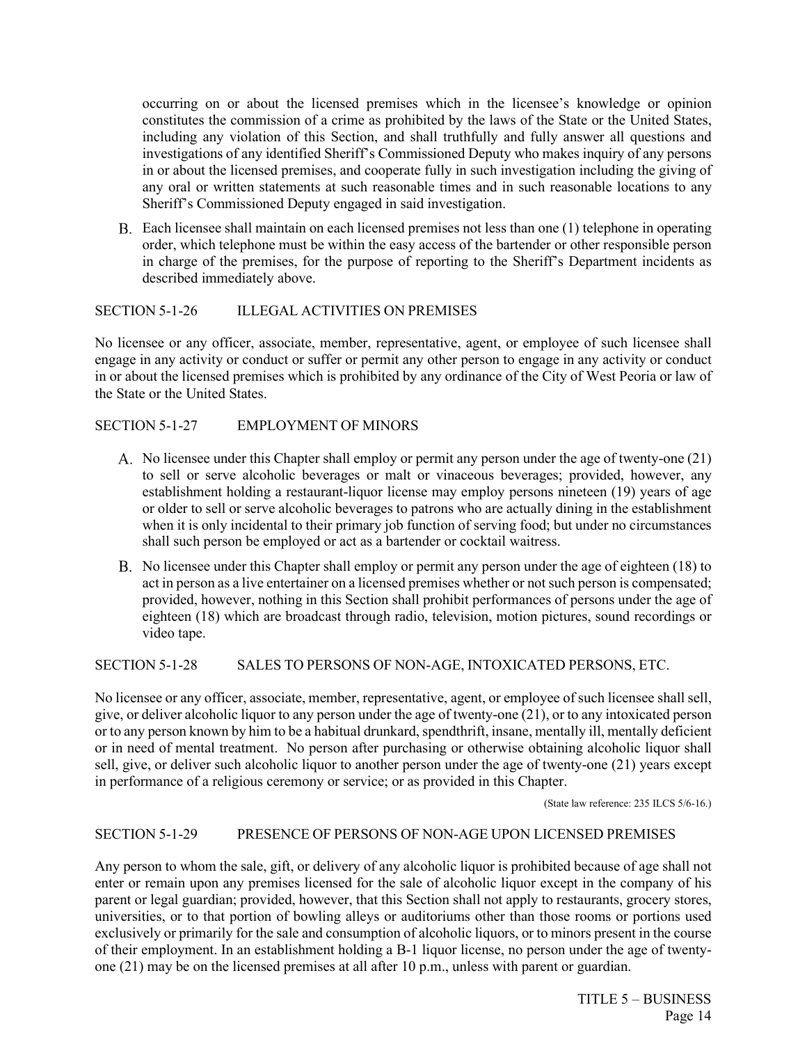occurring on or about the licensed premises which in the licensee's knowledge or opinion constitutes the commission of a crime as prohibited by the laws of the State or the United States, including any violation of this Section, and shall truthfully and fully answer all questions and investigations of any identified Sheriff's Commissioned Deputy who makes inquiry of any persons in or about the licensed premises, and cooperate fully in such investigation including the giving of any oral or written statements at such reasonable times and in such reasonable locations to any Sheriff's Commissioned Deputy engaged in said investigation.

Each licensee shall maintain on each licensed premises not less than one (1) telephone in operating order, which telephone must be within the easy access of the bartender or other responsible person in charge of the premises, for the purpose of reporting to the Sheriff's Department incidents as described immediately above.

#### SECTION 5-1-26 ILLEGAL ACTIVITIES ON PREMISES

No licensee or any officer, associate, member, representative, agent, or employee of such licensee shall engage in any activity or conduct or suffer or permit any other person to engage in any activity or conduct in or about the licensed premises which is prohibited by any ordinance of the City of West Peoria or law of the State or the United States.

#### SECTION 5-1-27 EMPLOYMENT OF MINORS

- A. No licensee under this Chapter shall employ or permit any person under the age of twenty-one (21) to sell or serve alcoholic beverages or malt or vinaceous beverages; provided, however, any establishment holding a restaurant-liquor license may employ persons nineteen (19) years of age or older to sell or serve alcoholic beverages to patrons who are actually dining in the establishment when it is only incidental to their primary job function of serving food; but under no circumstances shall such person be employed or act as a bartender or cocktail waitress.
- No licensee under this Chapter shall employ or permit any person under the age of eighteen (18) to act in person as a live entertainer on a licensed premises whether or not such person is compensated; provided, however, nothing in this Section shall prohibit performances of persons under the age of eighteen (18) which are broadcast through radio, television, motion pictures, sound recordings or video tape.

SECTION 5-1-28 SALES TO PERSONS OF NON-AGE, INTOXICATED PERSONS, ETC.

No licensee or any officer, associate, member, representative, agent, or employee of such licensee shall sell, give, or deliver alcoholic liquor to any person under the age of twenty-one (21), or to any intoxicated person or to any person known by him to be a habitual drunkard, spendthrift, insane, mentally ill, mentally deficient or in need of mental treatment. No person after purchasing or otherwise obtaining alcoholic liquor shall sell, give, or deliver such alcoholic liquor to another person under the age of twenty-one (21) years except in performance of a religious ceremony or service; or as provided in this Chapter.

(State law reference: 235 ILCS 5/6-16.)

## SECTION 5-1-29 PRESENCE OF PERSONS OF NON-AGE UPON LICENSED PREMISES

Any person to whom the sale, gift, or delivery of any alcoholic liquor is prohibited because of age shall not enter or remain upon any premises licensed for the sale of alcoholic liquor except in the company of his parent or legal guardian; provided, however, that this Section shall not apply to restaurants, grocery stores, universities, or to that portion of bowling alleys or auditoriums other than those rooms or portions used exclusively or primarily for the sale and consumption of alcoholic liquors, or to minors present in the course of their employment. In an establishment holding a B-1 liquor license, no person under the age of twentyone (21) may be on the licensed premises at all after 10 p.m., unless with parent or guardian.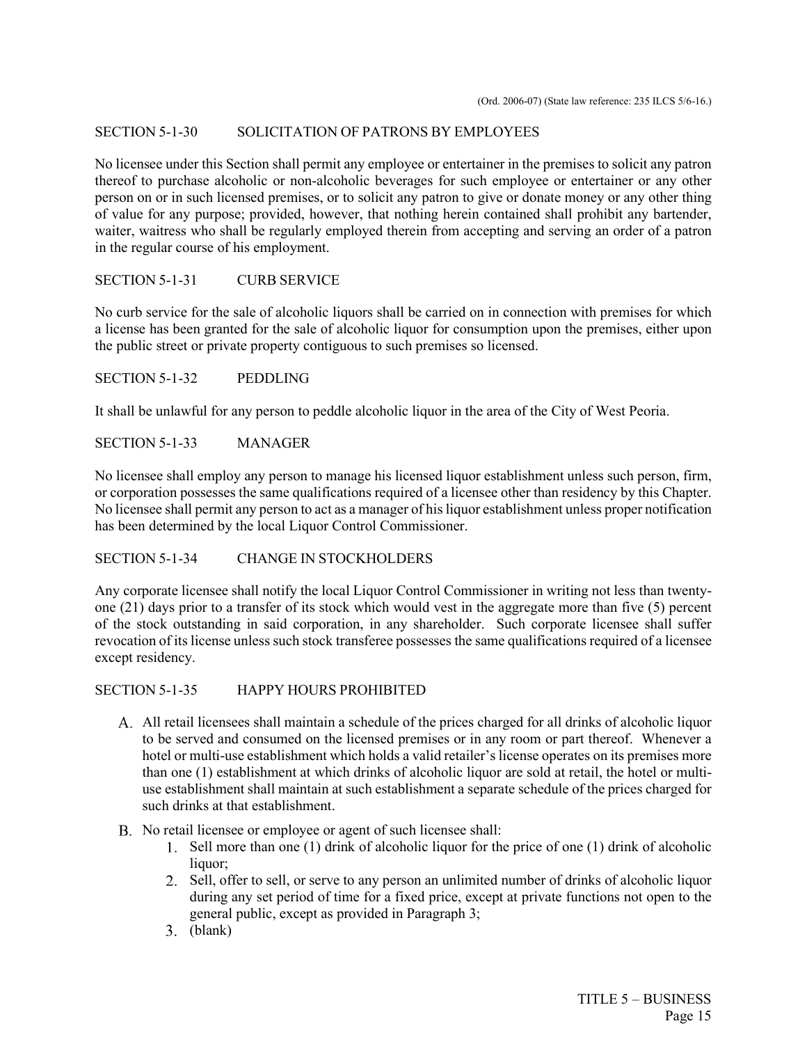### SECTION 5-1-30 SOLICITATION OF PATRONS BY EMPLOYEES

No licensee under this Section shall permit any employee or entertainer in the premises to solicit any patron thereof to purchase alcoholic or non-alcoholic beverages for such employee or entertainer or any other person on or in such licensed premises, or to solicit any patron to give or donate money or any other thing of value for any purpose; provided, however, that nothing herein contained shall prohibit any bartender, waiter, waitress who shall be regularly employed therein from accepting and serving an order of a patron in the regular course of his employment.

#### SECTION 5-1-31 CURB SERVICE

No curb service for the sale of alcoholic liquors shall be carried on in connection with premises for which a license has been granted for the sale of alcoholic liquor for consumption upon the premises, either upon the public street or private property contiguous to such premises so licensed.

SECTION 5-1-32 PEDDLING

It shall be unlawful for any person to peddle alcoholic liquor in the area of the City of West Peoria.

SECTION 5-1-33 MANAGER

No licensee shall employ any person to manage his licensed liquor establishment unless such person, firm, or corporation possesses the same qualifications required of a licensee other than residency by this Chapter. No licensee shall permit any person to act as a manager of his liquor establishment unless proper notification has been determined by the local Liquor Control Commissioner.

## SECTION 5-1-34 CHANGE IN STOCKHOLDERS

Any corporate licensee shall notify the local Liquor Control Commissioner in writing not less than twentyone (21) days prior to a transfer of its stock which would vest in the aggregate more than five (5) percent of the stock outstanding in said corporation, in any shareholder. Such corporate licensee shall suffer revocation of its license unless such stock transferee possesses the same qualifications required of a licensee except residency.

SECTION 5-1-35 HAPPY HOURS PROHIBITED

- All retail licensees shall maintain a schedule of the prices charged for all drinks of alcoholic liquor to be served and consumed on the licensed premises or in any room or part thereof. Whenever a hotel or multi-use establishment which holds a valid retailer's license operates on its premises more than one (1) establishment at which drinks of alcoholic liquor are sold at retail, the hotel or multiuse establishment shall maintain at such establishment a separate schedule of the prices charged for such drinks at that establishment.
- B. No retail licensee or employee or agent of such licensee shall:
	- Sell more than one (1) drink of alcoholic liquor for the price of one (1) drink of alcoholic liquor;
	- Sell, offer to sell, or serve to any person an unlimited number of drinks of alcoholic liquor during any set period of time for a fixed price, except at private functions not open to the general public, except as provided in Paragraph 3;
	- (blank)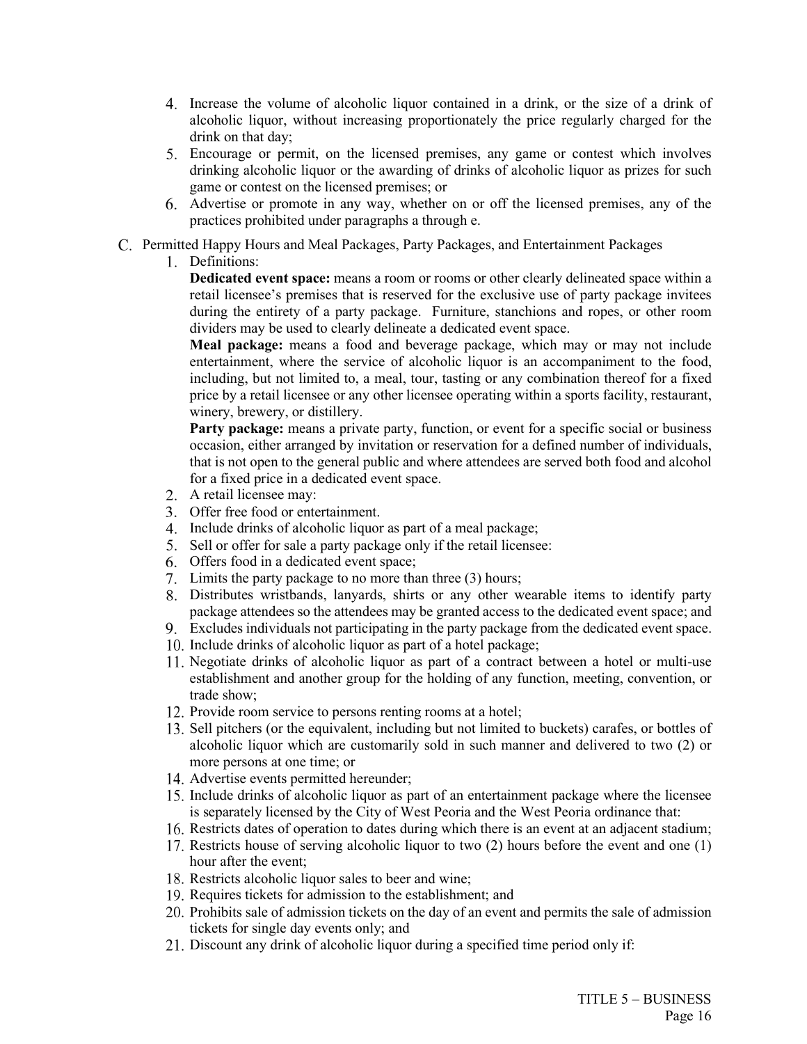- Increase the volume of alcoholic liquor contained in a drink, or the size of a drink of alcoholic liquor, without increasing proportionately the price regularly charged for the drink on that day;
- Encourage or permit, on the licensed premises, any game or contest which involves drinking alcoholic liquor or the awarding of drinks of alcoholic liquor as prizes for such game or contest on the licensed premises; or
- Advertise or promote in any way, whether on or off the licensed premises, any of the practices prohibited under paragraphs a through e.
- Permitted Happy Hours and Meal Packages, Party Packages, and Entertainment Packages
	- Definitions:

**Dedicated event space:** means a room or rooms or other clearly delineated space within a retail licensee's premises that is reserved for the exclusive use of party package invitees during the entirety of a party package. Furniture, stanchions and ropes, or other room dividers may be used to clearly delineate a dedicated event space.

**Meal package:** means a food and beverage package, which may or may not include entertainment, where the service of alcoholic liquor is an accompaniment to the food, including, but not limited to, a meal, tour, tasting or any combination thereof for a fixed price by a retail licensee or any other licensee operating within a sports facility, restaurant, winery, brewery, or distillery.

Party package: means a private party, function, or event for a specific social or business occasion, either arranged by invitation or reservation for a defined number of individuals, that is not open to the general public and where attendees are served both food and alcohol for a fixed price in a dedicated event space.

- A retail licensee may:
- Offer free food or entertainment.
- 4. Include drinks of alcoholic liquor as part of a meal package;
- 5. Sell or offer for sale a party package only if the retail licensee:
- Offers food in a dedicated event space;
- 7. Limits the party package to no more than three (3) hours;
- Distributes wristbands, lanyards, shirts or any other wearable items to identify party package attendees so the attendees may be granted access to the dedicated event space; and
- Excludes individuals not participating in the party package from the dedicated event space.
- 10. Include drinks of alcoholic liquor as part of a hotel package;
- Negotiate drinks of alcoholic liquor as part of a contract between a hotel or multi-use establishment and another group for the holding of any function, meeting, convention, or trade show;
- 12. Provide room service to persons renting rooms at a hotel;
- 13. Sell pitchers (or the equivalent, including but not limited to buckets) carafes, or bottles of alcoholic liquor which are customarily sold in such manner and delivered to two (2) or more persons at one time; or
- Advertise events permitted hereunder;
- 15. Include drinks of alcoholic liquor as part of an entertainment package where the licensee is separately licensed by the City of West Peoria and the West Peoria ordinance that:
- 16. Restricts dates of operation to dates during which there is an event at an adjacent stadium;
- 17. Restricts house of serving alcoholic liquor to two (2) hours before the event and one (1) hour after the event;
- 18. Restricts alcoholic liquor sales to beer and wine;
- 19. Requires tickets for admission to the establishment; and
- Prohibits sale of admission tickets on the day of an event and permits the sale of admission tickets for single day events only; and
- Discount any drink of alcoholic liquor during a specified time period only if: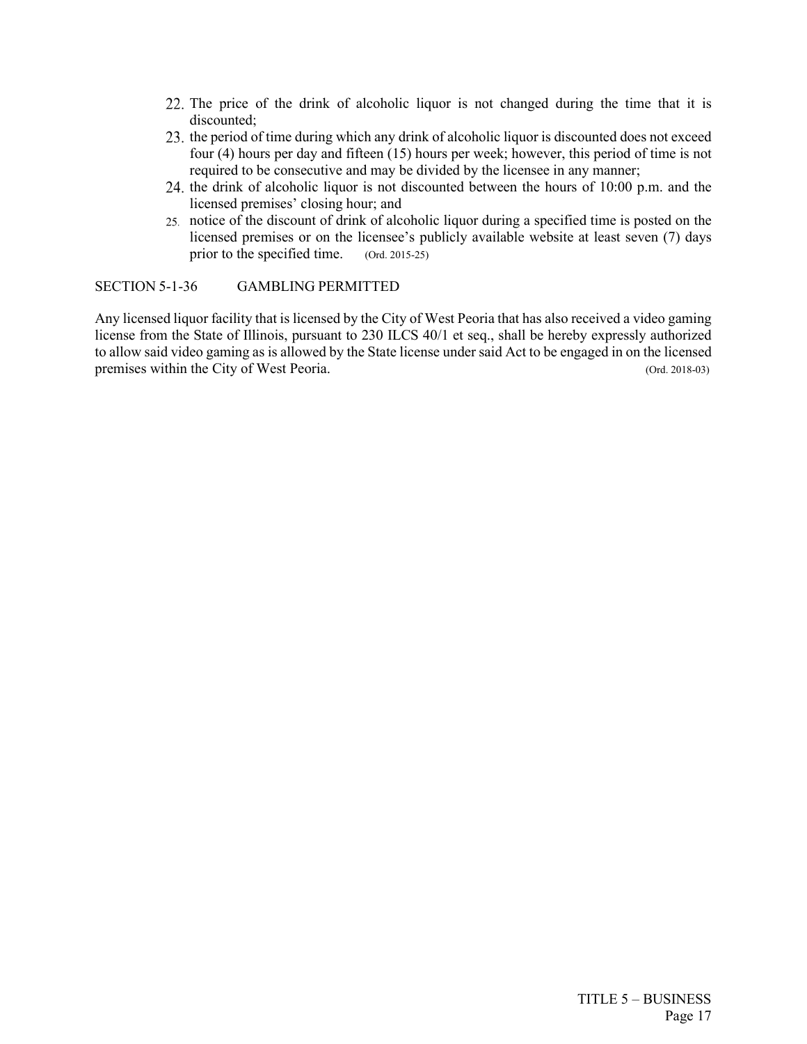- 22. The price of the drink of alcoholic liquor is not changed during the time that it is discounted;
- 23. the period of time during which any drink of alcoholic liquor is discounted does not exceed four (4) hours per day and fifteen (15) hours per week; however, this period of time is not required to be consecutive and may be divided by the licensee in any manner;
- 24, the drink of alcoholic liquor is not discounted between the hours of  $10:00$  p.m. and the licensed premises' closing hour; and
- notice of the discount of drink of alcoholic liquor during a specified time is posted on the licensed premises or on the licensee's publicly available website at least seven (7) days prior to the specified time. (Ord. 2015-25)

SECTION 5-1-36 GAMBLING PERMITTED

Any licensed liquor facility that is licensed by the City of West Peoria that has also received a video gaming license from the State of Illinois, pursuant to 230 ILCS 40/1 et seq., shall be hereby expressly authorized to allow said video gaming as is allowed by the State license under said Act to be engaged in on the licensed premises within the City of West Peoria. (Ord. 2018-03)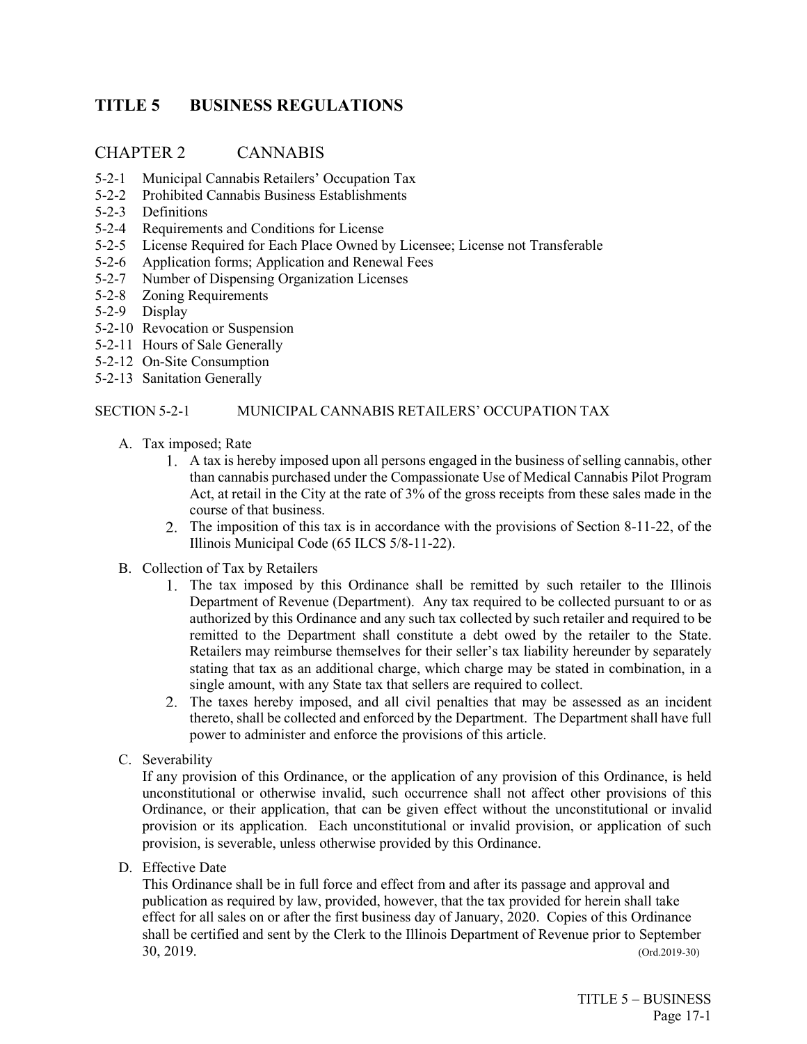# <span id="page-18-0"></span>**TITLE 5 BUSINESS REGULATIONS**

## CHAPTER 2 CANNABIS

- 5-2-1 Municipal Cannabis Retailers' Occupation Tax
- 5-2-2 Prohibited Cannabis Business Establishments
- 5-2-3 Definitions
- 5-2-4 Requirements and Conditions for License
- 5-2-5 License Required for Each Place Owned by Licensee; License not Transferable
- 5-2-6 Application forms; Application and Renewal Fees
- 5-2-7 Number of Dispensing Organization Licenses
- 5-2-8 Zoning Requirements
- 5-2-9 Display
- 5-2-10 Revocation or Suspension
- 5-2-11 Hours of Sale Generally
- 5-2-12 On-Site Consumption
- 5-2-13 Sanitation Generally

## SECTION 5-2-1 MUNICIPAL CANNABIS RETAILERS' OCCUPATION TAX

- A. Tax imposed; Rate
	- A tax is hereby imposed upon all persons engaged in the business of selling cannabis, other than cannabis purchased under the Compassionate Use of Medical Cannabis Pilot Program Act, at retail in the City at the rate of 3% of the gross receipts from these sales made in the course of that business.
	- 2. The imposition of this tax is in accordance with the provisions of Section 8-11-22, of the Illinois Municipal Code (65 ILCS 5/8-11-22).
- B. Collection of Tax by Retailers
	- The tax imposed by this Ordinance shall be remitted by such retailer to the Illinois Department of Revenue (Department). Any tax required to be collected pursuant to or as authorized by this Ordinance and any such tax collected by such retailer and required to be remitted to the Department shall constitute a debt owed by the retailer to the State. Retailers may reimburse themselves for their seller's tax liability hereunder by separately stating that tax as an additional charge, which charge may be stated in combination, in a single amount, with any State tax that sellers are required to collect.
	- The taxes hereby imposed, and all civil penalties that may be assessed as an incident thereto, shall be collected and enforced by the Department. The Department shall have full power to administer and enforce the provisions of this article.
- C. Severability

If any provision of this Ordinance, or the application of any provision of this Ordinance, is held unconstitutional or otherwise invalid, such occurrence shall not affect other provisions of this Ordinance, or their application, that can be given effect without the unconstitutional or invalid provision or its application. Each unconstitutional or invalid provision, or application of such provision, is severable, unless otherwise provided by this Ordinance.

D. Effective Date

This Ordinance shall be in full force and effect from and after its passage and approval and publication as required by law, provided, however, that the tax provided for herein shall take effect for all sales on or after the first business day of January, 2020. Copies of this Ordinance shall be certified and sent by the Clerk to the Illinois Department of Revenue prior to September 30, 2019. (Ord.2019-30)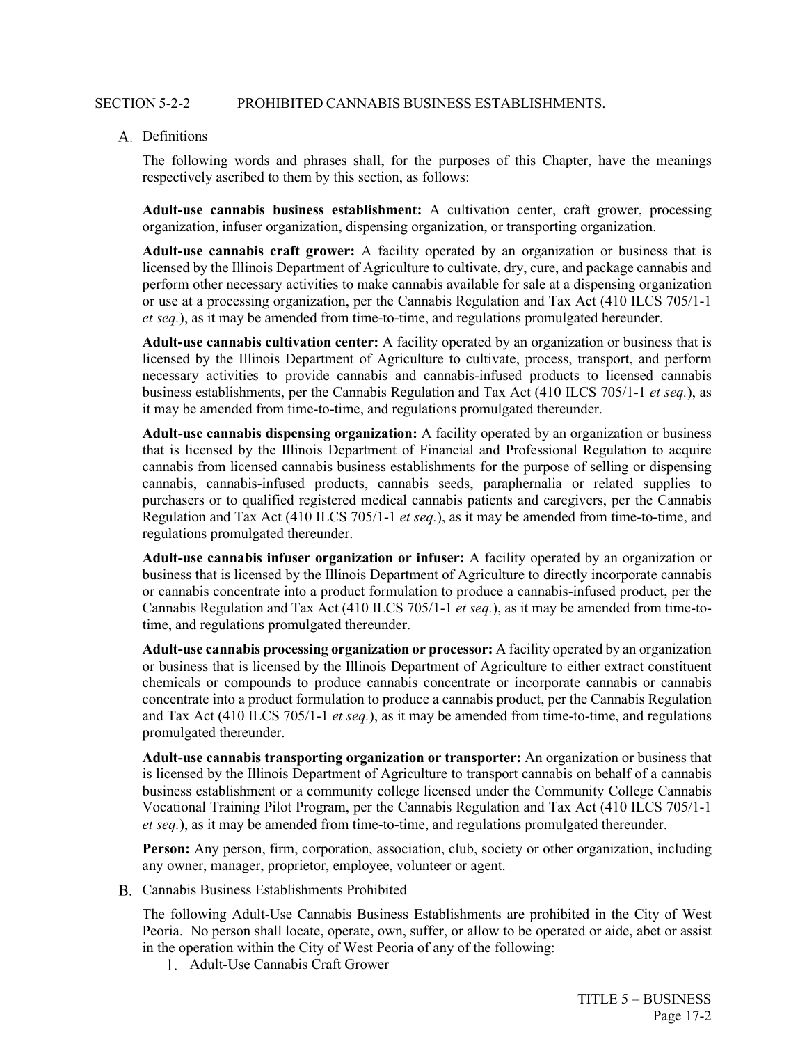#### SECTION 5-2-2 PROHIBITED CANNABIS BUSINESS ESTABLISHMENTS.

#### A. Definitions

The following words and phrases shall, for the purposes of this Chapter, have the meanings respectively ascribed to them by this section, as follows:

**Adult-use cannabis business establishment:** A cultivation center, craft grower, processing organization, infuser organization, dispensing organization, or transporting organization.

**Adult-use cannabis craft grower:** A facility operated by an organization or business that is licensed by the Illinois Department of Agriculture to cultivate, dry, cure, and package cannabis and perform other necessary activities to make cannabis available for sale at a dispensing organization or use at a processing organization, per the Cannabis Regulation and Tax Act (410 ILCS 705/1-1 *et seq.*), as it may be amended from time-to-time, and regulations promulgated hereunder.

**Adult-use cannabis cultivation center:** A facility operated by an organization or business that is licensed by the Illinois Department of Agriculture to cultivate, process, transport, and perform necessary activities to provide cannabis and cannabis-infused products to licensed cannabis business establishments, per the Cannabis Regulation and Tax Act (410 ILCS 705/1-1 *et seq.*), as it may be amended from time-to-time, and regulations promulgated thereunder.

**Adult-use cannabis dispensing organization:** A facility operated by an organization or business that is licensed by the Illinois Department of Financial and Professional Regulation to acquire cannabis from licensed cannabis business establishments for the purpose of selling or dispensing cannabis, cannabis-infused products, cannabis seeds, paraphernalia or related supplies to purchasers or to qualified registered medical cannabis patients and caregivers, per the Cannabis Regulation and Tax Act (410 ILCS 705/1-1 *et seq.*), as it may be amended from time-to-time, and regulations promulgated thereunder.

**Adult-use cannabis infuser organization or infuser:** A facility operated by an organization or business that is licensed by the Illinois Department of Agriculture to directly incorporate cannabis or cannabis concentrate into a product formulation to produce a cannabis-infused product, per the Cannabis Regulation and Tax Act (410 ILCS 705/1-1 *et seq.*), as it may be amended from time-totime, and regulations promulgated thereunder.

**Adult-use cannabis processing organization or processor:** A facility operated by an organization or business that is licensed by the Illinois Department of Agriculture to either extract constituent chemicals or compounds to produce cannabis concentrate or incorporate cannabis or cannabis concentrate into a product formulation to produce a cannabis product, per the Cannabis Regulation and Tax Act (410 ILCS 705/1-1 *et seq.*), as it may be amended from time-to-time, and regulations promulgated thereunder.

**Adult-use cannabis transporting organization or transporter:** An organization or business that is licensed by the Illinois Department of Agriculture to transport cannabis on behalf of a cannabis business establishment or a community college licensed under the Community College Cannabis Vocational Training Pilot Program, per the Cannabis Regulation and Tax Act (410 ILCS 705/1-1 *et seq.*), as it may be amended from time-to-time, and regulations promulgated thereunder.

**Person:** Any person, firm, corporation, association, club, society or other organization, including any owner, manager, proprietor, employee, volunteer or agent.

Cannabis Business Establishments Prohibited

The following Adult-Use Cannabis Business Establishments are prohibited in the City of West Peoria. No person shall locate, operate, own, suffer, or allow to be operated or aide, abet or assist in the operation within the City of West Peoria of any of the following:

Adult-Use Cannabis Craft Grower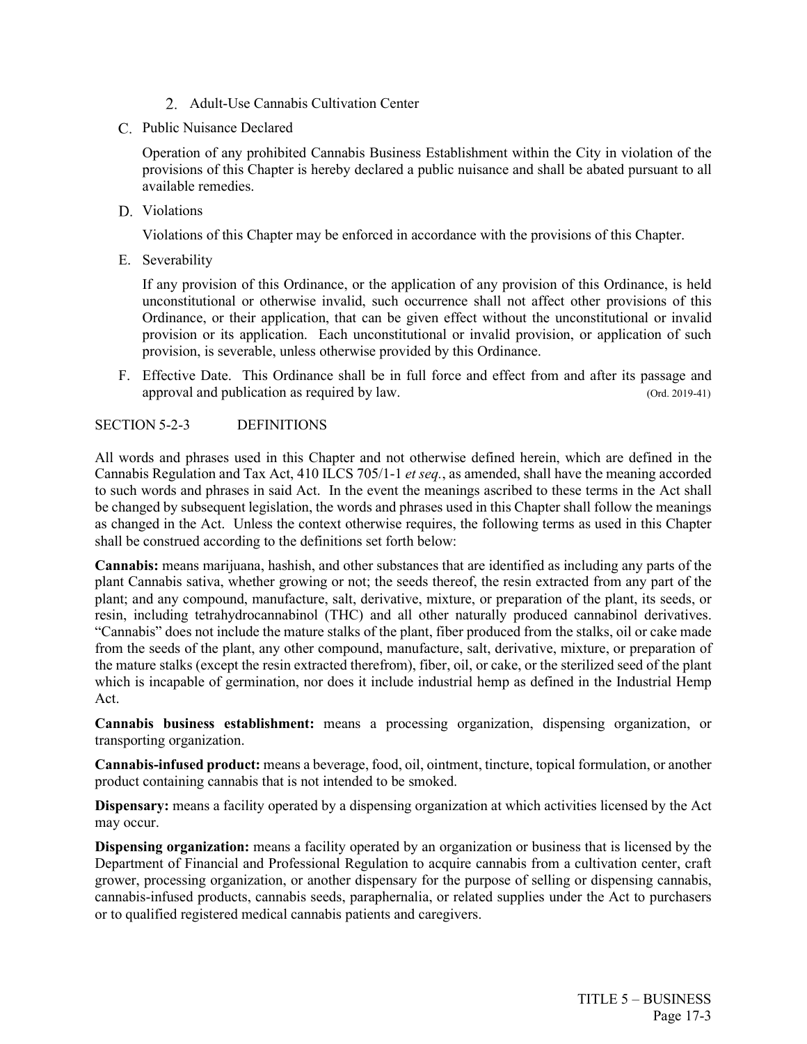- 2. Adult-Use Cannabis Cultivation Center
- C. Public Nuisance Declared

Operation of any prohibited Cannabis Business Establishment within the City in violation of the provisions of this Chapter is hereby declared a public nuisance and shall be abated pursuant to all available remedies.

D. Violations

Violations of this Chapter may be enforced in accordance with the provisions of this Chapter.

E. Severability

If any provision of this Ordinance, or the application of any provision of this Ordinance, is held unconstitutional or otherwise invalid, such occurrence shall not affect other provisions of this Ordinance, or their application, that can be given effect without the unconstitutional or invalid provision or its application. Each unconstitutional or invalid provision, or application of such provision, is severable, unless otherwise provided by this Ordinance.

F. Effective Date. This Ordinance shall be in full force and effect from and after its passage and approval and publication as required by law. (Ord. 2019-41)

## SECTION 5-2-3 DEFINITIONS

All words and phrases used in this Chapter and not otherwise defined herein, which are defined in the Cannabis Regulation and Tax Act, 410 ILCS 705/1-1 *et seq.*, as amended, shall have the meaning accorded to such words and phrases in said Act. In the event the meanings ascribed to these terms in the Act shall be changed by subsequent legislation, the words and phrases used in this Chapter shall follow the meanings as changed in the Act. Unless the context otherwise requires, the following terms as used in this Chapter shall be construed according to the definitions set forth below:

**Cannabis:** means marijuana, hashish, and other substances that are identified as including any parts of the plant Cannabis sativa, whether growing or not; the seeds thereof, the resin extracted from any part of the plant; and any compound, manufacture, salt, derivative, mixture, or preparation of the plant, its seeds, or resin, including tetrahydrocannabinol (THC) and all other naturally produced cannabinol derivatives. "Cannabis" does not include the mature stalks of the plant, fiber produced from the stalks, oil or cake made from the seeds of the plant, any other compound, manufacture, salt, derivative, mixture, or preparation of the mature stalks (except the resin extracted therefrom), fiber, oil, or cake, or the sterilized seed of the plant which is incapable of germination, nor does it include industrial hemp as defined in the Industrial Hemp Act.

**Cannabis business establishment:** means a processing organization, dispensing organization, or transporting organization.

**Cannabis-infused product:** means a beverage, food, oil, ointment, tincture, topical formulation, or another product containing cannabis that is not intended to be smoked.

**Dispensary:** means a facility operated by a dispensing organization at which activities licensed by the Act may occur.

**Dispensing organization:** means a facility operated by an organization or business that is licensed by the Department of Financial and Professional Regulation to acquire cannabis from a cultivation center, craft grower, processing organization, or another dispensary for the purpose of selling or dispensing cannabis, cannabis-infused products, cannabis seeds, paraphernalia, or related supplies under the Act to purchasers or to qualified registered medical cannabis patients and caregivers.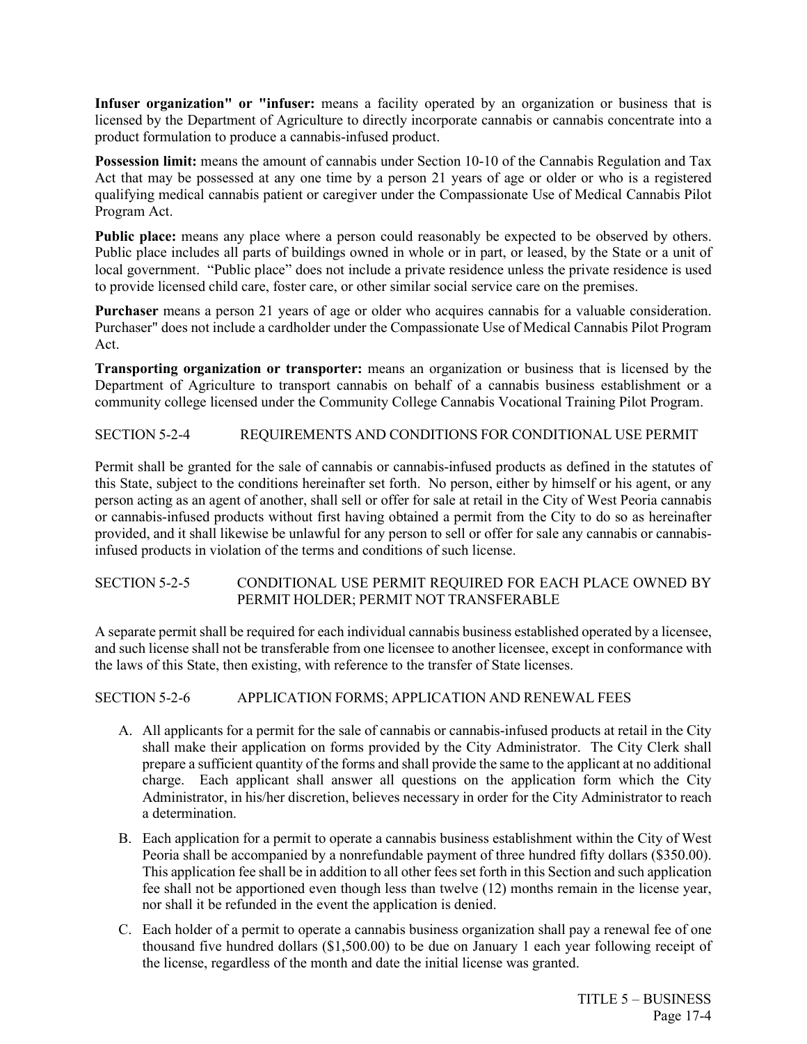**Infuser organization" or "infuser:** means a facility operated by an organization or business that is licensed by the Department of Agriculture to directly incorporate cannabis or cannabis concentrate into a product formulation to produce a cannabis-infused product.

**Possession limit:** means the amount of cannabis under Section 10-10 of the Cannabis Regulation and Tax Act that may be possessed at any one time by a person 21 years of age or older or who is a registered qualifying medical cannabis patient or caregiver under the Compassionate Use of Medical Cannabis Pilot Program Act.

**Public place:** means any place where a person could reasonably be expected to be observed by others. Public place includes all parts of buildings owned in whole or in part, or leased, by the State or a unit of local government. "Public place" does not include a private residence unless the private residence is used to provide licensed child care, foster care, or other similar social service care on the premises.

**Purchaser** means a person 21 years of age or older who acquires cannabis for a valuable consideration. Purchaser" does not include a cardholder under the Compassionate Use of Medical Cannabis Pilot Program Act.

**Transporting organization or transporter:** means an organization or business that is licensed by the Department of Agriculture to transport cannabis on behalf of a cannabis business establishment or a community college licensed under the Community College Cannabis Vocational Training Pilot Program.

## SECTION 5-2-4 REQUIREMENTS AND CONDITIONS FOR CONDITIONAL USE PERMIT

Permit shall be granted for the sale of cannabis or cannabis-infused products as defined in the statutes of this State, subject to the conditions hereinafter set forth. No person, either by himself or his agent, or any person acting as an agent of another, shall sell or offer for sale at retail in the City of West Peoria cannabis or cannabis-infused products without first having obtained a permit from the City to do so as hereinafter provided, and it shall likewise be unlawful for any person to sell or offer for sale any cannabis or cannabisinfused products in violation of the terms and conditions of such license.

## SECTION 5-2-5 CONDITIONAL USE PERMIT REQUIRED FOR EACH PLACE OWNED BY PERMIT HOLDER; PERMIT NOT TRANSFERABLE

A separate permit shall be required for each individual cannabis business established operated by a licensee, and such license shall not be transferable from one licensee to another licensee, except in conformance with the laws of this State, then existing, with reference to the transfer of State licenses.

## SECTION 5-2-6 APPLICATION FORMS; APPLICATION AND RENEWAL FEES

- A. All applicants for a permit for the sale of cannabis or cannabis-infused products at retail in the City shall make their application on forms provided by the City Administrator. The City Clerk shall prepare a sufficient quantity of the forms and shall provide the same to the applicant at no additional charge. Each applicant shall answer all questions on the application form which the City Administrator, in his/her discretion, believes necessary in order for the City Administrator to reach a determination.
- B. Each application for a permit to operate a cannabis business establishment within the City of West Peoria shall be accompanied by a nonrefundable payment of three hundred fifty dollars (\$350.00). This application fee shall be in addition to all other fees set forth in this Section and such application fee shall not be apportioned even though less than twelve (12) months remain in the license year, nor shall it be refunded in the event the application is denied.
- C. Each holder of a permit to operate a cannabis business organization shall pay a renewal fee of one thousand five hundred dollars (\$1,500.00) to be due on January 1 each year following receipt of the license, regardless of the month and date the initial license was granted.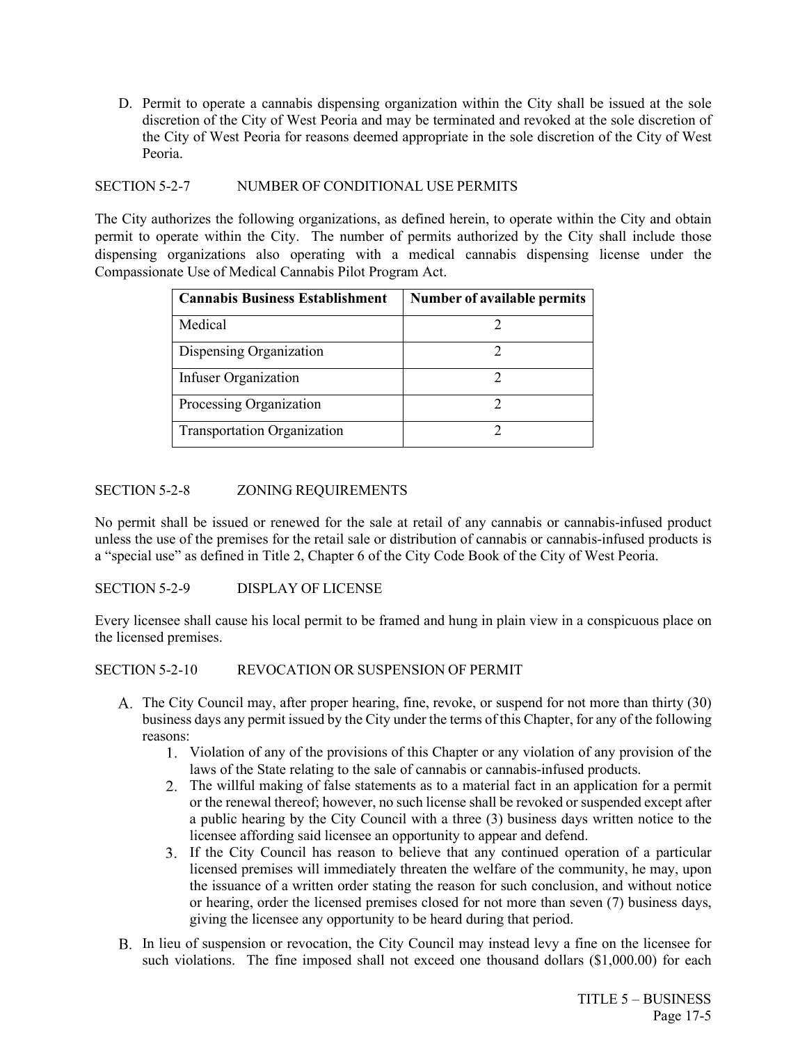D. Permit to operate a cannabis dispensing organization within the City shall be issued at the sole discretion of the City of West Peoria and may be terminated and revoked at the sole discretion of the City of West Peoria for reasons deemed appropriate in the sole discretion of the City of West Peoria.

## SECTION 5-2-7 NUMBER OF CONDITIONAL USE PERMITS

The City authorizes the following organizations, as defined herein, to operate within the City and obtain permit to operate within the City. The number of permits authorized by the City shall include those dispensing organizations also operating with a medical cannabis dispensing license under the Compassionate Use of Medical Cannabis Pilot Program Act.

| <b>Cannabis Business Establishment</b> | Number of available permits |
|----------------------------------------|-----------------------------|
| Medical                                |                             |
| Dispensing Organization                |                             |
| Infuser Organization                   |                             |
| Processing Organization                |                             |
| <b>Transportation Organization</b>     |                             |

## SECTION 5-2-8 ZONING REQUIREMENTS

No permit shall be issued or renewed for the sale at retail of any cannabis or cannabis-infused product unless the use of the premises for the retail sale or distribution of cannabis or cannabis-infused products is a "special use" as defined in Title 2, Chapter 6 of the City Code Book of the City of West Peoria.

SECTION 5-2-9 DISPLAY OF LICENSE

Every licensee shall cause his local permit to be framed and hung in plain view in a conspicuous place on the licensed premises.

## SECTION 5-2-10 REVOCATION OR SUSPENSION OF PERMIT

- The City Council may, after proper hearing, fine, revoke, or suspend for not more than thirty (30) business days any permit issued by the City under the terms of this Chapter, for any of the following reasons:
	- Violation of any of the provisions of this Chapter or any violation of any provision of the laws of the State relating to the sale of cannabis or cannabis-infused products.
	- The willful making of false statements as to a material fact in an application for a permit or the renewal thereof; however, no such license shall be revoked or suspended except after a public hearing by the City Council with a three (3) business days written notice to the licensee affording said licensee an opportunity to appear and defend.
	- If the City Council has reason to believe that any continued operation of a particular licensed premises will immediately threaten the welfare of the community, he may, upon the issuance of a written order stating the reason for such conclusion, and without notice or hearing, order the licensed premises closed for not more than seven (7) business days, giving the licensee any opportunity to be heard during that period.
- B. In lieu of suspension or revocation, the City Council may instead levy a fine on the licensee for such violations. The fine imposed shall not exceed one thousand dollars (\$1,000.00) for each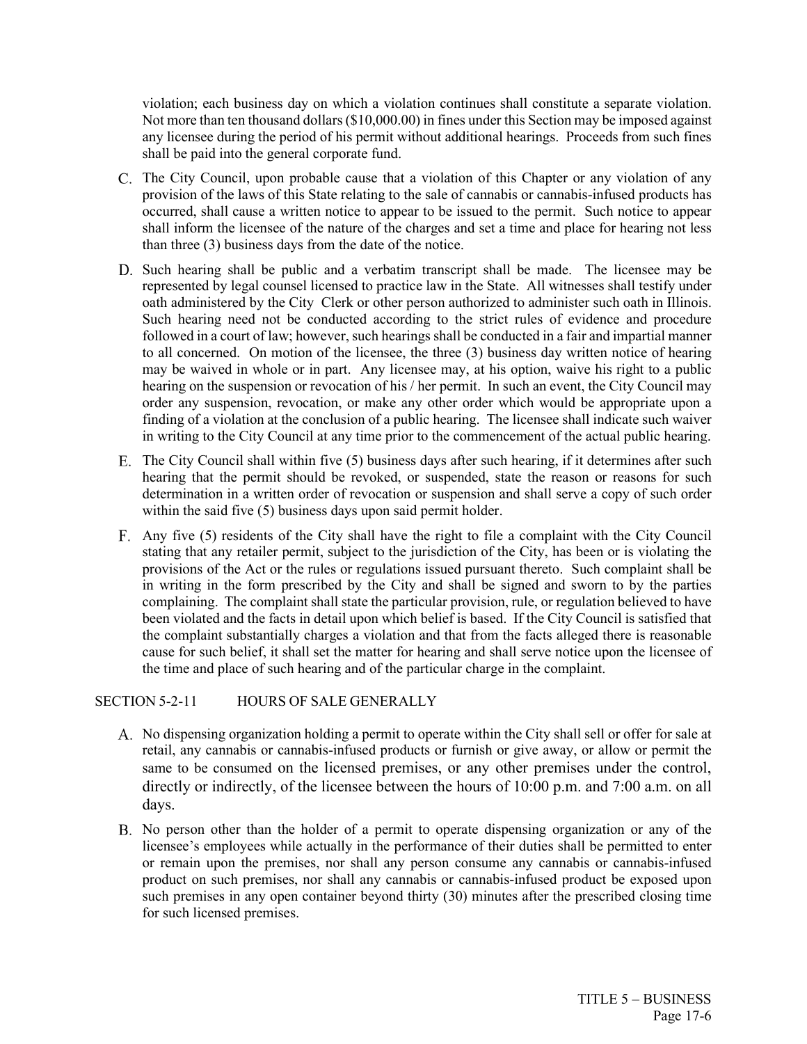violation; each business day on which a violation continues shall constitute a separate violation. Not more than ten thousand dollars (\$10,000.00) in fines under this Section may be imposed against any licensee during the period of his permit without additional hearings. Proceeds from such fines shall be paid into the general corporate fund.

- C. The City Council, upon probable cause that a violation of this Chapter or any violation of any provision of the laws of this State relating to the sale of cannabis or cannabis-infused products has occurred, shall cause a written notice to appear to be issued to the permit. Such notice to appear shall inform the licensee of the nature of the charges and set a time and place for hearing not less than three (3) business days from the date of the notice.
- D. Such hearing shall be public and a verbatim transcript shall be made. The licensee may be represented by legal counsel licensed to practice law in the State. All witnesses shall testify under oath administered by the City Clerk or other person authorized to administer such oath in Illinois. Such hearing need not be conducted according to the strict rules of evidence and procedure followed in a court of law; however, such hearings shall be conducted in a fair and impartial manner to all concerned. On motion of the licensee, the three (3) business day written notice of hearing may be waived in whole or in part. Any licensee may, at his option, waive his right to a public hearing on the suspension or revocation of his / her permit. In such an event, the City Council may order any suspension, revocation, or make any other order which would be appropriate upon a finding of a violation at the conclusion of a public hearing. The licensee shall indicate such waiver in writing to the City Council at any time prior to the commencement of the actual public hearing.
- E. The City Council shall within five (5) business days after such hearing, if it determines after such hearing that the permit should be revoked, or suspended, state the reason or reasons for such determination in a written order of revocation or suspension and shall serve a copy of such order within the said five (5) business days upon said permit holder.
- Any five (5) residents of the City shall have the right to file a complaint with the City Council stating that any retailer permit, subject to the jurisdiction of the City, has been or is violating the provisions of the Act or the rules or regulations issued pursuant thereto. Such complaint shall be in writing in the form prescribed by the City and shall be signed and sworn to by the parties complaining. The complaint shall state the particular provision, rule, or regulation believed to have been violated and the facts in detail upon which belief is based. If the City Council is satisfied that the complaint substantially charges a violation and that from the facts alleged there is reasonable cause for such belief, it shall set the matter for hearing and shall serve notice upon the licensee of the time and place of such hearing and of the particular charge in the complaint.

#### SECTION 5-2-11 HOURS OF SALE GENERALLY

- No dispensing organization holding a permit to operate within the City shall sell or offer for sale at retail, any cannabis or cannabis-infused products or furnish or give away, or allow or permit the same to be consumed on the licensed premises, or any other premises under the control, directly or indirectly, of the licensee between the hours of 10:00 p.m. and 7:00 a.m. on all days.
- B. No person other than the holder of a permit to operate dispensing organization or any of the licensee's employees while actually in the performance of their duties shall be permitted to enter or remain upon the premises, nor shall any person consume any cannabis or cannabis-infused product on such premises, nor shall any cannabis or cannabis-infused product be exposed upon such premises in any open container beyond thirty (30) minutes after the prescribed closing time for such licensed premises.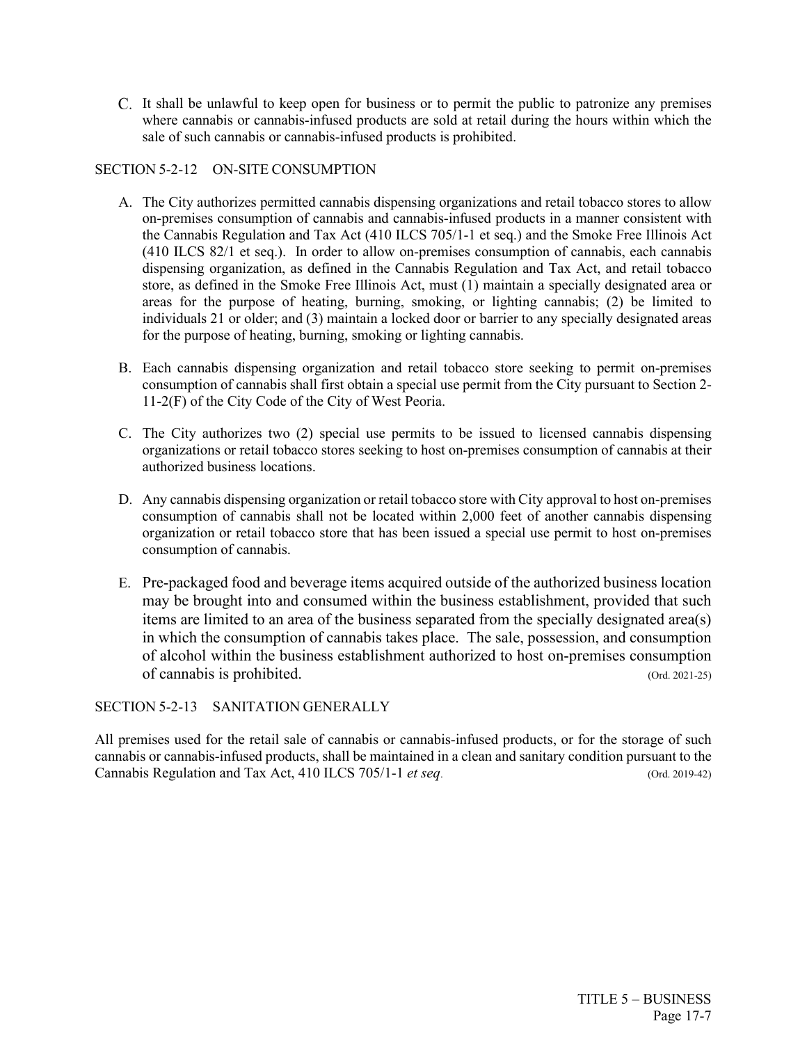It shall be unlawful to keep open for business or to permit the public to patronize any premises where cannabis or cannabis-infused products are sold at retail during the hours within which the sale of such cannabis or cannabis-infused products is prohibited.

## SECTION 5-2-12 ON-SITE CONSUMPTION

- A. The City authorizes permitted cannabis dispensing organizations and retail tobacco stores to allow on-premises consumption of cannabis and cannabis-infused products in a manner consistent with the Cannabis Regulation and Tax Act (410 ILCS 705/1-1 et seq.) and the Smoke Free Illinois Act (410 ILCS 82/1 et seq.). In order to allow on-premises consumption of cannabis, each cannabis dispensing organization, as defined in the Cannabis Regulation and Tax Act, and retail tobacco store, as defined in the Smoke Free Illinois Act, must (1) maintain a specially designated area or areas for the purpose of heating, burning, smoking, or lighting cannabis; (2) be limited to individuals 21 or older; and (3) maintain a locked door or barrier to any specially designated areas for the purpose of heating, burning, smoking or lighting cannabis.
- B. Each cannabis dispensing organization and retail tobacco store seeking to permit on-premises consumption of cannabis shall first obtain a special use permit from the City pursuant to Section 2- 11-2(F) of the City Code of the City of West Peoria.
- C. The City authorizes two (2) special use permits to be issued to licensed cannabis dispensing organizations or retail tobacco stores seeking to host on-premises consumption of cannabis at their authorized business locations.
- D. Any cannabis dispensing organization or retail tobacco store with City approval to host on-premises consumption of cannabis shall not be located within 2,000 feet of another cannabis dispensing organization or retail tobacco store that has been issued a special use permit to host on-premises consumption of cannabis.
- E. Pre-packaged food and beverage items acquired outside of the authorized business location may be brought into and consumed within the business establishment, provided that such items are limited to an area of the business separated from the specially designated area(s) in which the consumption of cannabis takes place. The sale, possession, and consumption of alcohol within the business establishment authorized to host on-premises consumption of cannabis is prohibited. (Ord. 2021-25)

## SECTION 5-2-13 SANITATION GENERALLY

All premises used for the retail sale of cannabis or cannabis-infused products, or for the storage of such cannabis or cannabis-infused products, shall be maintained in a clean and sanitary condition pursuant to the Cannabis Regulation and Tax Act, 410 ILCS 705/1-1 *et seq*. (Ord. 2019-42)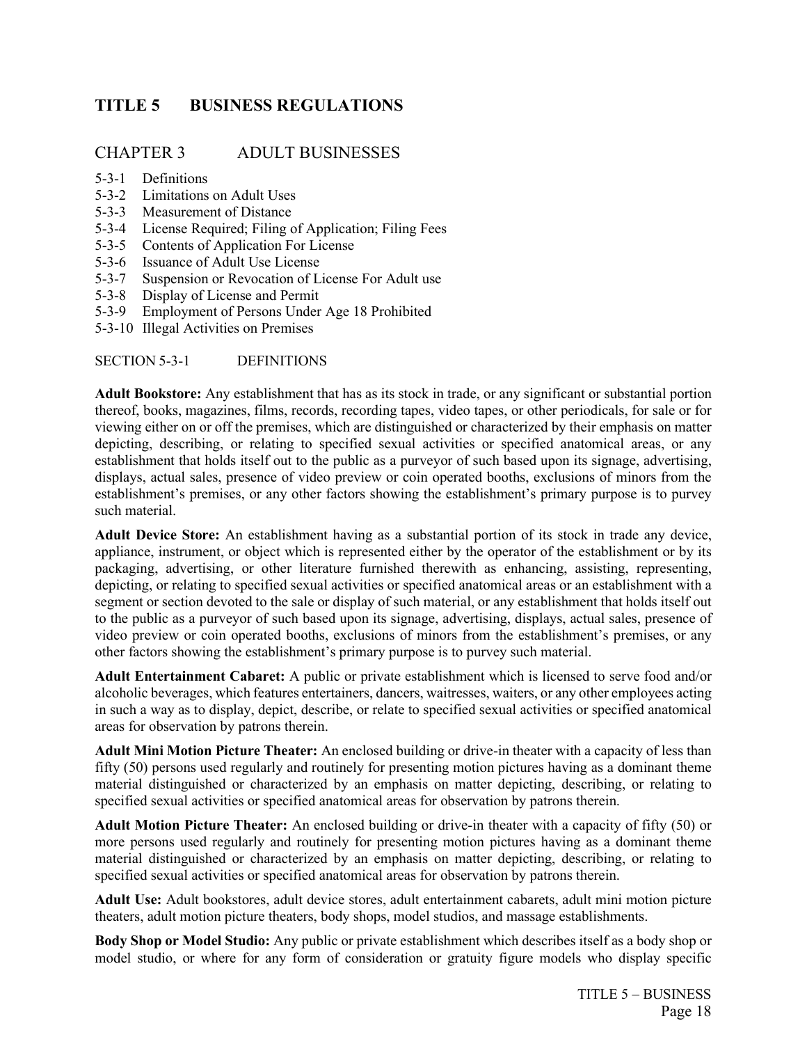# <span id="page-25-0"></span>**TITLE 5 BUSINESS REGULATIONS**

## CHAPTER 3 ADULT BUSINESSES

- 5-3-1 Definitions
- 5-3-2 Limitations on Adult Uses
- 5-3-3 Measurement of Distance
- 5-3-4 License Required; Filing of Application; Filing Fees
- 5-3-5 Contents of Application For License
- 5-3-6 Issuance of Adult Use License
- 5-3-7 Suspension or Revocation of License For Adult use
- 5-3-8 Display of License and Permit
- 5-3-9 Employment of Persons Under Age 18 Prohibited
- 5-3-10 Illegal Activities on Premises

SECTION 5-3-1 DEFINITIONS

**Adult Bookstore:** Any establishment that has as its stock in trade, or any significant or substantial portion thereof, books, magazines, films, records, recording tapes, video tapes, or other periodicals, for sale or for viewing either on or off the premises, which are distinguished or characterized by their emphasis on matter depicting, describing, or relating to specified sexual activities or specified anatomical areas, or any establishment that holds itself out to the public as a purveyor of such based upon its signage, advertising, displays, actual sales, presence of video preview or coin operated booths, exclusions of minors from the establishment's premises, or any other factors showing the establishment's primary purpose is to purvey such material.

**Adult Device Store:** An establishment having as a substantial portion of its stock in trade any device, appliance, instrument, or object which is represented either by the operator of the establishment or by its packaging, advertising, or other literature furnished therewith as enhancing, assisting, representing, depicting, or relating to specified sexual activities or specified anatomical areas or an establishment with a segment or section devoted to the sale or display of such material, or any establishment that holds itself out to the public as a purveyor of such based upon its signage, advertising, displays, actual sales, presence of video preview or coin operated booths, exclusions of minors from the establishment's premises, or any other factors showing the establishment's primary purpose is to purvey such material.

**Adult Entertainment Cabaret:** A public or private establishment which is licensed to serve food and/or alcoholic beverages, which features entertainers, dancers, waitresses, waiters, or any other employees acting in such a way as to display, depict, describe, or relate to specified sexual activities or specified anatomical areas for observation by patrons therein.

**Adult Mini Motion Picture Theater:** An enclosed building or drive-in theater with a capacity of less than fifty (50) persons used regularly and routinely for presenting motion pictures having as a dominant theme material distinguished or characterized by an emphasis on matter depicting, describing, or relating to specified sexual activities or specified anatomical areas for observation by patrons therein.

**Adult Motion Picture Theater:** An enclosed building or drive-in theater with a capacity of fifty (50) or more persons used regularly and routinely for presenting motion pictures having as a dominant theme material distinguished or characterized by an emphasis on matter depicting, describing, or relating to specified sexual activities or specified anatomical areas for observation by patrons therein.

**Adult Use:** Adult bookstores, adult device stores, adult entertainment cabarets, adult mini motion picture theaters, adult motion picture theaters, body shops, model studios, and massage establishments.

**Body Shop or Model Studio:** Any public or private establishment which describes itself as a body shop or model studio, or where for any form of consideration or gratuity figure models who display specific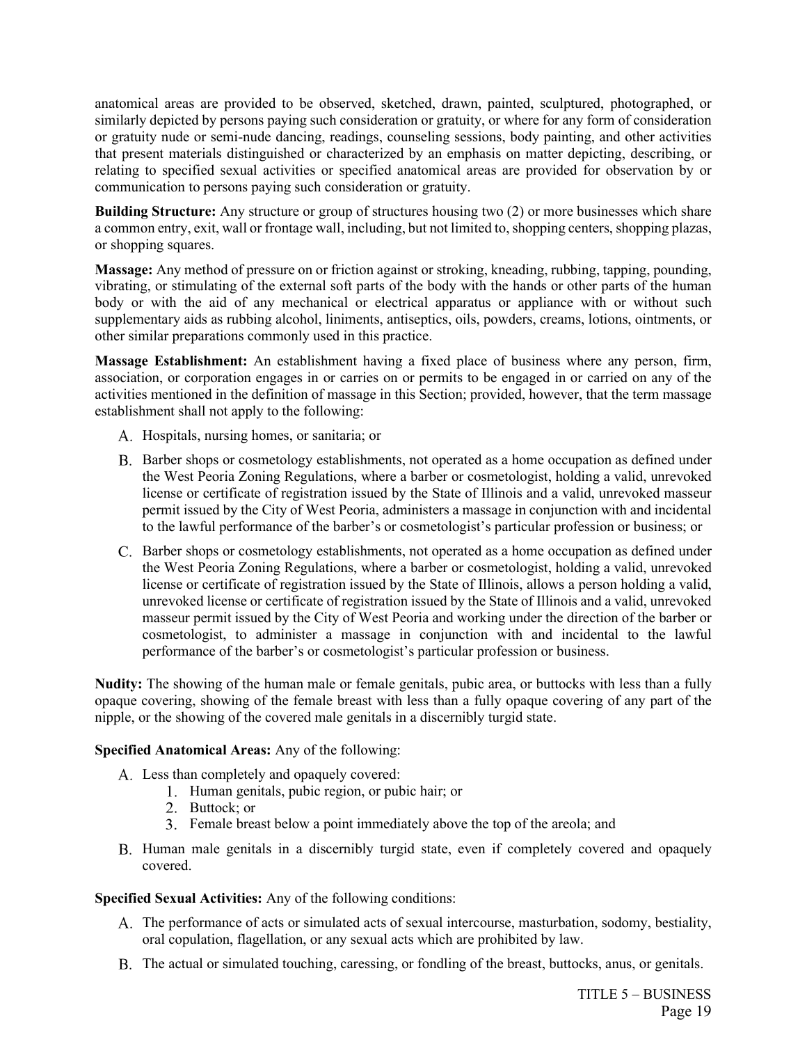anatomical areas are provided to be observed, sketched, drawn, painted, sculptured, photographed, or similarly depicted by persons paying such consideration or gratuity, or where for any form of consideration or gratuity nude or semi-nude dancing, readings, counseling sessions, body painting, and other activities that present materials distinguished or characterized by an emphasis on matter depicting, describing, or relating to specified sexual activities or specified anatomical areas are provided for observation by or communication to persons paying such consideration or gratuity.

**Building Structure:** Any structure or group of structures housing two (2) or more businesses which share a common entry, exit, wall or frontage wall, including, but not limited to, shopping centers, shopping plazas, or shopping squares.

**Massage:** Any method of pressure on or friction against or stroking, kneading, rubbing, tapping, pounding, vibrating, or stimulating of the external soft parts of the body with the hands or other parts of the human body or with the aid of any mechanical or electrical apparatus or appliance with or without such supplementary aids as rubbing alcohol, liniments, antiseptics, oils, powders, creams, lotions, ointments, or other similar preparations commonly used in this practice.

**Massage Establishment:** An establishment having a fixed place of business where any person, firm, association, or corporation engages in or carries on or permits to be engaged in or carried on any of the activities mentioned in the definition of massage in this Section; provided, however, that the term massage establishment shall not apply to the following:

- A. Hospitals, nursing homes, or sanitaria; or
- B. Barber shops or cosmetology establishments, not operated as a home occupation as defined under the West Peoria Zoning Regulations, where a barber or cosmetologist, holding a valid, unrevoked license or certificate of registration issued by the State of Illinois and a valid, unrevoked masseur permit issued by the City of West Peoria, administers a massage in conjunction with and incidental to the lawful performance of the barber's or cosmetologist's particular profession or business; or
- C. Barber shops or cosmetology establishments, not operated as a home occupation as defined under the West Peoria Zoning Regulations, where a barber or cosmetologist, holding a valid, unrevoked license or certificate of registration issued by the State of Illinois, allows a person holding a valid, unrevoked license or certificate of registration issued by the State of Illinois and a valid, unrevoked masseur permit issued by the City of West Peoria and working under the direction of the barber or cosmetologist, to administer a massage in conjunction with and incidental to the lawful performance of the barber's or cosmetologist's particular profession or business.

**Nudity:** The showing of the human male or female genitals, pubic area, or buttocks with less than a fully opaque covering, showing of the female breast with less than a fully opaque covering of any part of the nipple, or the showing of the covered male genitals in a discernibly turgid state.

## **Specified Anatomical Areas:** Any of the following:

- A. Less than completely and opaquely covered:
	- 1. Human genitals, pubic region, or pubic hair; or
	- 2. Buttock; or
	- Female breast below a point immediately above the top of the areola; and
- B. Human male genitals in a discernibly turgid state, even if completely covered and opaquely covered.

## **Specified Sexual Activities:** Any of the following conditions:

- The performance of acts or simulated acts of sexual intercourse, masturbation, sodomy, bestiality, oral copulation, flagellation, or any sexual acts which are prohibited by law.
- The actual or simulated touching, caressing, or fondling of the breast, buttocks, anus, or genitals.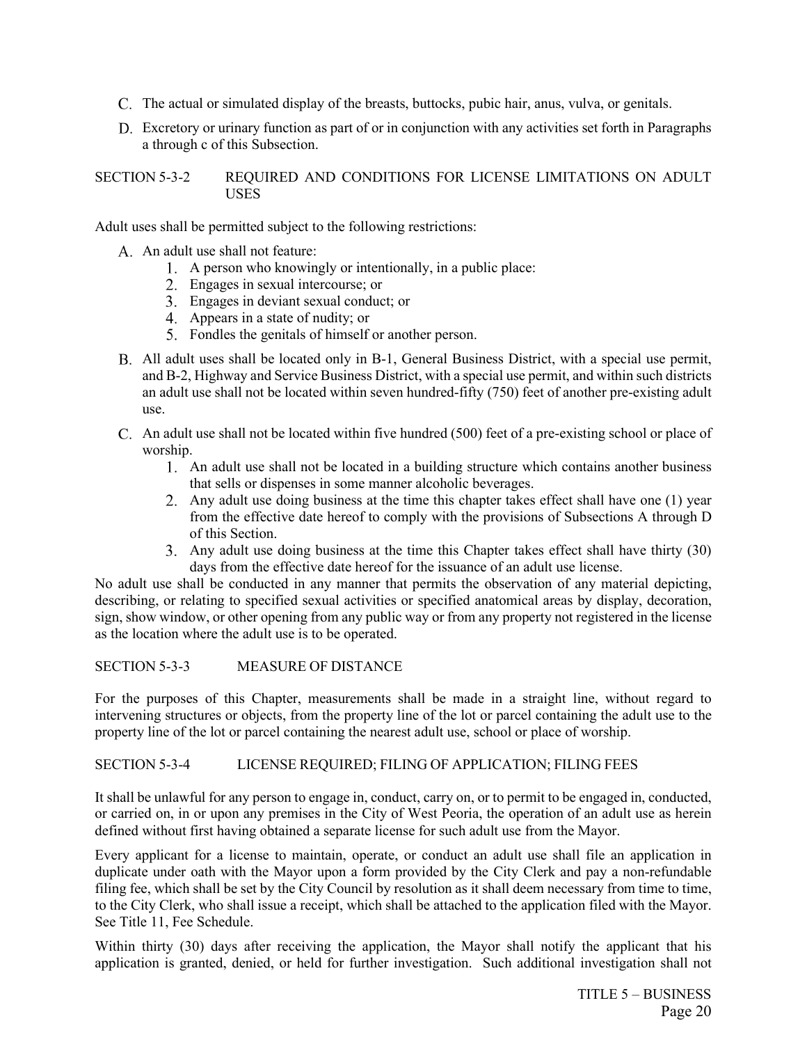- The actual or simulated display of the breasts, buttocks, pubic hair, anus, vulva, or genitals.
- Excretory or urinary function as part of or in conjunction with any activities set forth in Paragraphs a through c of this Subsection.

## SECTION 5-3-2 REQUIRED AND CONDITIONS FOR LICENSE LIMITATIONS ON ADULT **USES**

Adult uses shall be permitted subject to the following restrictions:

- A. An adult use shall not feature:
	- A person who knowingly or intentionally, in a public place:
	- Engages in sexual intercourse; or
	- Engages in deviant sexual conduct; or
	- Appears in a state of nudity; or
	- Fondles the genitals of himself or another person.
- All adult uses shall be located only in B-1, General Business District, with a special use permit, and B-2, Highway and Service Business District, with a special use permit, and within such districts an adult use shall not be located within seven hundred-fifty (750) feet of another pre-existing adult use.
- C. An adult use shall not be located within five hundred (500) feet of a pre-existing school or place of worship.
	- An adult use shall not be located in a building structure which contains another business that sells or dispenses in some manner alcoholic beverages.
	- Any adult use doing business at the time this chapter takes effect shall have one (1) year from the effective date hereof to comply with the provisions of Subsections A through D of this Section.
	- Any adult use doing business at the time this Chapter takes effect shall have thirty (30) days from the effective date hereof for the issuance of an adult use license.

No adult use shall be conducted in any manner that permits the observation of any material depicting, describing, or relating to specified sexual activities or specified anatomical areas by display, decoration, sign, show window, or other opening from any public way or from any property not registered in the license as the location where the adult use is to be operated.

## SECTION 5-3-3 MEASURE OF DISTANCE

For the purposes of this Chapter, measurements shall be made in a straight line, without regard to intervening structures or objects, from the property line of the lot or parcel containing the adult use to the property line of the lot or parcel containing the nearest adult use, school or place of worship.

## SECTION 5-3-4 LICENSE REQUIRED; FILING OF APPLICATION; FILING FEES

It shall be unlawful for any person to engage in, conduct, carry on, or to permit to be engaged in, conducted, or carried on, in or upon any premises in the City of West Peoria, the operation of an adult use as herein defined without first having obtained a separate license for such adult use from the Mayor.

Every applicant for a license to maintain, operate, or conduct an adult use shall file an application in duplicate under oath with the Mayor upon a form provided by the City Clerk and pay a non-refundable filing fee, which shall be set by the City Council by resolution as it shall deem necessary from time to time, to the City Clerk, who shall issue a receipt, which shall be attached to the application filed with the Mayor. See Title 11, Fee Schedule.

Within thirty (30) days after receiving the application, the Mayor shall notify the applicant that his application is granted, denied, or held for further investigation. Such additional investigation shall not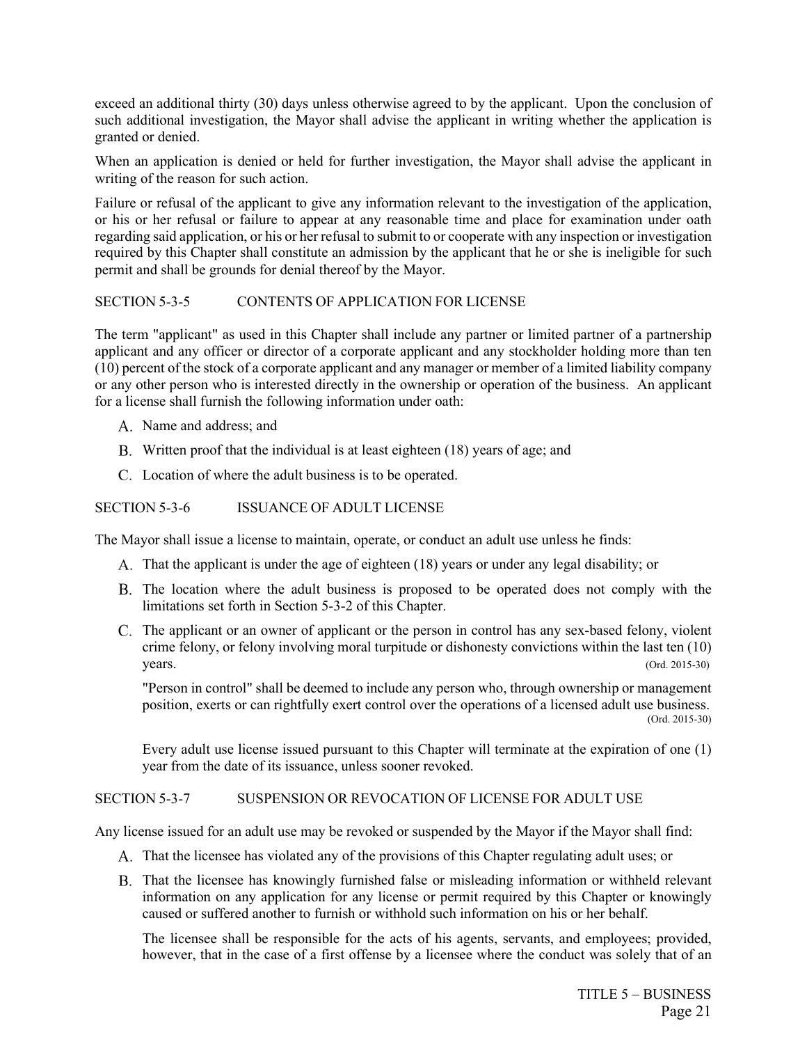exceed an additional thirty (30) days unless otherwise agreed to by the applicant. Upon the conclusion of such additional investigation, the Mayor shall advise the applicant in writing whether the application is granted or denied.

When an application is denied or held for further investigation, the Mayor shall advise the applicant in writing of the reason for such action.

Failure or refusal of the applicant to give any information relevant to the investigation of the application, or his or her refusal or failure to appear at any reasonable time and place for examination under oath regarding said application, or his or her refusal to submit to or cooperate with any inspection or investigation required by this Chapter shall constitute an admission by the applicant that he or she is ineligible for such permit and shall be grounds for denial thereof by the Mayor.

## SECTION 5-3-5 CONTENTS OF APPLICATION FOR LICENSE

The term "applicant" as used in this Chapter shall include any partner or limited partner of a partnership applicant and any officer or director of a corporate applicant and any stockholder holding more than ten (10) percent of the stock of a corporate applicant and any manager or member of a limited liability company or any other person who is interested directly in the ownership or operation of the business. An applicant for a license shall furnish the following information under oath:

- A. Name and address; and
- B. Written proof that the individual is at least eighteen (18) years of age; and
- Location of where the adult business is to be operated.

## SECTION 5-3-6 ISSUANCE OF ADULT LICENSE

The Mayor shall issue a license to maintain, operate, or conduct an adult use unless he finds:

- That the applicant is under the age of eighteen (18) years or under any legal disability; or
- The location where the adult business is proposed to be operated does not comply with the limitations set forth in Section 5-3-2 of this Chapter.
- C. The applicant or an owner of applicant or the person in control has any sex-based felony, violent crime felony, or felony involving moral turpitude or dishonesty convictions within the last ten (10) years. (Ord. 2015-30)

"Person in control" shall be deemed to include any person who, through ownership or management position, exerts or can rightfully exert control over the operations of a licensed adult use business. (Ord. 2015-30)

Every adult use license issued pursuant to this Chapter will terminate at the expiration of one (1) year from the date of its issuance, unless sooner revoked.

## SECTION 5-3-7 SUSPENSION OR REVOCATION OF LICENSE FOR ADULT USE

Any license issued for an adult use may be revoked or suspended by the Mayor if the Mayor shall find:

- That the licensee has violated any of the provisions of this Chapter regulating adult uses; or
- That the licensee has knowingly furnished false or misleading information or withheld relevant information on any application for any license or permit required by this Chapter or knowingly caused or suffered another to furnish or withhold such information on his or her behalf.

The licensee shall be responsible for the acts of his agents, servants, and employees; provided, however, that in the case of a first offense by a licensee where the conduct was solely that of an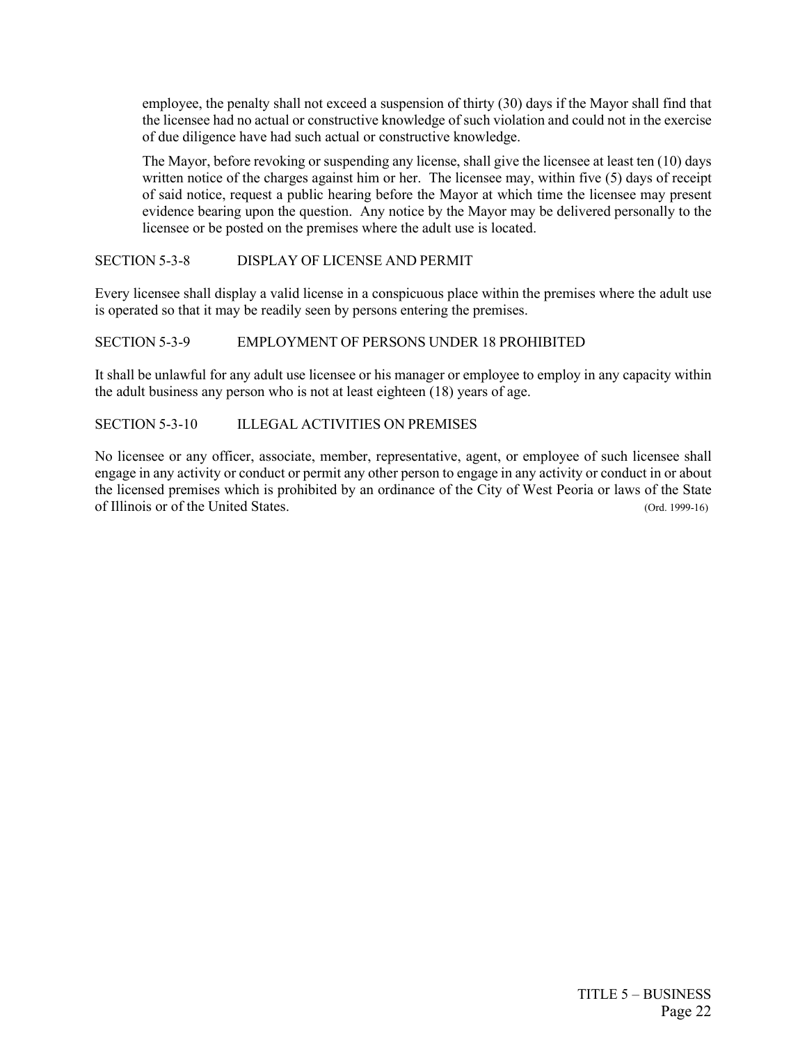employee, the penalty shall not exceed a suspension of thirty (30) days if the Mayor shall find that the licensee had no actual or constructive knowledge of such violation and could not in the exercise of due diligence have had such actual or constructive knowledge.

The Mayor, before revoking or suspending any license, shall give the licensee at least ten (10) days written notice of the charges against him or her. The licensee may, within five (5) days of receipt of said notice, request a public hearing before the Mayor at which time the licensee may present evidence bearing upon the question. Any notice by the Mayor may be delivered personally to the licensee or be posted on the premises where the adult use is located.

## SECTION 5-3-8 DISPLAY OF LICENSE AND PERMIT

Every licensee shall display a valid license in a conspicuous place within the premises where the adult use is operated so that it may be readily seen by persons entering the premises.

## SECTION 5-3-9 EMPLOYMENT OF PERSONS UNDER 18 PROHIBITED

It shall be unlawful for any adult use licensee or his manager or employee to employ in any capacity within the adult business any person who is not at least eighteen (18) years of age.

## SECTION 5-3-10 ILLEGAL ACTIVITIES ON PREMISES

No licensee or any officer, associate, member, representative, agent, or employee of such licensee shall engage in any activity or conduct or permit any other person to engage in any activity or conduct in or about the licensed premises which is prohibited by an ordinance of the City of West Peoria or laws of the State of Illinois or of the United States. (Ord. 1999-16)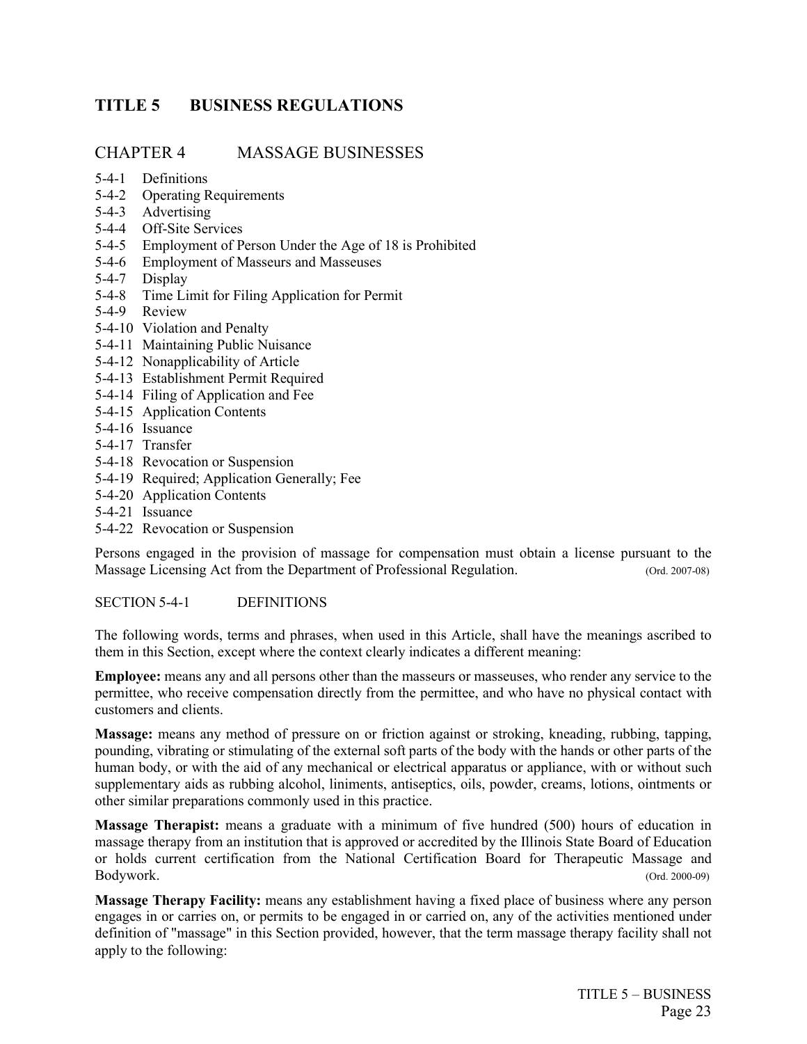# <span id="page-30-0"></span>**TITLE 5 BUSINESS REGULATIONS**

## CHAPTER 4 MASSAGE BUSINESSES

- 5-4-1 Definitions
- 5-4-2 Operating Requirements
- 5-4-3 Advertising
- 5-4-4 Off-Site Services
- 5-4-5 Employment of Person Under the Age of 18 is Prohibited
- 5-4-6 Employment of Masseurs and Masseuses
- 5-4-7 Display
- 5-4-8 Time Limit for Filing Application for Permit
- 5-4-9 Review
- 5-4-10 Violation and Penalty
- 5-4-11 Maintaining Public Nuisance
- 5-4-12 Nonapplicability of Article
- 5-4-13 Establishment Permit Required
- 5-4-14 Filing of Application and Fee
- 5-4-15 Application Contents
- 5-4-16 Issuance
- 5-4-17 Transfer
- 5-4-18 Revocation or Suspension
- 5-4-19 Required; Application Generally; Fee
- 5-4-20 Application Contents
- 5-4-21 Issuance
- 5-4-22 Revocation or Suspension

Persons engaged in the provision of massage for compensation must obtain a license pursuant to the Massage Licensing Act from the Department of Professional Regulation. (Ord. 2007-08)

## SECTION 5-4-1 DEFINITIONS

The following words, terms and phrases, when used in this Article, shall have the meanings ascribed to them in this Section, except where the context clearly indicates a different meaning:

**Employee:** means any and all persons other than the masseurs or masseuses, who render any service to the permittee, who receive compensation directly from the permittee, and who have no physical contact with customers and clients.

**Massage:** means any method of pressure on or friction against or stroking, kneading, rubbing, tapping, pounding, vibrating or stimulating of the external soft parts of the body with the hands or other parts of the human body, or with the aid of any mechanical or electrical apparatus or appliance, with or without such supplementary aids as rubbing alcohol, liniments, antiseptics, oils, powder, creams, lotions, ointments or other similar preparations commonly used in this practice.

**Massage Therapist:** means a graduate with a minimum of five hundred (500) hours of education in massage therapy from an institution that is approved or accredited by the Illinois State Board of Education or holds current certification from the National Certification Board for Therapeutic Massage and Bodywork. (Ord. 2000-09)

**Massage Therapy Facility:** means any establishment having a fixed place of business where any person engages in or carries on, or permits to be engaged in or carried on, any of the activities mentioned under definition of "massage" in this Section provided, however, that the term massage therapy facility shall not apply to the following: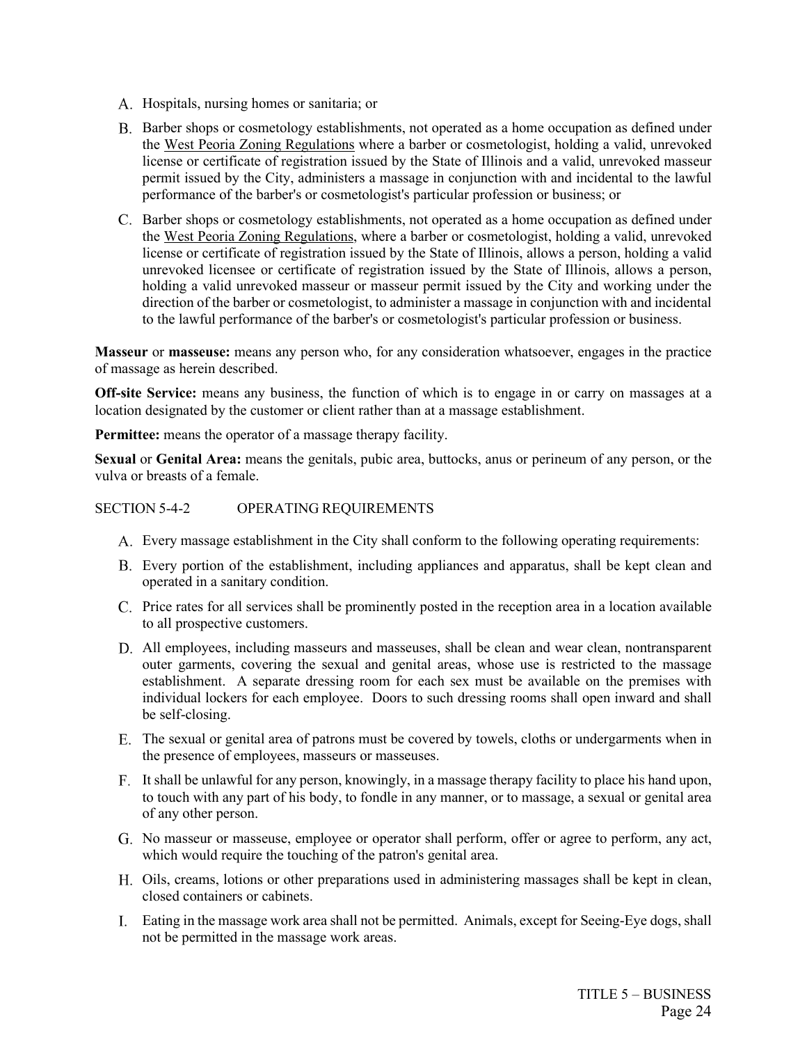- A. Hospitals, nursing homes or sanitaria; or
- B. Barber shops or cosmetology establishments, not operated as a home occupation as defined under the West Peoria Zoning Regulations where a barber or cosmetologist, holding a valid, unrevoked license or certificate of registration issued by the State of Illinois and a valid, unrevoked masseur permit issued by the City, administers a massage in conjunction with and incidental to the lawful performance of the barber's or cosmetologist's particular profession or business; or
- C. Barber shops or cosmetology establishments, not operated as a home occupation as defined under the West Peoria Zoning Regulations, where a barber or cosmetologist, holding a valid, unrevoked license or certificate of registration issued by the State of Illinois, allows a person, holding a valid unrevoked licensee or certificate of registration issued by the State of Illinois, allows a person, holding a valid unrevoked masseur or masseur permit issued by the City and working under the direction of the barber or cosmetologist, to administer a massage in conjunction with and incidental to the lawful performance of the barber's or cosmetologist's particular profession or business.

**Masseur** or **masseuse:** means any person who, for any consideration whatsoever, engages in the practice of massage as herein described.

**Off-site Service:** means any business, the function of which is to engage in or carry on massages at a location designated by the customer or client rather than at a massage establishment.

**Permittee:** means the operator of a massage therapy facility.

**Sexual** or **Genital Area:** means the genitals, pubic area, buttocks, anus or perineum of any person, or the vulva or breasts of a female.

## SECTION 5-4-2 OPERATING REQUIREMENTS

- Every massage establishment in the City shall conform to the following operating requirements:
- Every portion of the establishment, including appliances and apparatus, shall be kept clean and operated in a sanitary condition.
- Price rates for all services shall be prominently posted in the reception area in a location available to all prospective customers.
- All employees, including masseurs and masseuses, shall be clean and wear clean, nontransparent outer garments, covering the sexual and genital areas, whose use is restricted to the massage establishment. A separate dressing room for each sex must be available on the premises with individual lockers for each employee. Doors to such dressing rooms shall open inward and shall be self-closing.
- The sexual or genital area of patrons must be covered by towels, cloths or undergarments when in the presence of employees, masseurs or masseuses.
- It shall be unlawful for any person, knowingly, in a massage therapy facility to place his hand upon, to touch with any part of his body, to fondle in any manner, or to massage, a sexual or genital area of any other person.
- No masseur or masseuse, employee or operator shall perform, offer or agree to perform, any act, which would require the touching of the patron's genital area.
- Oils, creams, lotions or other preparations used in administering massages shall be kept in clean, closed containers or cabinets.
- Eating in the massage work area shall not be permitted. Animals, except for Seeing-Eye dogs, shall not be permitted in the massage work areas.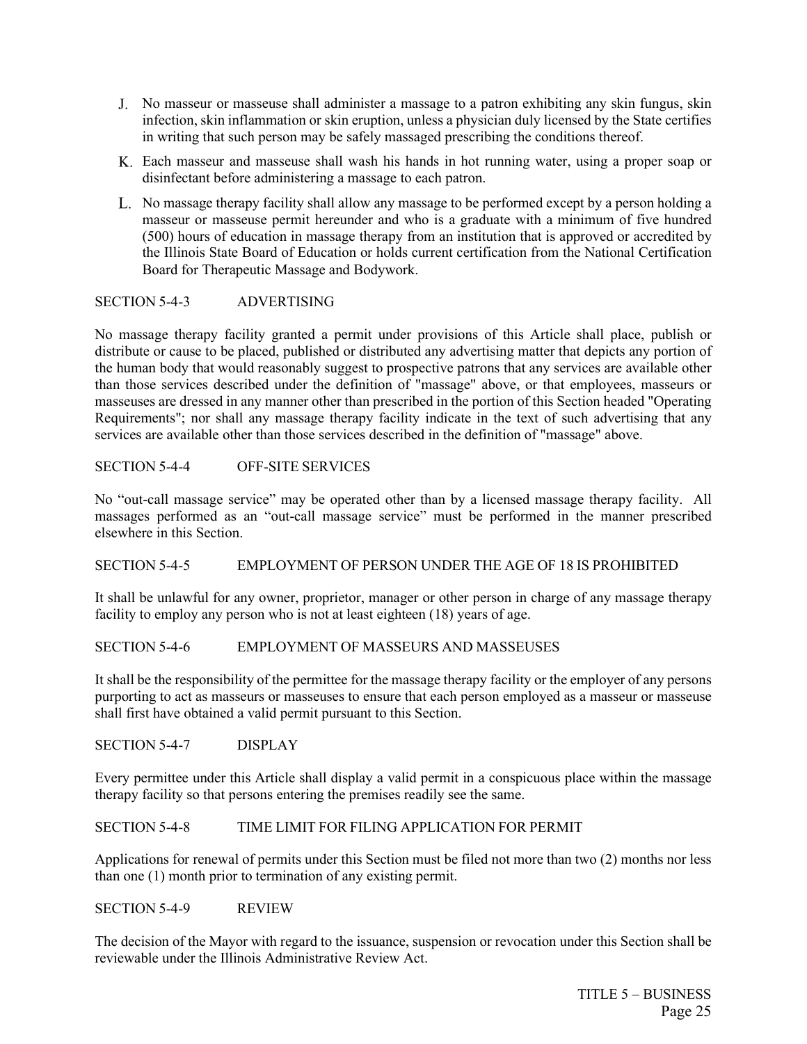- No masseur or masseuse shall administer a massage to a patron exhibiting any skin fungus, skin infection, skin inflammation or skin eruption, unless a physician duly licensed by the State certifies in writing that such person may be safely massaged prescribing the conditions thereof.
- Each masseur and masseuse shall wash his hands in hot running water, using a proper soap or disinfectant before administering a massage to each patron.
- L. No massage therapy facility shall allow any massage to be performed except by a person holding a masseur or masseuse permit hereunder and who is a graduate with a minimum of five hundred (500) hours of education in massage therapy from an institution that is approved or accredited by the Illinois State Board of Education or holds current certification from the National Certification Board for Therapeutic Massage and Bodywork.

## SECTION 5-4-3 ADVERTISING

No massage therapy facility granted a permit under provisions of this Article shall place, publish or distribute or cause to be placed, published or distributed any advertising matter that depicts any portion of the human body that would reasonably suggest to prospective patrons that any services are available other than those services described under the definition of "massage" above, or that employees, masseurs or masseuses are dressed in any manner other than prescribed in the portion of this Section headed "Operating Requirements"; nor shall any massage therapy facility indicate in the text of such advertising that any services are available other than those services described in the definition of "massage" above.

SECTION 5-4-4 OFF-SITE SERVICES

No "out-call massage service" may be operated other than by a licensed massage therapy facility. All massages performed as an "out-call massage service" must be performed in the manner prescribed elsewhere in this Section.

## SECTION 5-4-5 EMPLOYMENT OF PERSON UNDER THE AGE OF 18 IS PROHIBITED

It shall be unlawful for any owner, proprietor, manager or other person in charge of any massage therapy facility to employ any person who is not at least eighteen (18) years of age.

## SECTION 5-4-6 EMPLOYMENT OF MASSEURS AND MASSEUSES

It shall be the responsibility of the permittee for the massage therapy facility or the employer of any persons purporting to act as masseurs or masseuses to ensure that each person employed as a masseur or masseuse shall first have obtained a valid permit pursuant to this Section.

SECTION 5-4-7 DISPLAY

Every permittee under this Article shall display a valid permit in a conspicuous place within the massage therapy facility so that persons entering the premises readily see the same.

## SECTION 5-4-8 TIME LIMIT FOR FILING APPLICATION FOR PERMIT

Applications for renewal of permits under this Section must be filed not more than two (2) months nor less than one (1) month prior to termination of any existing permit.

SECTION 5-4-9 REVIEW

The decision of the Mayor with regard to the issuance, suspension or revocation under this Section shall be reviewable under the Illinois Administrative Review Act.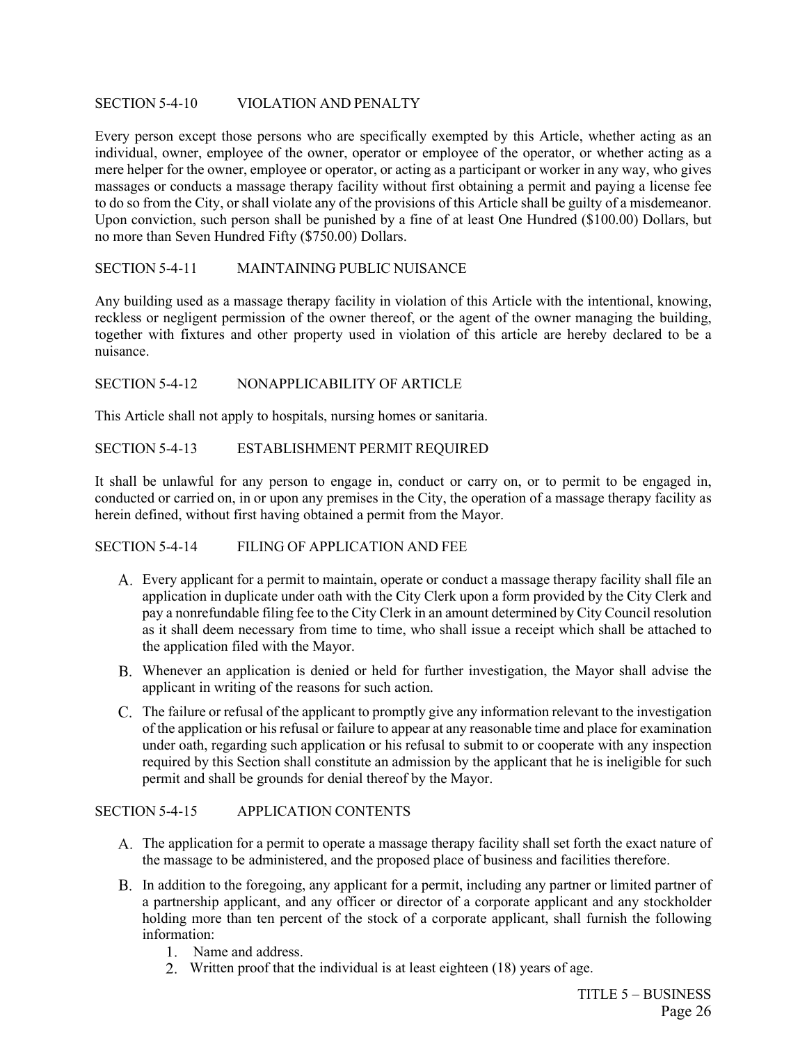## SECTION 5-4-10 VIOLATION AND PENALTY

Every person except those persons who are specifically exempted by this Article, whether acting as an individual, owner, employee of the owner, operator or employee of the operator, or whether acting as a mere helper for the owner, employee or operator, or acting as a participant or worker in any way, who gives massages or conducts a massage therapy facility without first obtaining a permit and paying a license fee to do so from the City, or shall violate any of the provisions of this Article shall be guilty of a misdemeanor. Upon conviction, such person shall be punished by a fine of at least One Hundred (\$100.00) Dollars, but no more than Seven Hundred Fifty (\$750.00) Dollars.

## SECTION 5-4-11 MAINTAINING PUBLIC NUISANCE

Any building used as a massage therapy facility in violation of this Article with the intentional, knowing, reckless or negligent permission of the owner thereof, or the agent of the owner managing the building, together with fixtures and other property used in violation of this article are hereby declared to be a nuisance.

## SECTION 5-4-12 NONAPPLICABILITY OF ARTICLE

This Article shall not apply to hospitals, nursing homes or sanitaria.

## SECTION 5-4-13 ESTABLISHMENT PERMIT REQUIRED

It shall be unlawful for any person to engage in, conduct or carry on, or to permit to be engaged in, conducted or carried on, in or upon any premises in the City, the operation of a massage therapy facility as herein defined, without first having obtained a permit from the Mayor.

## SECTION 5-4-14 FILING OF APPLICATION AND FEE

- Every applicant for a permit to maintain, operate or conduct a massage therapy facility shall file an application in duplicate under oath with the City Clerk upon a form provided by the City Clerk and pay a nonrefundable filing fee to the City Clerk in an amount determined by City Council resolution as it shall deem necessary from time to time, who shall issue a receipt which shall be attached to the application filed with the Mayor.
- Whenever an application is denied or held for further investigation, the Mayor shall advise the applicant in writing of the reasons for such action.
- C. The failure or refusal of the applicant to promptly give any information relevant to the investigation of the application or his refusal or failure to appear at any reasonable time and place for examination under oath, regarding such application or his refusal to submit to or cooperate with any inspection required by this Section shall constitute an admission by the applicant that he is ineligible for such permit and shall be grounds for denial thereof by the Mayor.

## SECTION 5-4-15 APPLICATION CONTENTS

- The application for a permit to operate a massage therapy facility shall set forth the exact nature of the massage to be administered, and the proposed place of business and facilities therefore.
- B. In addition to the foregoing, any applicant for a permit, including any partner or limited partner of a partnership applicant, and any officer or director of a corporate applicant and any stockholder holding more than ten percent of the stock of a corporate applicant, shall furnish the following information:
	- 1. Name and address.
	- Written proof that the individual is at least eighteen (18) years of age.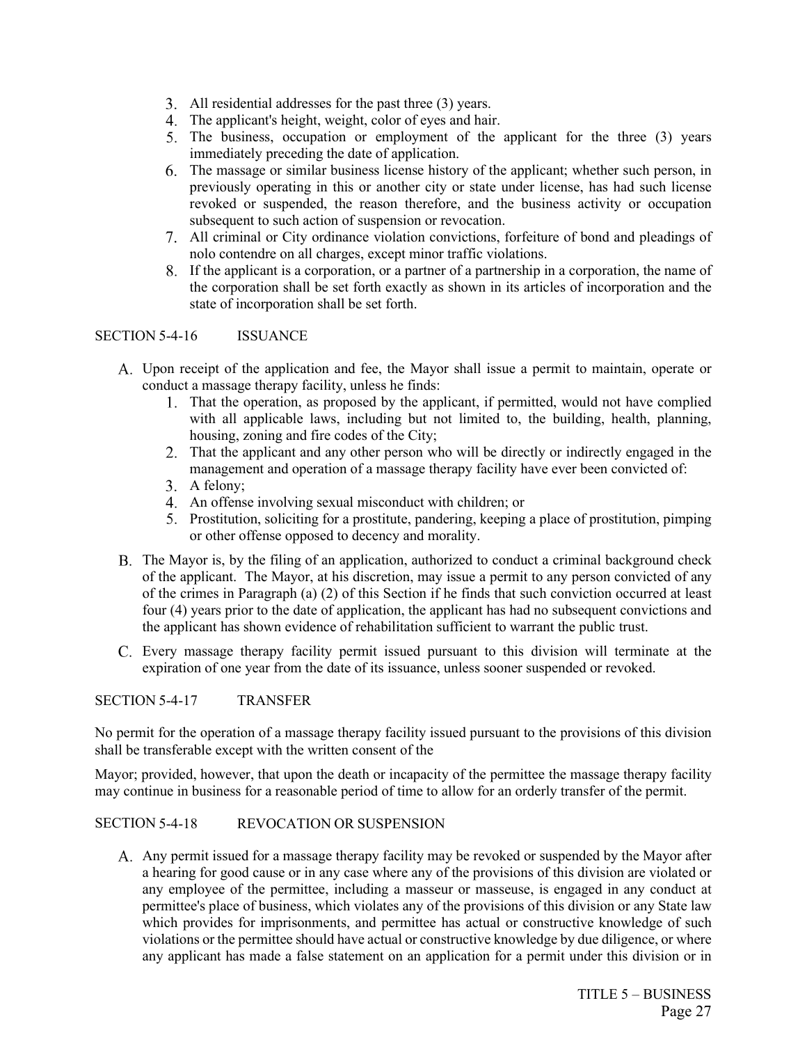- All residential addresses for the past three (3) years.
- The applicant's height, weight, color of eyes and hair.
- 5. The business, occupation or employment of the applicant for the three (3) years immediately preceding the date of application.
- The massage or similar business license history of the applicant; whether such person, in previously operating in this or another city or state under license, has had such license revoked or suspended, the reason therefore, and the business activity or occupation subsequent to such action of suspension or revocation.
- All criminal or City ordinance violation convictions, forfeiture of bond and pleadings of nolo contendre on all charges, except minor traffic violations.
- If the applicant is a corporation, or a partner of a partnership in a corporation, the name of the corporation shall be set forth exactly as shown in its articles of incorporation and the state of incorporation shall be set forth.

## SECTION 5-4-16 ISSUANCE

- Upon receipt of the application and fee, the Mayor shall issue a permit to maintain, operate or conduct a massage therapy facility, unless he finds:
	- That the operation, as proposed by the applicant, if permitted, would not have complied with all applicable laws, including but not limited to, the building, health, planning, housing, zoning and fire codes of the City;
	- That the applicant and any other person who will be directly or indirectly engaged in the management and operation of a massage therapy facility have ever been convicted of:
	- 3. A felony;
	- An offense involving sexual misconduct with children; or
	- Prostitution, soliciting for a prostitute, pandering, keeping a place of prostitution, pimping or other offense opposed to decency and morality.
- The Mayor is, by the filing of an application, authorized to conduct a criminal background check of the applicant. The Mayor, at his discretion, may issue a permit to any person convicted of any of the crimes in Paragraph (a) (2) of this Section if he finds that such conviction occurred at least four (4) years prior to the date of application, the applicant has had no subsequent convictions and the applicant has shown evidence of rehabilitation sufficient to warrant the public trust.
- Every massage therapy facility permit issued pursuant to this division will terminate at the expiration of one year from the date of its issuance, unless sooner suspended or revoked.

## SECTION 5-4-17 TRANSFER

No permit for the operation of a massage therapy facility issued pursuant to the provisions of this division shall be transferable except with the written consent of the

Mayor; provided, however, that upon the death or incapacity of the permittee the massage therapy facility may continue in business for a reasonable period of time to allow for an orderly transfer of the permit.

## SECTION 5-4-18 REVOCATION OR SUSPENSION

A. Any permit issued for a massage therapy facility may be revoked or suspended by the Mayor after a hearing for good cause or in any case where any of the provisions of this division are violated or any employee of the permittee, including a masseur or masseuse, is engaged in any conduct at permittee's place of business, which violates any of the provisions of this division or any State law which provides for imprisonments, and permittee has actual or constructive knowledge of such violations or the permittee should have actual or constructive knowledge by due diligence, or where any applicant has made a false statement on an application for a permit under this division or in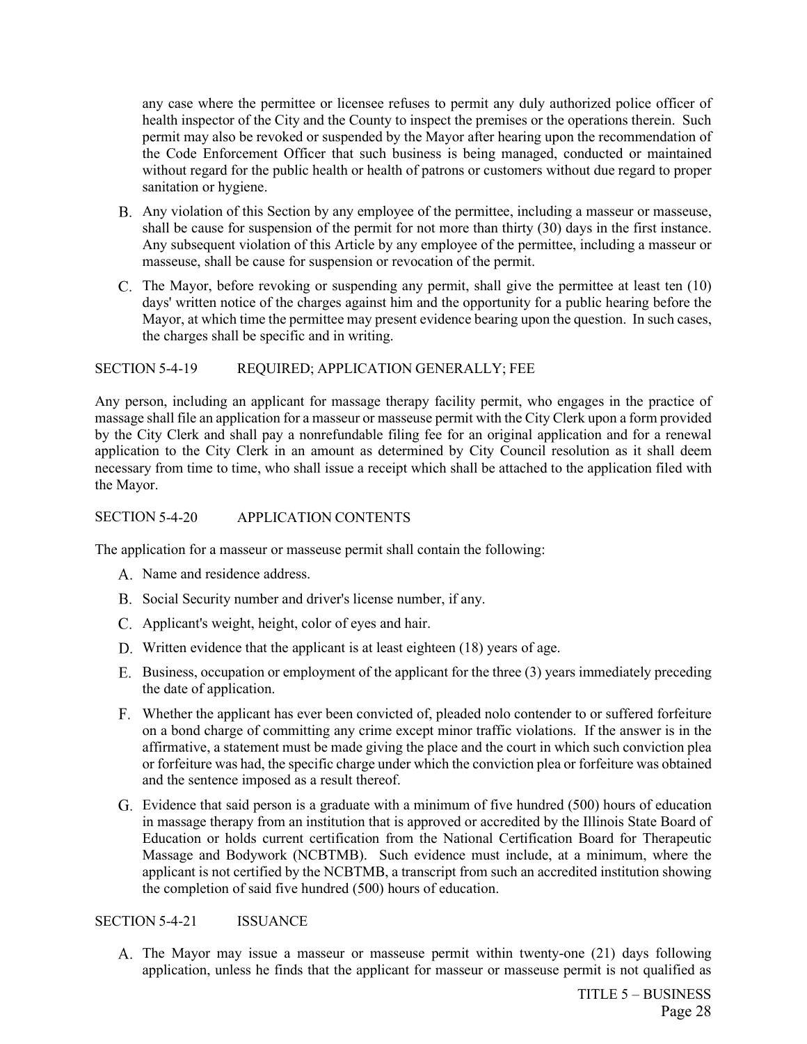any case where the permittee or licensee refuses to permit any duly authorized police officer of health inspector of the City and the County to inspect the premises or the operations therein. Such permit may also be revoked or suspended by the Mayor after hearing upon the recommendation of the Code Enforcement Officer that such business is being managed, conducted or maintained without regard for the public health or health of patrons or customers without due regard to proper sanitation or hygiene.

- Any violation of this Section by any employee of the permittee, including a masseur or masseuse, shall be cause for suspension of the permit for not more than thirty (30) days in the first instance. Any subsequent violation of this Article by any employee of the permittee, including a masseur or masseuse, shall be cause for suspension or revocation of the permit.
- C. The Mayor, before revoking or suspending any permit, shall give the permittee at least ten (10) days' written notice of the charges against him and the opportunity for a public hearing before the Mayor, at which time the permittee may present evidence bearing upon the question. In such cases, the charges shall be specific and in writing.

## SECTION 5-4-19 REQUIRED; APPLICATION GENERALLY; FEE

Any person, including an applicant for massage therapy facility permit, who engages in the practice of massage shall file an application for a masseur or masseuse permit with the City Clerk upon a form provided by the City Clerk and shall pay a nonrefundable filing fee for an original application and for a renewal application to the City Clerk in an amount as determined by City Council resolution as it shall deem necessary from time to time, who shall issue a receipt which shall be attached to the application filed with the Mayor.

## SECTION 5-4-20 APPLICATION CONTENTS

The application for a masseur or masseuse permit shall contain the following:

- A. Name and residence address.
- B. Social Security number and driver's license number, if any.
- C. Applicant's weight, height, color of eyes and hair.
- D. Written evidence that the applicant is at least eighteen (18) years of age.
- Business, occupation or employment of the applicant for the three (3) years immediately preceding the date of application.
- Whether the applicant has ever been convicted of, pleaded nolo contender to or suffered forfeiture on a bond charge of committing any crime except minor traffic violations. If the answer is in the affirmative, a statement must be made giving the place and the court in which such conviction plea or forfeiture was had, the specific charge under which the conviction plea or forfeiture was obtained and the sentence imposed as a result thereof.
- Evidence that said person is a graduate with a minimum of five hundred (500) hours of education in massage therapy from an institution that is approved or accredited by the Illinois State Board of Education or holds current certification from the National Certification Board for Therapeutic Massage and Bodywork (NCBTMB). Such evidence must include, at a minimum, where the applicant is not certified by the NCBTMB, a transcript from such an accredited institution showing the completion of said five hundred (500) hours of education.

## SECTION 5-4-21 ISSUANCE

The Mayor may issue a masseur or masseuse permit within twenty-one (21) days following application, unless he finds that the applicant for masseur or masseuse permit is not qualified as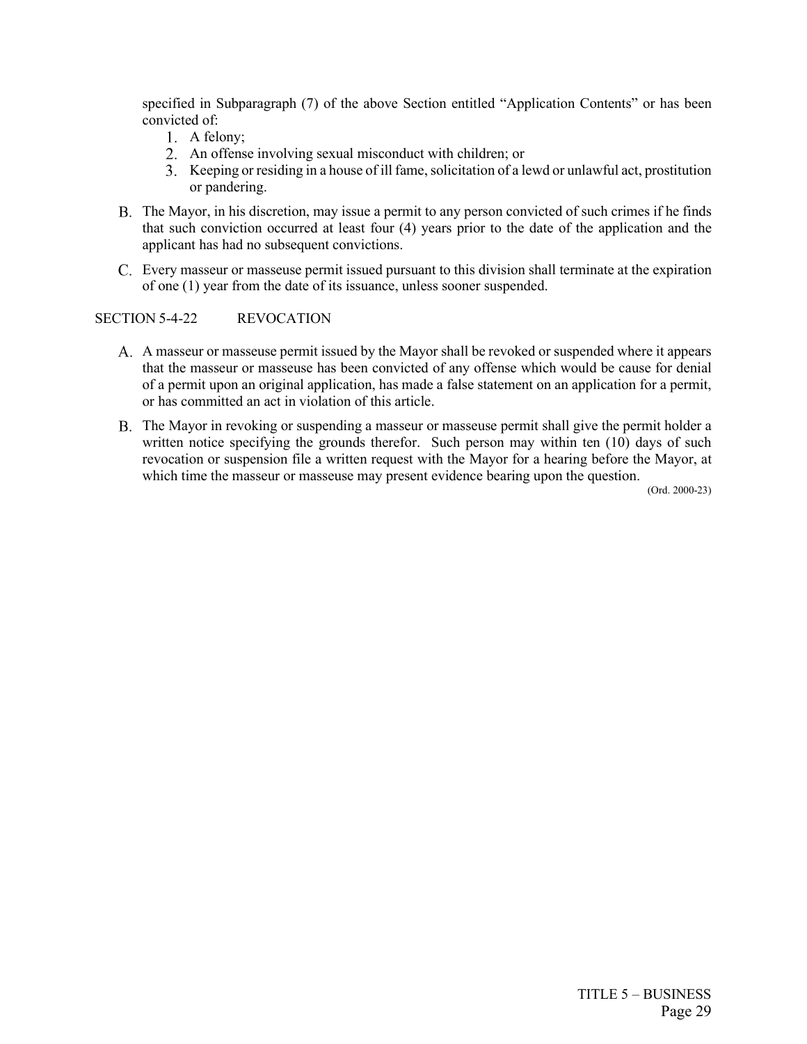specified in Subparagraph (7) of the above Section entitled "Application Contents" or has been convicted of:

- 1. A felony;
- An offense involving sexual misconduct with children; or
- Keeping or residing in a house of ill fame, solicitation of a lewd or unlawful act, prostitution or pandering.
- The Mayor, in his discretion, may issue a permit to any person convicted of such crimes if he finds that such conviction occurred at least four (4) years prior to the date of the application and the applicant has had no subsequent convictions.
- Every masseur or masseuse permit issued pursuant to this division shall terminate at the expiration of one (1) year from the date of its issuance, unless sooner suspended.

## SECTION 5-4-22 REVOCATION

- A masseur or masseuse permit issued by the Mayor shall be revoked or suspended where it appears that the masseur or masseuse has been convicted of any offense which would be cause for denial of a permit upon an original application, has made a false statement on an application for a permit, or has committed an act in violation of this article.
- The Mayor in revoking or suspending a masseur or masseuse permit shall give the permit holder a written notice specifying the grounds therefor. Such person may within ten (10) days of such revocation or suspension file a written request with the Mayor for a hearing before the Mayor, at which time the masseur or masseuse may present evidence bearing upon the question.

(Ord. 2000-23)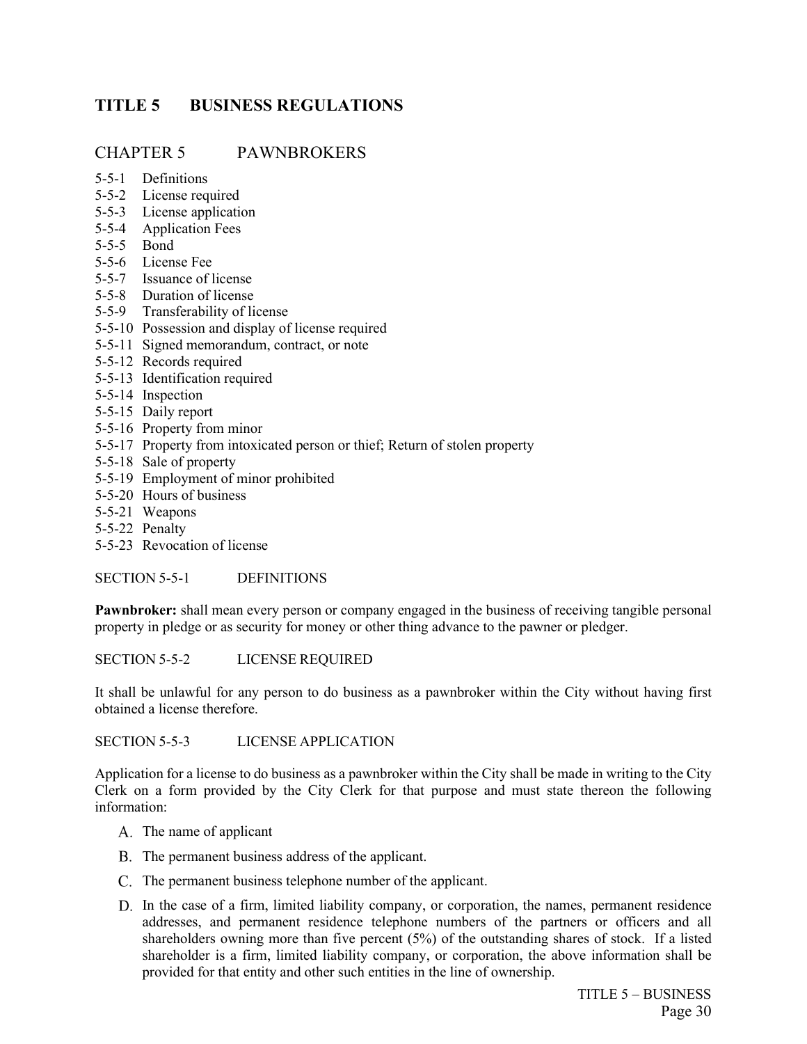# <span id="page-37-0"></span>**TITLE 5 BUSINESS REGULATIONS**

## CHAPTER 5 PAWNBROKERS

- 5-5-1 Definitions
- 5-5-2 License required
- 5-5-3 License application
- 5-5-4 Application Fees
- 5-5-5 Bond
- 5-5-6 License Fee
- 5-5-7 Issuance of license
- 5-5-8 Duration of license
- 5-5-9 Transferability of license
- 5-5-10 Possession and display of license required
- 5-5-11 Signed memorandum, contract, or note
- 5-5-12 Records required
- 5-5-13 Identification required
- 5-5-14 Inspection
- 5-5-15 Daily report
- 5-5-16 Property from minor
- 5-5-17 Property from intoxicated person or thief; Return of stolen property
- 5-5-18 Sale of property
- 5-5-19 Employment of minor prohibited
- 5-5-20 Hours of business
- 5-5-21 Weapons
- 5-5-22 Penalty
- 5-5-23 Revocation of license

SECTION 5-5-1 DEFINITIONS

**Pawnbroker:** shall mean every person or company engaged in the business of receiving tangible personal property in pledge or as security for money or other thing advance to the pawner or pledger.

SECTION 5-5-2 LICENSE REQUIRED

It shall be unlawful for any person to do business as a pawnbroker within the City without having first obtained a license therefore.

SECTION 5-5-3 LICENSE APPLICATION

Application for a license to do business as a pawnbroker within the City shall be made in writing to the City Clerk on a form provided by the City Clerk for that purpose and must state thereon the following information:

- A. The name of applicant
- B. The permanent business address of the applicant.
- C. The permanent business telephone number of the applicant.
- D. In the case of a firm, limited liability company, or corporation, the names, permanent residence addresses, and permanent residence telephone numbers of the partners or officers and all shareholders owning more than five percent (5%) of the outstanding shares of stock. If a listed shareholder is a firm, limited liability company, or corporation, the above information shall be provided for that entity and other such entities in the line of ownership.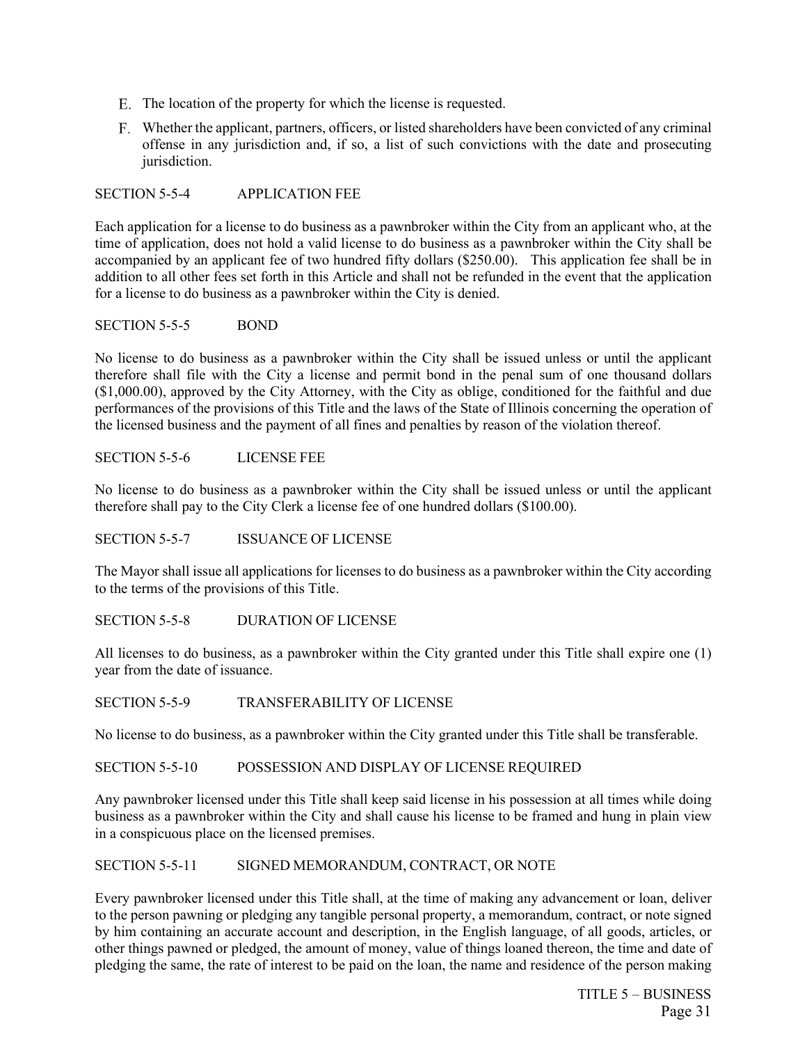- E. The location of the property for which the license is requested.
- Whether the applicant, partners, officers, or listed shareholders have been convicted of any criminal offense in any jurisdiction and, if so, a list of such convictions with the date and prosecuting jurisdiction.

SECTION 5-5-4 APPLICATION FEE

Each application for a license to do business as a pawnbroker within the City from an applicant who, at the time of application, does not hold a valid license to do business as a pawnbroker within the City shall be accompanied by an applicant fee of two hundred fifty dollars (\$250.00). This application fee shall be in addition to all other fees set forth in this Article and shall not be refunded in the event that the application for a license to do business as a pawnbroker within the City is denied.

## SECTION 5-5-5 BOND

No license to do business as a pawnbroker within the City shall be issued unless or until the applicant therefore shall file with the City a license and permit bond in the penal sum of one thousand dollars (\$1,000.00), approved by the City Attorney, with the City as oblige, conditioned for the faithful and due performances of the provisions of this Title and the laws of the State of Illinois concerning the operation of the licensed business and the payment of all fines and penalties by reason of the violation thereof.

SECTION 5-5-6 LICENSE FEE

No license to do business as a pawnbroker within the City shall be issued unless or until the applicant therefore shall pay to the City Clerk a license fee of one hundred dollars (\$100.00).

SECTION 5-5-7 ISSUANCE OF LICENSE

The Mayor shall issue all applications for licenses to do business as a pawnbroker within the City according to the terms of the provisions of this Title.

SECTION 5-5-8 DURATION OF LICENSE

All licenses to do business, as a pawnbroker within the City granted under this Title shall expire one (1) year from the date of issuance.

SECTION 5-5-9 TRANSFERABILITY OF LICENSE

No license to do business, as a pawnbroker within the City granted under this Title shall be transferable.

SECTION 5-5-10 POSSESSION AND DISPLAY OF LICENSE REQUIRED

Any pawnbroker licensed under this Title shall keep said license in his possession at all times while doing business as a pawnbroker within the City and shall cause his license to be framed and hung in plain view in a conspicuous place on the licensed premises.

SECTION 5-5-11 SIGNED MEMORANDUM, CONTRACT, OR NOTE

Every pawnbroker licensed under this Title shall, at the time of making any advancement or loan, deliver to the person pawning or pledging any tangible personal property, a memorandum, contract, or note signed by him containing an accurate account and description, in the English language, of all goods, articles, or other things pawned or pledged, the amount of money, value of things loaned thereon, the time and date of pledging the same, the rate of interest to be paid on the loan, the name and residence of the person making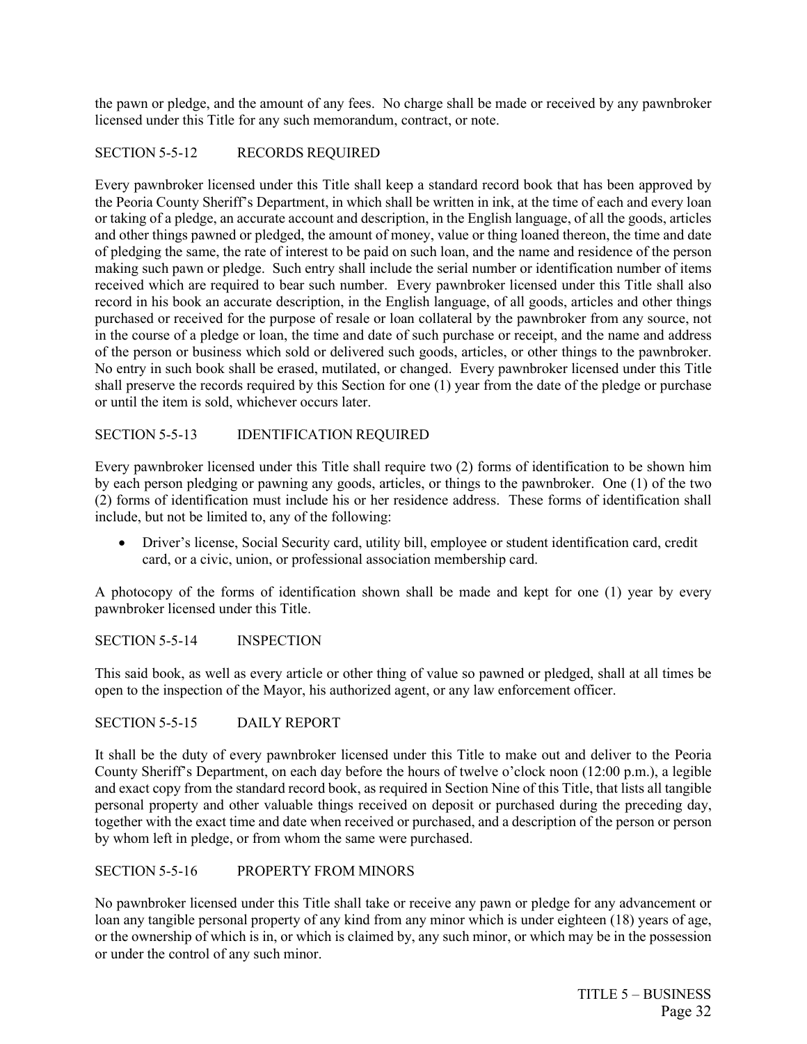the pawn or pledge, and the amount of any fees. No charge shall be made or received by any pawnbroker licensed under this Title for any such memorandum, contract, or note.

## SECTION 5-5-12 RECORDS REQUIRED

Every pawnbroker licensed under this Title shall keep a standard record book that has been approved by the Peoria County Sheriff's Department, in which shall be written in ink, at the time of each and every loan or taking of a pledge, an accurate account and description, in the English language, of all the goods, articles and other things pawned or pledged, the amount of money, value or thing loaned thereon, the time and date of pledging the same, the rate of interest to be paid on such loan, and the name and residence of the person making such pawn or pledge. Such entry shall include the serial number or identification number of items received which are required to bear such number. Every pawnbroker licensed under this Title shall also record in his book an accurate description, in the English language, of all goods, articles and other things purchased or received for the purpose of resale or loan collateral by the pawnbroker from any source, not in the course of a pledge or loan, the time and date of such purchase or receipt, and the name and address of the person or business which sold or delivered such goods, articles, or other things to the pawnbroker. No entry in such book shall be erased, mutilated, or changed. Every pawnbroker licensed under this Title shall preserve the records required by this Section for one (1) year from the date of the pledge or purchase or until the item is sold, whichever occurs later.

## SECTION 5-5-13 IDENTIFICATION REQUIRED

Every pawnbroker licensed under this Title shall require two (2) forms of identification to be shown him by each person pledging or pawning any goods, articles, or things to the pawnbroker. One (1) of the two (2) forms of identification must include his or her residence address. These forms of identification shall include, but not be limited to, any of the following:

• Driver's license, Social Security card, utility bill, employee or student identification card, credit card, or a civic, union, or professional association membership card.

A photocopy of the forms of identification shown shall be made and kept for one (1) year by every pawnbroker licensed under this Title.

SECTION 5-5-14 INSPECTION

This said book, as well as every article or other thing of value so pawned or pledged, shall at all times be open to the inspection of the Mayor, his authorized agent, or any law enforcement officer.

SECTION 5-5-15 DAILY REPORT

It shall be the duty of every pawnbroker licensed under this Title to make out and deliver to the Peoria County Sheriff's Department, on each day before the hours of twelve o'clock noon (12:00 p.m.), a legible and exact copy from the standard record book, as required in Section Nine of this Title, that lists all tangible personal property and other valuable things received on deposit or purchased during the preceding day, together with the exact time and date when received or purchased, and a description of the person or person by whom left in pledge, or from whom the same were purchased.

## SECTION 5-5-16 PROPERTY FROM MINORS

No pawnbroker licensed under this Title shall take or receive any pawn or pledge for any advancement or loan any tangible personal property of any kind from any minor which is under eighteen (18) years of age, or the ownership of which is in, or which is claimed by, any such minor, or which may be in the possession or under the control of any such minor.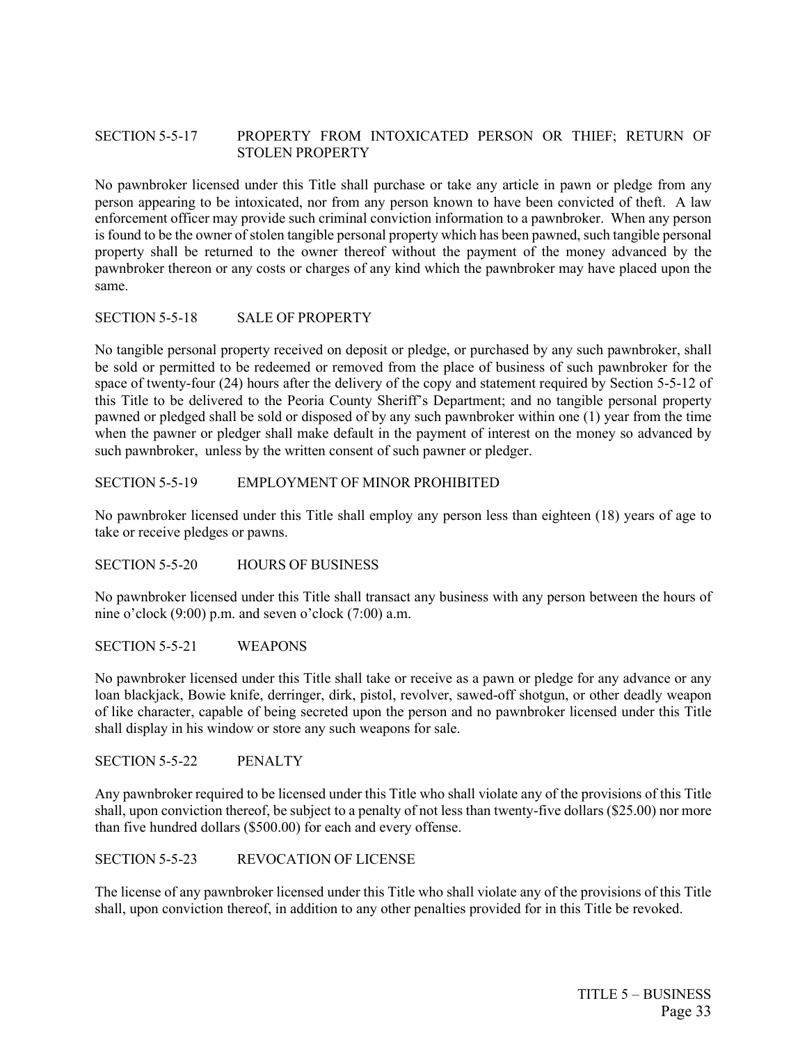## SECTION 5-5-17 PROPERTY FROM INTOXICATED PERSON OR THIEF; RETURN OF STOLEN PROPERTY

No pawnbroker licensed under this Title shall purchase or take any article in pawn or pledge from any person appearing to be intoxicated, nor from any person known to have been convicted of theft. A law enforcement officer may provide such criminal conviction information to a pawnbroker. When any person is found to be the owner of stolen tangible personal property which has been pawned, such tangible personal property shall be returned to the owner thereof without the payment of the money advanced by the pawnbroker thereon or any costs or charges of any kind which the pawnbroker may have placed upon the same.

#### SECTION 5-5-18 SALE OF PROPERTY

No tangible personal property received on deposit or pledge, or purchased by any such pawnbroker, shall be sold or permitted to be redeemed or removed from the place of business of such pawnbroker for the space of twenty-four (24) hours after the delivery of the copy and statement required by Section 5-5-12 of this Title to be delivered to the Peoria County Sheriff's Department; and no tangible personal property pawned or pledged shall be sold or disposed of by any such pawnbroker within one (1) year from the time when the pawner or pledger shall make default in the payment of interest on the money so advanced by such pawnbroker, unless by the written consent of such pawner or pledger.

#### SECTION 5-5-19 EMPLOYMENT OF MINOR PROHIBITED

No pawnbroker licensed under this Title shall employ any person less than eighteen (18) years of age to take or receive pledges or pawns.

SECTION 5-5-20 HOURS OF BUSINESS

No pawnbroker licensed under this Title shall transact any business with any person between the hours of nine o'clock (9:00) p.m. and seven o'clock (7:00) a.m.

SECTION 5-5-21 WEAPONS

No pawnbroker licensed under this Title shall take or receive as a pawn or pledge for any advance or any loan blackjack, Bowie knife, derringer, dirk, pistol, revolver, sawed-off shotgun, or other deadly weapon of like character, capable of being secreted upon the person and no pawnbroker licensed under this Title shall display in his window or store any such weapons for sale.

SECTION 5-5-22 PENALTY

Any pawnbroker required to be licensed under this Title who shall violate any of the provisions of this Title shall, upon conviction thereof, be subject to a penalty of not less than twenty-five dollars (\$25.00) nor more than five hundred dollars (\$500.00) for each and every offense.

SECTION 5-5-23 REVOCATION OF LICENSE

The license of any pawnbroker licensed under this Title who shall violate any of the provisions of this Title shall, upon conviction thereof, in addition to any other penalties provided for in this Title be revoked.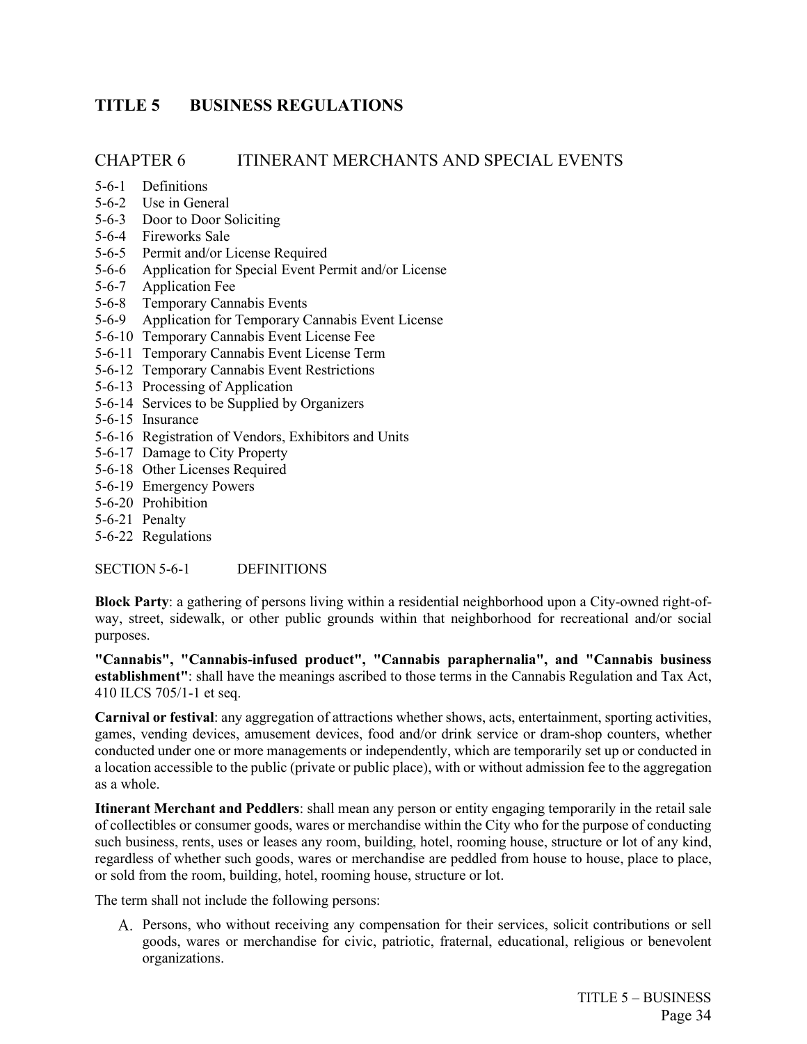# <span id="page-41-0"></span>**TITLE 5 BUSINESS REGULATIONS**

## CHAPTER 6 ITINERANT MERCHANTS AND SPECIAL EVENTS

- 5-6-1 Definitions
- 5-6-2 Use in General
- 5-6-3 Door to Door Soliciting
- 5-6-4 Fireworks Sale
- 5-6-5 Permit and/or License Required
- 5-6-6 Application for Special Event Permit and/or License
- 5-6-7 Application Fee
- 5-6-8 Temporary Cannabis Events
- 5-6-9 Application for Temporary Cannabis Event License
- 5-6-10 Temporary Cannabis Event License Fee
- 5-6-11 Temporary Cannabis Event License Term
- 5-6-12 Temporary Cannabis Event Restrictions
- 5-6-13 Processing of Application
- 5-6-14 Services to be Supplied by Organizers
- 5-6-15 Insurance
- 5-6-16 Registration of Vendors, Exhibitors and Units
- 5-6-17 Damage to City Property
- 5-6-18 Other Licenses Required
- 5-6-19 Emergency Powers
- 5-6-20 Prohibition
- 5-6-21 Penalty
- 5-6-22 Regulations

SECTION 5-6-1 DEFINITIONS

**Block Party**: a gathering of persons living within a residential neighborhood upon a City-owned right-ofway, street, sidewalk, or other public grounds within that neighborhood for recreational and/or social purposes.

**"Cannabis", "Cannabis-infused product", "Cannabis paraphernalia", and "Cannabis business establishment"**: shall have the meanings ascribed to those terms in the Cannabis Regulation and Tax Act, 410 ILCS 705/1-1 et seq.

**Carnival or festival**: any aggregation of attractions whether shows, acts, entertainment, sporting activities, games, vending devices, amusement devices, food and/or drink service or dram-shop counters, whether conducted under one or more managements or independently, which are temporarily set up or conducted in a location accessible to the public (private or public place), with or without admission fee to the aggregation as a whole.

**Itinerant Merchant and Peddlers**: shall mean any person or entity engaging temporarily in the retail sale of collectibles or consumer goods, wares or merchandise within the City who for the purpose of conducting such business, rents, uses or leases any room, building, hotel, rooming house, structure or lot of any kind, regardless of whether such goods, wares or merchandise are peddled from house to house, place to place, or sold from the room, building, hotel, rooming house, structure or lot.

The term shall not include the following persons:

Persons, who without receiving any compensation for their services, solicit contributions or sell goods, wares or merchandise for civic, patriotic, fraternal, educational, religious or benevolent organizations.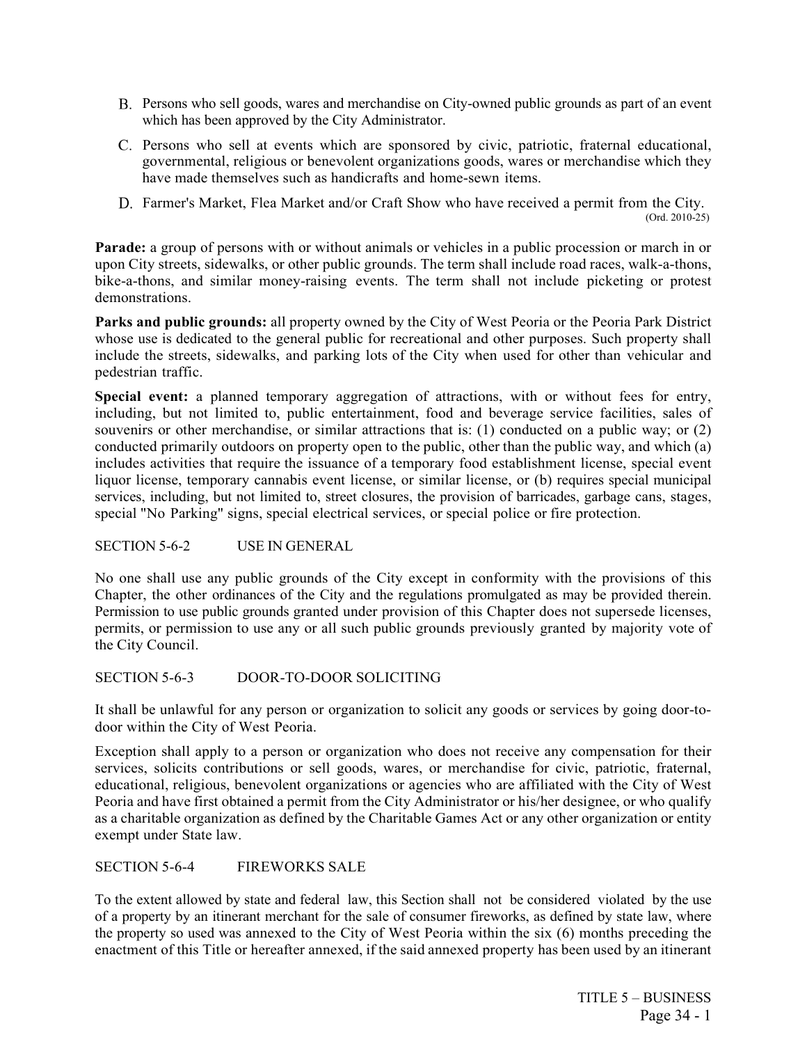- Persons who sell goods, wares and merchandise on City-owned public grounds as part of an event which has been approved by the City Administrator.
- C. Persons who sell at events which are sponsored by civic, patriotic, fraternal educational, governmental, religious or benevolent organizations goods, wares or merchandise which they have made themselves such as handicrafts and home-sewn items.
- D. Farmer's Market, Flea Market and/or Craft Show who have received a permit from the City.<br>(Ord. 2010-25)

**Parade:** a group of persons with or without animals or vehicles in a public procession or march in or upon City streets, sidewalks, or other public grounds. The term shall include road races, walk-a-thons, bike-a-thons, and similar money-raising events. The term shall not include picketing or protest demonstrations.

**Parks and public grounds:** all property owned by the City of West Peoria or the Peoria Park District whose use is dedicated to the general public for recreational and other purposes. Such property shall include the streets, sidewalks, and parking lots of the City when used for other than vehicular and pedestrian traffic.

**Special event:** a planned temporary aggregation of attractions, with or without fees for entry, including, but not limited to, public entertainment, food and beverage service facilities, sales of souvenirs or other merchandise, or similar attractions that is: (1) conducted on a public way; or (2) conducted primarily outdoors on property open to the public, other than the public way, and which (a) includes activities that require the issuance of a temporary food establishment license, special event liquor license, temporary cannabis event license, or similar license, or (b) requires special municipal services, including, but not limited to, street closures, the provision of barricades, garbage cans, stages, special "No Parking" signs, special electrical services, or special police or fire protection.

SECTION 5-6-2 USE IN GENERAL

No one shall use any public grounds of the City except in conformity with the provisions of this Chapter, the other ordinances of the City and the regulations promulgated as may be provided therein. Permission to use public grounds granted under provision of this Chapter does not supersede licenses, permits, or permission to use any or all such public grounds previously granted by majority vote of the City Council.

SECTION 5-6-3 DOOR-TO-DOOR SOLICITING

It shall be unlawful for any person or organization to solicit any goods or services by going door-todoor within the City of West Peoria.

Exception shall apply to a person or organization who does not receive any compensation for their services, solicits contributions or sell goods, wares, or merchandise for civic, patriotic, fraternal, educational, religious, benevolent organizations or agencies who are affiliated with the City of West Peoria and have first obtained a permit from the City Administrator or his/her designee, or who qualify as a charitable organization as defined by the Charitable Games Act or any other organization or entity exempt under State law.

SECTION 5-6-4 FIREWORKS SALE

To the extent allowed by state and federal law, this Section shall not be considered violated by the use of a property by an itinerant merchant for the sale of consumer fireworks, as defined by state law, where the property so used was annexed to the City of West Peoria within the six (6) months preceding the enactment of this Title or hereafter annexed, if the said annexed property has been used by an itinerant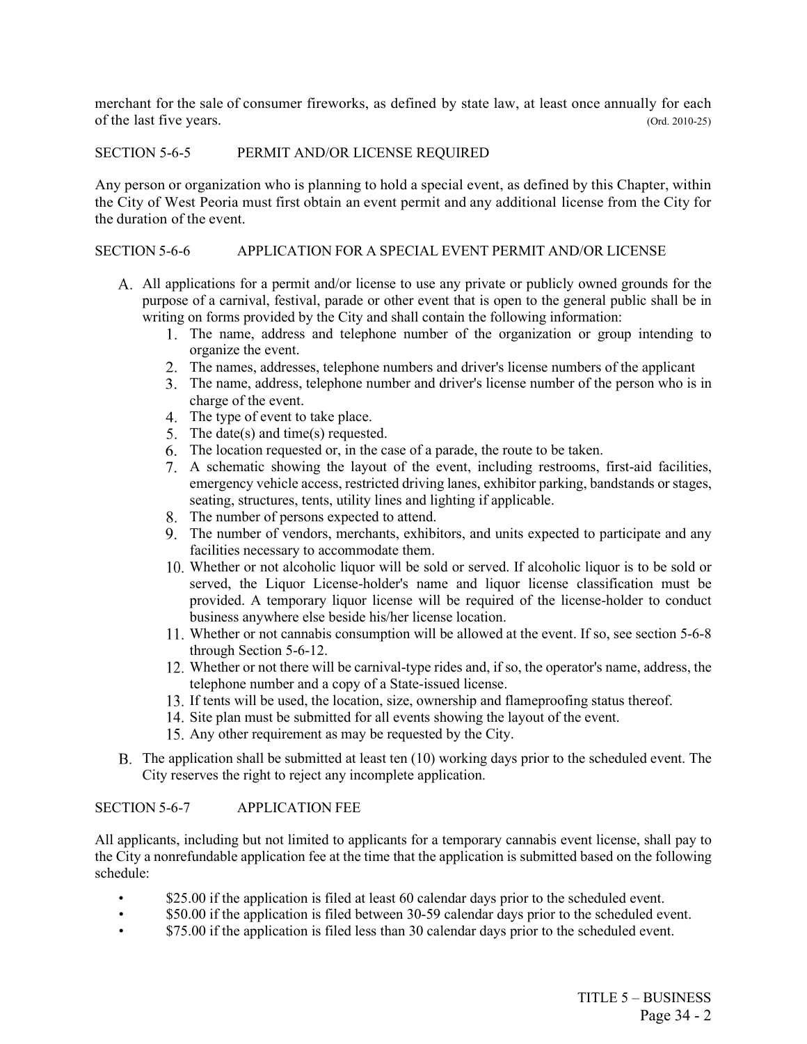merchant for the sale of consumer fireworks, as defined by state law, at least once annually for each of the last five years. (Ord. 2010-25)

## SECTION 5-6-5 PERMIT AND/OR LICENSE REQUIRED

Any person or organization who is planning to hold a special event, as defined by this Chapter, within the City of West Peoria must first obtain an event permit and any additional license from the City for the duration of the event.

## SECTION 5-6-6 APPLICATION FOR A SPECIAL EVENT PERMIT AND/OR LICENSE

- All applications for a permit and/or license to use any private or publicly owned grounds for the purpose of a carnival, festival, parade or other event that is open to the general public shall be in writing on forms provided by the City and shall contain the following information:
	- 1. The name, address and telephone number of the organization or group intending to organize the event.
	- The names, addresses, telephone numbers and driver's license numbers of the applicant
	- The name, address, telephone number and driver's license number of the person who is in charge of the event.
	- 4. The type of event to take place.
	- 5. The date(s) and time(s) requested.
	- The location requested or, in the case of a parade, the route to be taken.
	- A schematic showing the layout of the event, including restrooms, first-aid facilities, emergency vehicle access, restricted driving lanes, exhibitor parking, bandstands or stages, seating, structures, tents, utility lines and lighting if applicable.
	- The number of persons expected to attend.
	- The number of vendors, merchants, exhibitors, and units expected to participate and any facilities necessary to accommodate them.
	- Whether or not alcoholic liquor will be sold or served. If alcoholic liquor is to be sold or served, the Liquor License-holder's name and liquor license classification must be provided. A temporary liquor license will be required of the license-holder to conduct business anywhere else beside his/her license location.
	- Whether or not cannabis consumption will be allowed at the event. If so, see section 5-6-8 through Section 5-6-12.
	- Whether or not there will be carnival-type rides and, if so, the operator's name, address, the telephone number and a copy of a State-issued license.
	- If tents will be used, the location, size, ownership and flameproofing status thereof.
	- 14. Site plan must be submitted for all events showing the layout of the event.
	- Any other requirement as may be requested by the City.
- The application shall be submitted at least ten (10) working days prior to the scheduled event. The City reserves the right to reject any incomplete application.

## SECTION 5-6-7 APPLICATION FEE

All applicants, including but not limited to applicants for a temporary cannabis event license, shall pay to the City a nonrefundable application fee at the time that the application is submitted based on the following schedule:

- \$25.00 if the application is filed at least 60 calendar days prior to the scheduled event.
- \$50.00 if the application is filed between 30-59 calendar days prior to the scheduled event.
- \$75.00 if the application is filed less than 30 calendar days prior to the scheduled event.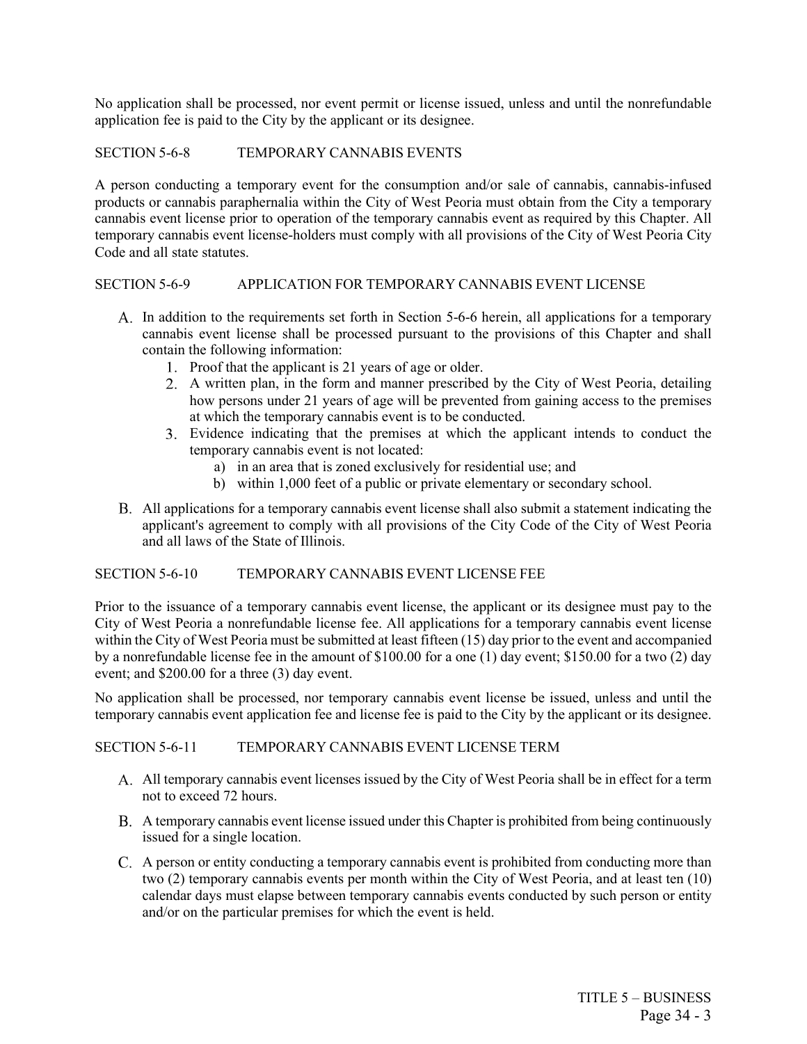No application shall be processed, nor event permit or license issued, unless and until the nonrefundable application fee is paid to the City by the applicant or its designee.

## SECTION 5-6-8 TEMPORARY CANNABIS EVENTS

A person conducting a temporary event for the consumption and/or sale of cannabis, cannabis-infused products or cannabis paraphernalia within the City of West Peoria must obtain from the City a temporary cannabis event license prior to operation of the temporary cannabis event as required by this Chapter. All temporary cannabis event license-holders must comply with all provisions of the City of West Peoria City Code and all state statutes.

#### SECTION 5-6-9 APPLICATION FOR TEMPORARY CANNABIS EVENT LICENSE

- A. In addition to the requirements set forth in Section 5-6-6 herein, all applications for a temporary cannabis event license shall be processed pursuant to the provisions of this Chapter and shall contain the following information:
	- 1. Proof that the applicant is 21 years of age or older.
	- A written plan, in the form and manner prescribed by the City of West Peoria, detailing how persons under 21 years of age will be prevented from gaining access to the premises at which the temporary cannabis event is to be conducted.
	- Evidence indicating that the premises at which the applicant intends to conduct the temporary cannabis event is not located:
		- a) in an area that is zoned exclusively for residential use; and
		- b) within 1,000 feet of a public or private elementary or secondary school.
- All applications for a temporary cannabis event license shall also submit a statement indicating the applicant's agreement to comply with all provisions of the City Code of the City of West Peoria and all laws of the State of Illinois.

#### SECTION 5-6-10 TEMPORARY CANNABIS EVENT LICENSE FEE

Prior to the issuance of a temporary cannabis event license, the applicant or its designee must pay to the City of West Peoria a nonrefundable license fee. All applications for a temporary cannabis event license within the City of West Peoria must be submitted at least fifteen (15) day prior to the event and accompanied by a nonrefundable license fee in the amount of \$100.00 for a one (1) day event; \$150.00 for a two (2) day event; and \$200.00 for a three (3) day event.

No application shall be processed, nor temporary cannabis event license be issued, unless and until the temporary cannabis event application fee and license fee is paid to the City by the applicant or its designee.

SECTION 5-6-11 TEMPORARY CANNABIS EVENT LICENSE TERM

- All temporary cannabis event licenses issued by the City of West Peoria shall be in effect for a term not to exceed 72 hours.
- A temporary cannabis event license issued under this Chapter is prohibited from being continuously issued for a single location.
- A person or entity conducting a temporary cannabis event is prohibited from conducting more than two (2) temporary cannabis events per month within the City of West Peoria, and at least ten (10) calendar days must elapse between temporary cannabis events conducted by such person or entity and/or on the particular premises for which the event is held.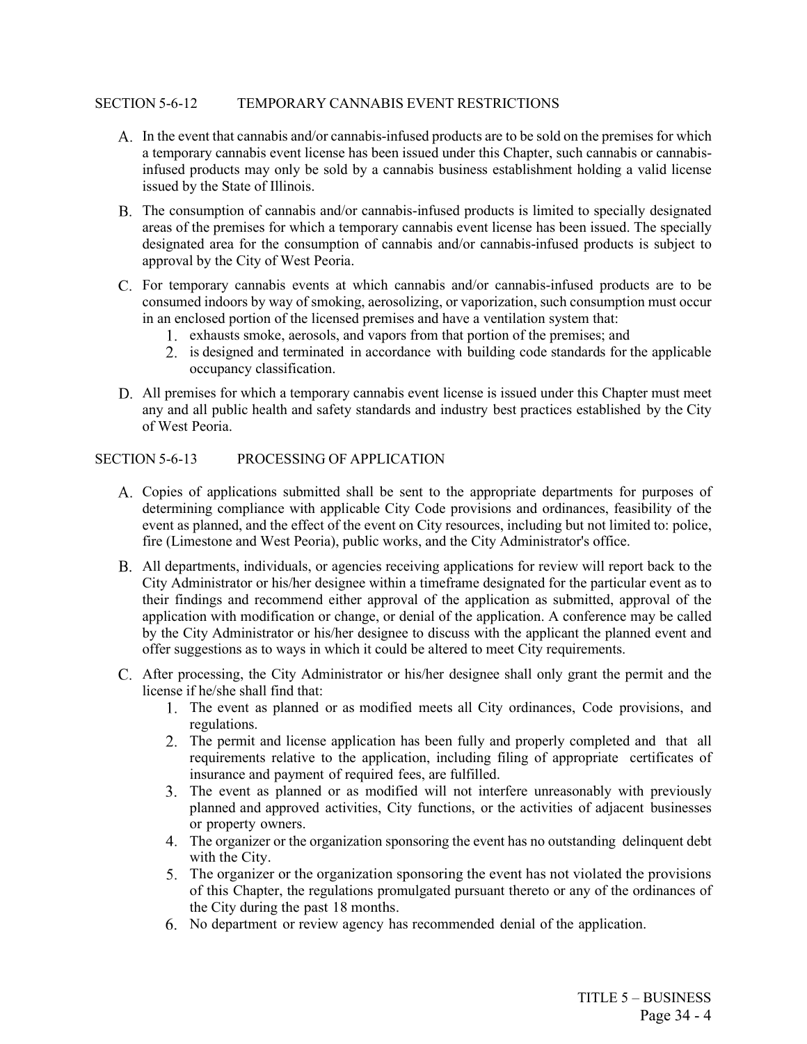#### SECTION 5-6-12 TEMPORARY CANNABIS EVENT RESTRICTIONS

- A. In the event that cannabis and/or cannabis-infused products are to be sold on the premises for which a temporary cannabis event license has been issued under this Chapter, such cannabis or cannabisinfused products may only be sold by a cannabis business establishment holding a valid license issued by the State of Illinois.
- The consumption of cannabis and/or cannabis-infused products is limited to specially designated areas of the premises for which a temporary cannabis event license has been issued. The specially designated area for the consumption of cannabis and/or cannabis-infused products is subject to approval by the City of West Peoria.
- For temporary cannabis events at which cannabis and/or cannabis-infused products are to be consumed indoors by way of smoking, aerosolizing, or vaporization, such consumption must occur in an enclosed portion of the licensed premises and have a ventilation system that:
	- exhausts smoke, aerosols, and vapors from that portion of the premises; and
	- is designed and terminated in accordance with building code standards for the applicable occupancy classification.
- All premises for which a temporary cannabis event license is issued under this Chapter must meet any and all public health and safety standards and industry best practices established by the City of West Peoria.

#### SECTION 5-6-13 PROCESSING OF APPLICATION

- Copies of applications submitted shall be sent to the appropriate departments for purposes of determining compliance with applicable City Code provisions and ordinances, feasibility of the event as planned, and the effect of the event on City resources, including but not limited to: police, fire (Limestone and West Peoria), public works, and the City Administrator's office.
- All departments, individuals, or agencies receiving applications for review will report back to the City Administrator or his/her designee within a timeframe designated for the particular event as to their findings and recommend either approval of the application as submitted, approval of the application with modification or change, or denial of the application. A conference may be called by the City Administrator or his/her designee to discuss with the applicant the planned event and offer suggestions as to ways in which it could be altered to meet City requirements.
- After processing, the City Administrator or his/her designee shall only grant the permit and the license if he/she shall find that:
	- The event as planned or as modified meets all City ordinances, Code provisions, and regulations.
	- The permit and license application has been fully and properly completed and that all requirements relative to the application, including filing of appropriate certificates of insurance and payment of required fees, are fulfilled.
	- The event as planned or as modified will not interfere unreasonably with previously planned and approved activities, City functions, or the activities of adjacent businesses or property owners.
	- The organizer or the organization sponsoring the event has no outstanding delinquent debt with the City.
	- 5. The organizer or the organization sponsoring the event has not violated the provisions of this Chapter, the regulations promulgated pursuant thereto or any of the ordinances of the City during the past 18 months.
	- No department or review agency has recommended denial of the application.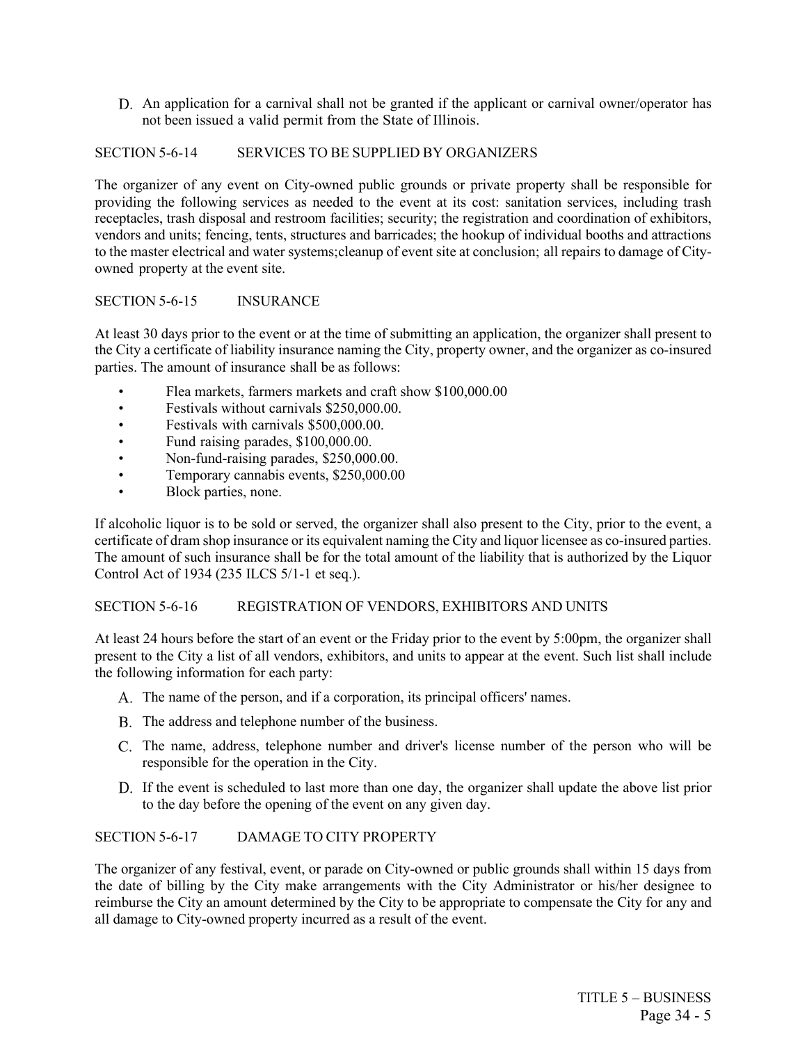An application for a carnival shall not be granted if the applicant or carnival owner/operator has not been issued a valid permit from the State of Illinois.

## SECTION 5-6-14 SERVICES TO BE SUPPLIED BY ORGANIZERS

The organizer of any event on City-owned public grounds or private property shall be responsible for providing the following services as needed to the event at its cost: sanitation services, including trash receptacles, trash disposal and restroom facilities; security; the registration and coordination of exhibitors, vendors and units; fencing, tents, structures and barricades; the hookup of individual booths and attractions to the master electrical and water systems;cleanup of event site at conclusion; all repairs to damage of Cityowned property at the event site.

#### SECTION 5-6-15 INSURANCE

At least 30 days prior to the event or at the time of submitting an application, the organizer shall present to the City a certificate of liability insurance naming the City, property owner, and the organizer as co-insured parties. The amount of insurance shall be as follows:

- Flea markets, farmers markets and craft show \$100,000.00
- Festivals without carnivals \$250,000.00.
- Festivals with carnivals \$500,000.00.
- Fund raising parades, \$100,000.00.
- Non-fund-raising parades, \$250,000.00.
- Temporary cannabis events, \$250,000.00
- Block parties, none.

If alcoholic liquor is to be sold or served, the organizer shall also present to the City, prior to the event, a certificate of dram shop insurance or its equivalent naming the City and liquor licensee as co-insured parties. The amount of such insurance shall be for the total amount of the liability that is authorized by the Liquor Control Act of 1934 (235 ILCS 5/1-1 et seq.).

## SECTION 5-6-16 REGISTRATION OF VENDORS, EXHIBITORS AND UNITS

At least 24 hours before the start of an event or the Friday prior to the event by 5:00pm, the organizer shall present to the City a list of all vendors, exhibitors, and units to appear at the event. Such list shall include the following information for each party:

- A. The name of the person, and if a corporation, its principal officers' names.
- B. The address and telephone number of the business.
- C. The name, address, telephone number and driver's license number of the person who will be responsible for the operation in the City.
- D. If the event is scheduled to last more than one day, the organizer shall update the above list prior to the day before the opening of the event on any given day.

## SECTION 5-6-17 DAMAGE TO CITY PROPERTY

The organizer of any festival, event, or parade on City-owned or public grounds shall within 15 days from the date of billing by the City make arrangements with the City Administrator or his/her designee to reimburse the City an amount determined by the City to be appropriate to compensate the City for any and all damage to City-owned property incurred as a result of the event.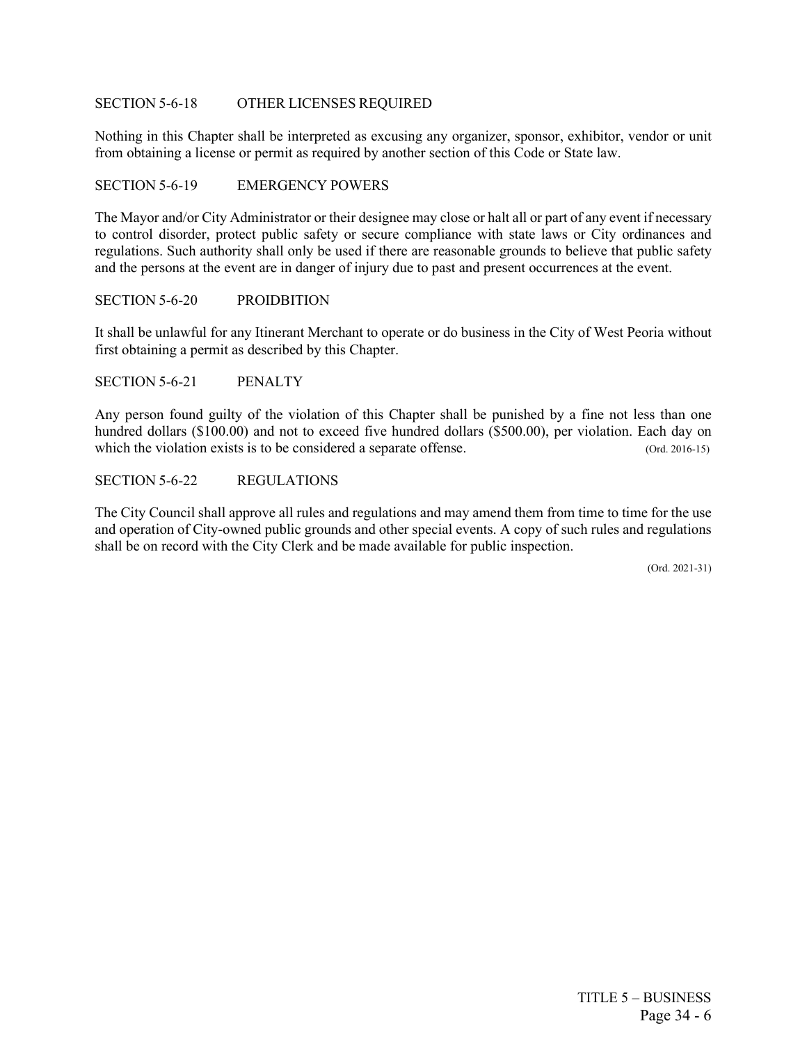#### SECTION 5-6-18 OTHER LICENSES REQUIRED

Nothing in this Chapter shall be interpreted as excusing any organizer, sponsor, exhibitor, vendor or unit from obtaining a license or permit as required by another section of this Code or State law.

#### SECTION 5-6-19 EMERGENCY POWERS

The Mayor and/or City Administrator or their designee may close or halt all or part of any event if necessary to control disorder, protect public safety or secure compliance with state laws or City ordinances and regulations. Such authority shall only be used if there are reasonable grounds to believe that public safety and the persons at the event are in danger of injury due to past and present occurrences at the event.

#### SECTION 5-6-20 PROIDBITION

It shall be unlawful for any Itinerant Merchant to operate or do business in the City of West Peoria without first obtaining a permit as described by this Chapter.

SECTION 5-6-21 PENALTY

Any person found guilty of the violation of this Chapter shall be punished by a fine not less than one hundred dollars (\$100.00) and not to exceed five hundred dollars (\$500.00), per violation. Each day on which the violation exists is to be considered a separate offense. (Ord. 2016-15)

SECTION 5-6-22 REGULATIONS

The City Council shall approve all rules and regulations and may amend them from time to time for the use and operation of City-owned public grounds and other special events. A copy of such rules and regulations shall be on record with the City Clerk and be made available for public inspection.

(Ord. 2021-31)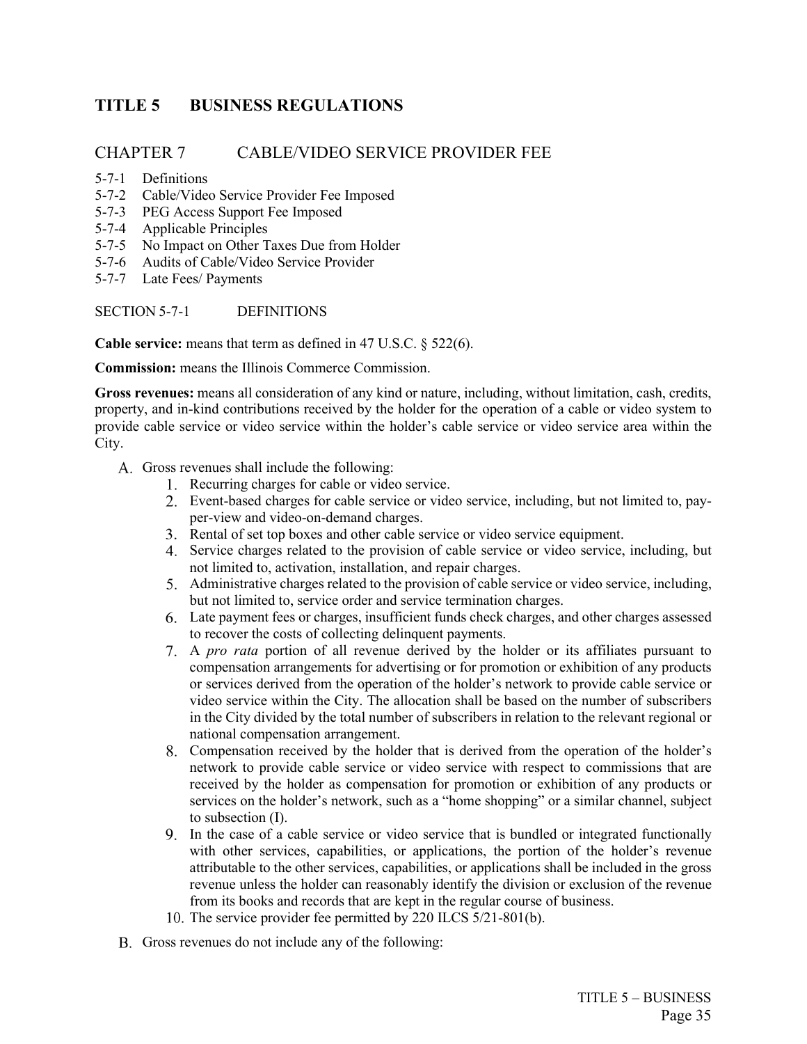# <span id="page-48-0"></span>**TITLE 5 BUSINESS REGULATIONS**

## CHAPTER 7 CABLE/VIDEO SERVICE PROVIDER FEE

- 5-7-1 Definitions
- 5-7-2 Cable/Video Service Provider Fee Imposed
- 5-7-3 PEG Access Support Fee Imposed
- 5-7-4 Applicable Principles
- 5-7-5 No Impact on Other Taxes Due from Holder
- 5-7-6 Audits of Cable/Video Service Provider
- 5-7-7 Late Fees/ Payments

## SECTION 5-7-1 DEFINITIONS

**Cable service:** means that term as defined in 47 U.S.C. § 522(6).

**Commission:** means the Illinois Commerce Commission.

**Gross revenues:** means all consideration of any kind or nature, including, without limitation, cash, credits, property, and in-kind contributions received by the holder for the operation of a cable or video system to provide cable service or video service within the holder's cable service or video service area within the City.

- A. Gross revenues shall include the following:
	- Recurring charges for cable or video service.
	- Event-based charges for cable service or video service, including, but not limited to, payper-view and video-on-demand charges.
	- Rental of set top boxes and other cable service or video service equipment.
	- Service charges related to the provision of cable service or video service, including, but not limited to, activation, installation, and repair charges.
	- Administrative charges related to the provision of cable service or video service, including, but not limited to, service order and service termination charges.
	- Late payment fees or charges, insufficient funds check charges, and other charges assessed to recover the costs of collecting delinquent payments.
	- A *pro rata* portion of all revenue derived by the holder or its affiliates pursuant to compensation arrangements for advertising or for promotion or exhibition of any products or services derived from the operation of the holder's network to provide cable service or video service within the City. The allocation shall be based on the number of subscribers in the City divided by the total number of subscribers in relation to the relevant regional or national compensation arrangement.
	- Compensation received by the holder that is derived from the operation of the holder's network to provide cable service or video service with respect to commissions that are received by the holder as compensation for promotion or exhibition of any products or services on the holder's network, such as a "home shopping" or a similar channel, subject to subsection (I).
	- In the case of a cable service or video service that is bundled or integrated functionally with other services, capabilities, or applications, the portion of the holder's revenue attributable to the other services, capabilities, or applications shall be included in the gross revenue unless the holder can reasonably identify the division or exclusion of the revenue from its books and records that are kept in the regular course of business.
	- 10. The service provider fee permitted by 220 ILCS 5/21-801(b).
- B. Gross revenues do not include any of the following: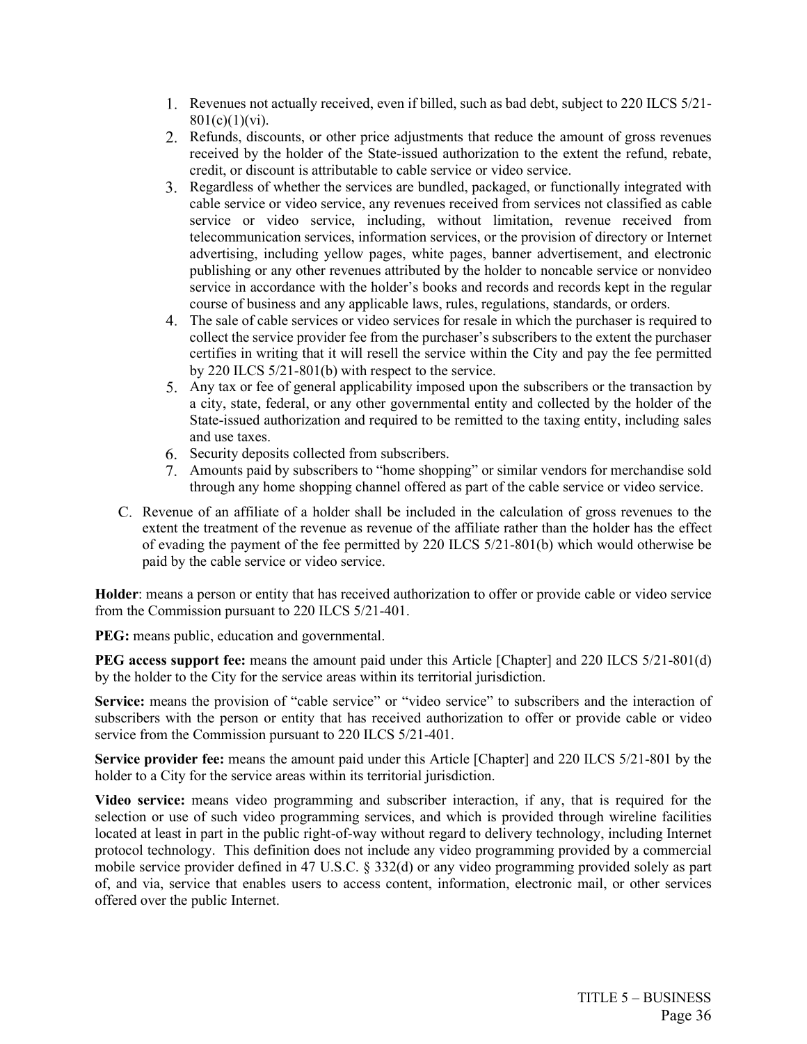- Revenues not actually received, even if billed, such as bad debt, subject to 220 ILCS 5/21-  $801(c)(1)(vi)$ .
- Refunds, discounts, or other price adjustments that reduce the amount of gross revenues received by the holder of the State-issued authorization to the extent the refund, rebate, credit, or discount is attributable to cable service or video service.
- Regardless of whether the services are bundled, packaged, or functionally integrated with cable service or video service, any revenues received from services not classified as cable service or video service, including, without limitation, revenue received from telecommunication services, information services, or the provision of directory or Internet advertising, including yellow pages, white pages, banner advertisement, and electronic publishing or any other revenues attributed by the holder to noncable service or nonvideo service in accordance with the holder's books and records and records kept in the regular course of business and any applicable laws, rules, regulations, standards, or orders.
- The sale of cable services or video services for resale in which the purchaser is required to collect the service provider fee from the purchaser's subscribers to the extent the purchaser certifies in writing that it will resell the service within the City and pay the fee permitted by 220 ILCS 5/21-801(b) with respect to the service.
- Any tax or fee of general applicability imposed upon the subscribers or the transaction by a city, state, federal, or any other governmental entity and collected by the holder of the State-issued authorization and required to be remitted to the taxing entity, including sales and use taxes.
- 6. Security deposits collected from subscribers.
- Amounts paid by subscribers to "home shopping" or similar vendors for merchandise sold through any home shopping channel offered as part of the cable service or video service.
- Revenue of an affiliate of a holder shall be included in the calculation of gross revenues to the extent the treatment of the revenue as revenue of the affiliate rather than the holder has the effect of evading the payment of the fee permitted by 220 ILCS 5/21-801(b) which would otherwise be paid by the cable service or video service.

**Holder**: means a person or entity that has received authorization to offer or provide cable or video service from the Commission pursuant to 220 ILCS 5/21-401.

**PEG:** means public, education and governmental.

**PEG access support fee:** means the amount paid under this Article [Chapter] and 220 ILCS 5/21-801(d) by the holder to the City for the service areas within its territorial jurisdiction.

Service: means the provision of "cable service" or "video service" to subscribers and the interaction of subscribers with the person or entity that has received authorization to offer or provide cable or video service from the Commission pursuant to 220 ILCS 5/21-401.

**Service provider fee:** means the amount paid under this Article [Chapter] and 220 ILCS 5/21-801 by the holder to a City for the service areas within its territorial jurisdiction.

**Video service:** means video programming and subscriber interaction, if any, that is required for the selection or use of such video programming services, and which is provided through wireline facilities located at least in part in the public right-of-way without regard to delivery technology, including Internet protocol technology. This definition does not include any video programming provided by a commercial mobile service provider defined in 47 U.S.C. § 332(d) or any video programming provided solely as part of, and via, service that enables users to access content, information, electronic mail, or other services offered over the public Internet.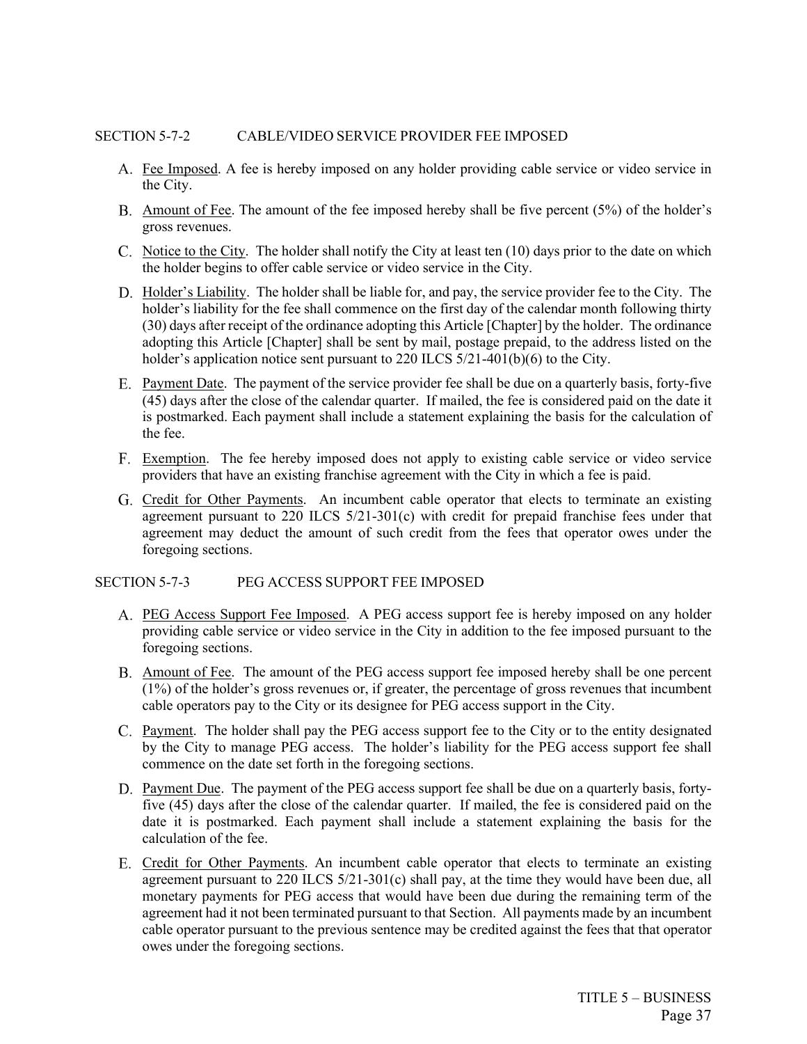#### SECTION 5-7-2 CABLE/VIDEO SERVICE PROVIDER FEE IMPOSED

- Fee Imposed. A fee is hereby imposed on any holder providing cable service or video service in the City.
- B. Amount of Fee. The amount of the fee imposed hereby shall be five percent (5%) of the holder's gross revenues.
- C. Notice to the City. The holder shall notify the City at least ten  $(10)$  days prior to the date on which the holder begins to offer cable service or video service in the City.
- D. Holder's Liability. The holder shall be liable for, and pay, the service provider fee to the City. The holder's liability for the fee shall commence on the first day of the calendar month following thirty (30) days after receipt of the ordinance adopting this Article [Chapter] by the holder. The ordinance adopting this Article [Chapter] shall be sent by mail, postage prepaid, to the address listed on the holder's application notice sent pursuant to 220 ILCS 5/21-401(b)(6) to the City.
- E. Payment Date. The payment of the service provider fee shall be due on a quarterly basis, forty-five (45) days after the close of the calendar quarter. If mailed, the fee is considered paid on the date it is postmarked. Each payment shall include a statement explaining the basis for the calculation of the fee.
- Exemption. The fee hereby imposed does not apply to existing cable service or video service providers that have an existing franchise agreement with the City in which a fee is paid.
- G. Credit for Other Payments. An incumbent cable operator that elects to terminate an existing agreement pursuant to 220 ILCS 5/21-301(c) with credit for prepaid franchise fees under that agreement may deduct the amount of such credit from the fees that operator owes under the foregoing sections.

#### SECTION 5-7-3 PEG ACCESS SUPPORT FEE IMPOSED

- PEG Access Support Fee Imposed. A PEG access support fee is hereby imposed on any holder providing cable service or video service in the City in addition to the fee imposed pursuant to the foregoing sections.
- Amount of Fee. The amount of the PEG access support fee imposed hereby shall be one percent (1%) of the holder's gross revenues or, if greater, the percentage of gross revenues that incumbent cable operators pay to the City or its designee for PEG access support in the City.
- Payment. The holder shall pay the PEG access support fee to the City or to the entity designated by the City to manage PEG access. The holder's liability for the PEG access support fee shall commence on the date set forth in the foregoing sections.
- D. Payment Due. The payment of the PEG access support fee shall be due on a quarterly basis, fortyfive (45) days after the close of the calendar quarter. If mailed, the fee is considered paid on the date it is postmarked. Each payment shall include a statement explaining the basis for the calculation of the fee.
- E. Credit for Other Payments. An incumbent cable operator that elects to terminate an existing agreement pursuant to  $220$  ILCS  $5/21-301(c)$  shall pay, at the time they would have been due, all monetary payments for PEG access that would have been due during the remaining term of the agreement had it not been terminated pursuant to that Section. All payments made by an incumbent cable operator pursuant to the previous sentence may be credited against the fees that that operator owes under the foregoing sections.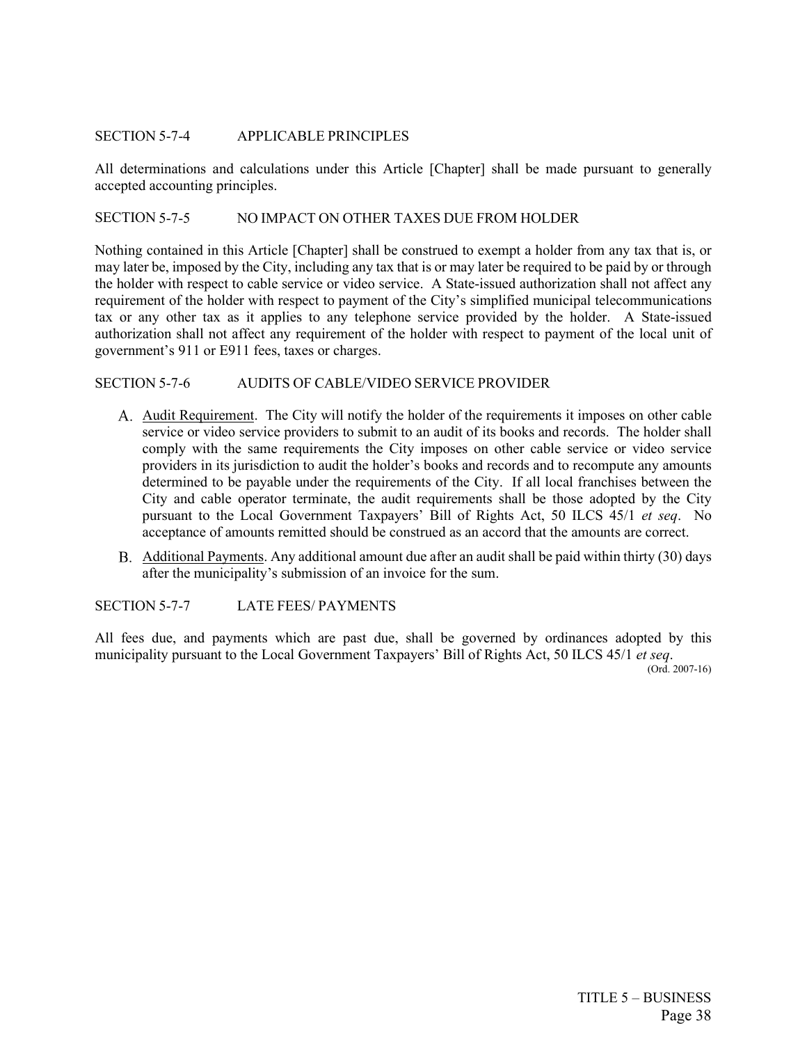### SECTION 5-7-4 APPLICABLE PRINCIPLES

All determinations and calculations under this Article [Chapter] shall be made pursuant to generally accepted accounting principles.

## SECTION 5-7-5 NO IMPACT ON OTHER TAXES DUE FROM HOLDER

Nothing contained in this Article [Chapter] shall be construed to exempt a holder from any tax that is, or may later be, imposed by the City, including any tax that is or may later be required to be paid by or through the holder with respect to cable service or video service. A State-issued authorization shall not affect any requirement of the holder with respect to payment of the City's simplified municipal telecommunications tax or any other tax as it applies to any telephone service provided by the holder. A State-issued authorization shall not affect any requirement of the holder with respect to payment of the local unit of government's 911 or E911 fees, taxes or charges.

#### SECTION 5-7-6 AUDITS OF CABLE/VIDEO SERVICE PROVIDER

- A. Audit Requirement. The City will notify the holder of the requirements it imposes on other cable service or video service providers to submit to an audit of its books and records. The holder shall comply with the same requirements the City imposes on other cable service or video service providers in its jurisdiction to audit the holder's books and records and to recompute any amounts determined to be payable under the requirements of the City. If all local franchises between the City and cable operator terminate, the audit requirements shall be those adopted by the City pursuant to the Local Government Taxpayers' Bill of Rights Act, 50 ILCS 45/1 *et seq*. No acceptance of amounts remitted should be construed as an accord that the amounts are correct.
- Additional Payments. Any additional amount due after an audit shall be paid within thirty (30) days after the municipality's submission of an invoice for the sum.

SECTION 5-7-7 LATE FEES/ PAYMENTS

All fees due, and payments which are past due, shall be governed by ordinances adopted by this municipality pursuant to the Local Government Taxpayers' Bill of Rights Act, 50 ILCS 45/1 *et seq*.

(Ord. 2007-16)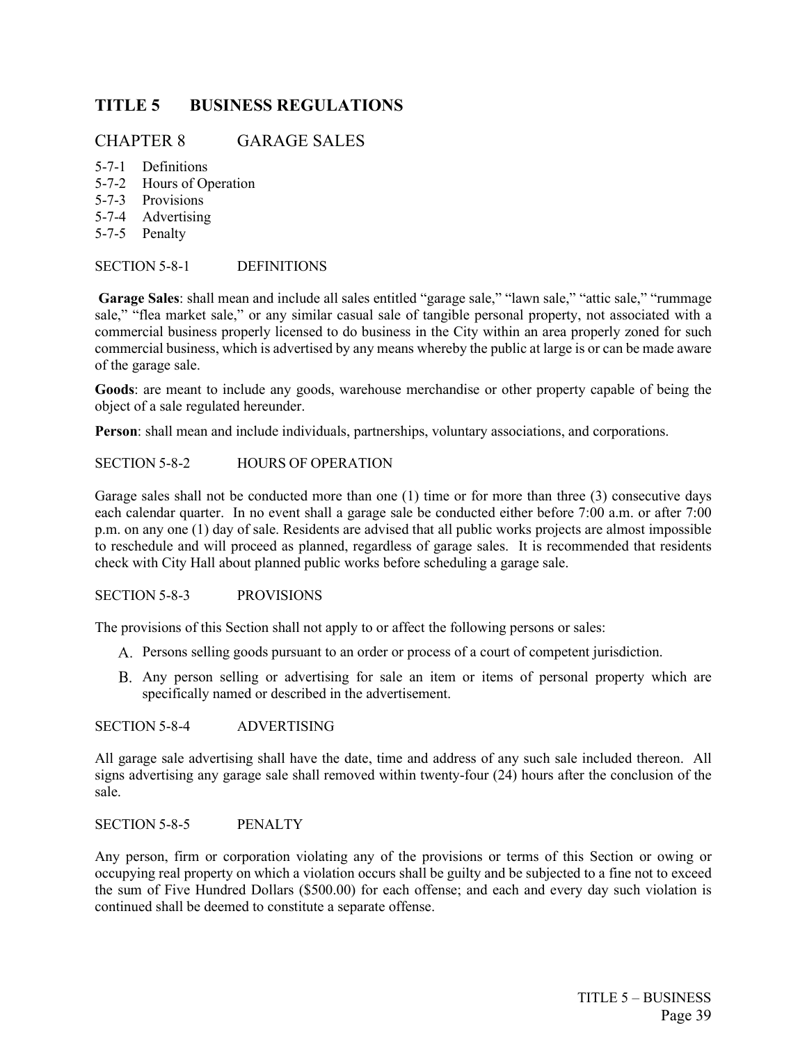# <span id="page-52-0"></span>**TITLE 5 BUSINESS REGULATIONS**

## CHAPTER 8 GARAGE SALES

- 5-7-1 Definitions
- 5-7-2 Hours of Operation
- 5-7-3 Provisions
- 5-7-4 Advertising
- 5-7-5 Penalty

## SECTION 5-8-1 DEFINITIONS

**Garage Sales**: shall mean and include all sales entitled "garage sale," "lawn sale," "attic sale," "rummage sale," "flea market sale," or any similar casual sale of tangible personal property, not associated with a commercial business properly licensed to do business in the City within an area properly zoned for such commercial business, which is advertised by any means whereby the public at large is or can be made aware of the garage sale.

**Goods**: are meant to include any goods, warehouse merchandise or other property capable of being the object of a sale regulated hereunder.

**Person**: shall mean and include individuals, partnerships, voluntary associations, and corporations.

## SECTION 5-8-2 HOURS OF OPERATION

Garage sales shall not be conducted more than one (1) time or for more than three (3) consecutive days each calendar quarter. In no event shall a garage sale be conducted either before 7:00 a.m. or after 7:00 p.m. on any one (1) day of sale. Residents are advised that all public works projects are almost impossible to reschedule and will proceed as planned, regardless of garage sales. It is recommended that residents check with City Hall about planned public works before scheduling a garage sale.

## SECTION 5-8-3 PROVISIONS

The provisions of this Section shall not apply to or affect the following persons or sales:

- Persons selling goods pursuant to an order or process of a court of competent jurisdiction.
- Any person selling or advertising for sale an item or items of personal property which are specifically named or described in the advertisement.

## SECTION 5-8-4 ADVERTISING

All garage sale advertising shall have the date, time and address of any such sale included thereon. All signs advertising any garage sale shall removed within twenty-four (24) hours after the conclusion of the sale.

#### SECTION 5-8-5 PENALTY

Any person, firm or corporation violating any of the provisions or terms of this Section or owing or occupying real property on which a violation occurs shall be guilty and be subjected to a fine not to exceed the sum of Five Hundred Dollars (\$500.00) for each offense; and each and every day such violation is continued shall be deemed to constitute a separate offense.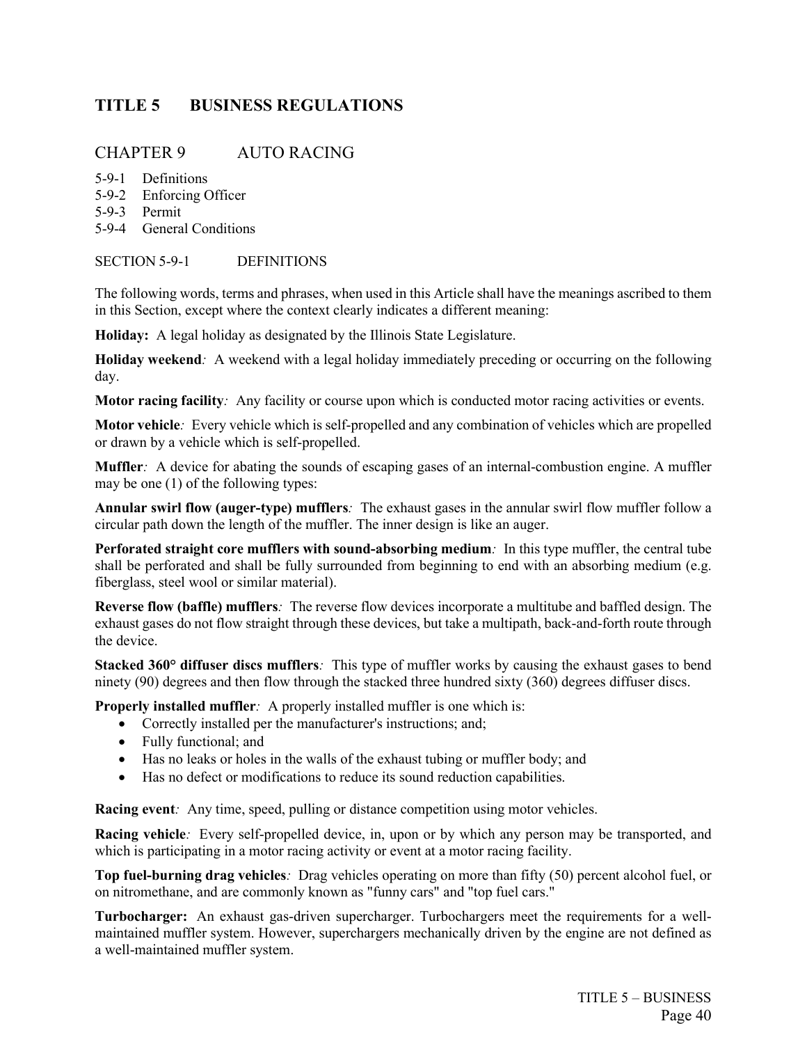# <span id="page-53-0"></span>**TITLE 5 BUSINESS REGULATIONS**

## CHAPTER 9 AUTO RACING

- 5-9-1 Definitions
- 5-9-2 Enforcing Officer
- 5-9-3 Permit
- 5-9-4 General Conditions

## SECTION 5-9-1 DEFINITIONS

The following words, terms and phrases, when used in this Article shall have the meanings ascribed to them in this Section, except where the context clearly indicates a different meaning:

**Holiday:** A legal holiday as designated by the Illinois State Legislature.

**Holiday weekend***:* A weekend with a legal holiday immediately preceding or occurring on the following day.

**Motor racing facility***:* Any facility or course upon which is conducted motor racing activities or events.

**Motor vehicle***:* Every vehicle which is self-propelled and any combination of vehicles which are propelled or drawn by a vehicle which is self-propelled.

**Muffler***:* A device for abating the sounds of escaping gases of an internal-combustion engine. A muffler may be one (1) of the following types:

**Annular swirl flow (auger-type) mufflers***:* The exhaust gases in the annular swirl flow muffler follow a circular path down the length of the muffler. The inner design is like an auger.

**Perforated straight core mufflers with sound-absorbing medium***:* In this type muffler, the central tube shall be perforated and shall be fully surrounded from beginning to end with an absorbing medium (e.g. fiberglass, steel wool or similar material).

**Reverse flow (baffle) mufflers***:* The reverse flow devices incorporate a multitube and baffled design. The exhaust gases do not flow straight through these devices, but take a multipath, back-and-forth route through the device.

**Stacked 360° diffuser discs mufflers***:* This type of muffler works by causing the exhaust gases to bend ninety (90) degrees and then flow through the stacked three hundred sixty (360) degrees diffuser discs.

**Properly installed muffler**: A properly installed muffler is one which is:

- Correctly installed per the manufacturer's instructions; and;
- Fully functional; and
- Has no leaks or holes in the walls of the exhaust tubing or muffler body; and
- Has no defect or modifications to reduce its sound reduction capabilities.

**Racing event***:* Any time, speed, pulling or distance competition using motor vehicles.

**Racing vehicle***:* Every self-propelled device, in, upon or by which any person may be transported, and which is participating in a motor racing activity or event at a motor racing facility.

**Top fuel-burning drag vehicles***:* Drag vehicles operating on more than fifty (50) percent alcohol fuel, or on nitromethane, and are commonly known as "funny cars" and "top fuel cars."

**Turbocharger:** An exhaust gas-driven supercharger. Turbochargers meet the requirements for a wellmaintained muffler system. However, superchargers mechanically driven by the engine are not defined as a well-maintained muffler system.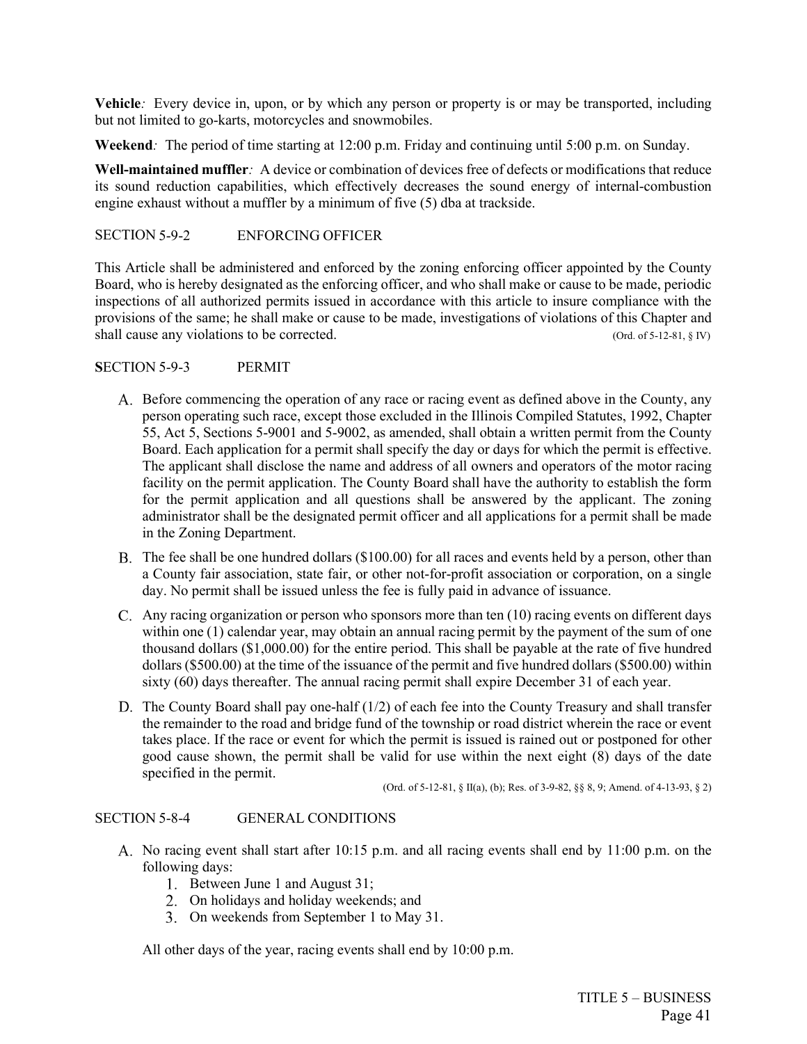**Vehicle***:* Every device in, upon, or by which any person or property is or may be transported, including but not limited to go-karts, motorcycles and snowmobiles.

**Weekend***:* The period of time starting at 12:00 p.m. Friday and continuing until 5:00 p.m. on Sunday.

**Well-maintained muffler***:* A device or combination of devices free of defects or modifications that reduce its sound reduction capabilities, which effectively decreases the sound energy of internal-combustion engine exhaust without a muffler by a minimum of five (5) dba at trackside.

## SECTION 5-9-2 ENFORCING OFFICER

This Article shall be administered and enforced by the zoning enforcing officer appointed by the County Board, who is hereby designated as the enforcing officer, and who shall make or cause to be made, periodic inspections of all authorized permits issued in accordance with this article to insure compliance with the provisions of the same; he shall make or cause to be made, investigations of violations of this Chapter and shall cause any violations to be corrected. (Ord. of 5-12-81, § IV)

## **S**ECTION 5-9-3 PERMIT

- A. Before commencing the operation of any race or racing event as defined above in the County, any person operating such race, except those excluded in the Illinois Compiled Statutes, 1992, Chapter 55, Act 5, Sections 5-9001 and 5-9002, as amended, shall obtain a written permit from the County Board. Each application for a permit shall specify the day or days for which the permit is effective. The applicant shall disclose the name and address of all owners and operators of the motor racing facility on the permit application. The County Board shall have the authority to establish the form for the permit application and all questions shall be answered by the applicant. The zoning administrator shall be the designated permit officer and all applications for a permit shall be made in the Zoning Department.
- The fee shall be one hundred dollars (\$100.00) for all races and events held by a person, other than a County fair association, state fair, or other not-for-profit association or corporation, on a single day. No permit shall be issued unless the fee is fully paid in advance of issuance.
- Any racing organization or person who sponsors more than ten (10) racing events on different days within one (1) calendar year, may obtain an annual racing permit by the payment of the sum of one thousand dollars (\$1,000.00) for the entire period. This shall be payable at the rate of five hundred dollars (\$500.00) at the time of the issuance of the permit and five hundred dollars (\$500.00) within sixty (60) days thereafter. The annual racing permit shall expire December 31 of each year.
- D. The County Board shall pay one-half  $(1/2)$  of each fee into the County Treasury and shall transfer the remainder to the road and bridge fund of the township or road district wherein the race or event takes place. If the race or event for which the permit is issued is rained out or postponed for other good cause shown, the permit shall be valid for use within the next eight  $(\hat{8})$  days of the date specified in the permit.

(Ord. of 5-12-81, § II(a), (b); Res. of 3-9-82, §§ 8, 9; Amend. of 4-13-93, § 2)

## SECTION 5-8-4 GENERAL CONDITIONS

- A. No racing event shall start after 10:15 p.m. and all racing events shall end by 11:00 p.m. on the following days:
	- 1. Between June 1 and August 31;
	- On holidays and holiday weekends; and
	- On weekends from September 1 to May 31.

All other days of the year, racing events shall end by 10:00 p.m.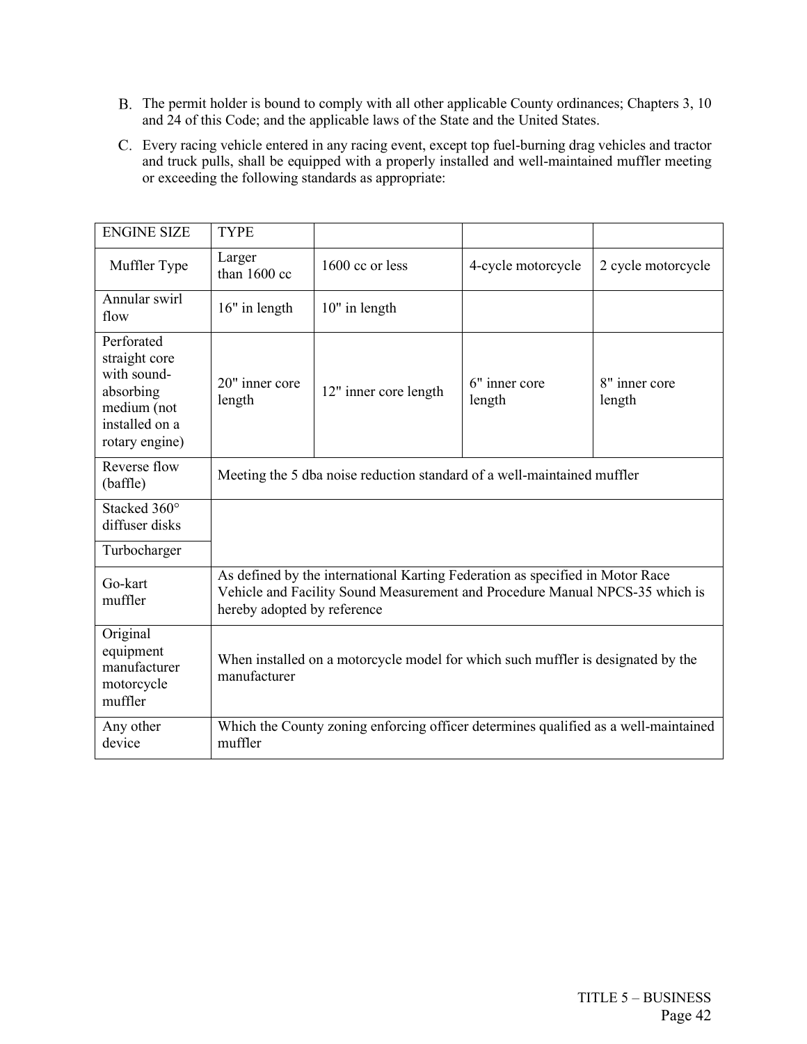- The permit holder is bound to comply with all other applicable County ordinances; Chapters 3, 10 and 24 of this Code; and the applicable laws of the State and the United States.
- Every racing vehicle entered in any racing event, except top fuel-burning drag vehicles and tractor and truck pulls, shall be equipped with a properly installed and well-maintained muffler meeting or exceeding the following standards as appropriate:

| <b>ENGINE SIZE</b>                                                                                         | <b>TYPE</b>                                                                                                                                                                                  |                       |                         |                         |  |
|------------------------------------------------------------------------------------------------------------|----------------------------------------------------------------------------------------------------------------------------------------------------------------------------------------------|-----------------------|-------------------------|-------------------------|--|
| Muffler Type                                                                                               | Larger<br>than $1600$ cc                                                                                                                                                                     | 1600 cc or less       | 4-cycle motorcycle      | 2 cycle motorcycle      |  |
| Annular swirl<br>flow                                                                                      | 16" in length                                                                                                                                                                                | 10" in length         |                         |                         |  |
| Perforated<br>straight core<br>with sound-<br>absorbing<br>medium (not<br>installed on a<br>rotary engine) | 20" inner core<br>length                                                                                                                                                                     | 12" inner core length | 6" inner core<br>length | 8" inner core<br>length |  |
| Reverse flow<br>(baffle)                                                                                   | Meeting the 5 dba noise reduction standard of a well-maintained muffler                                                                                                                      |                       |                         |                         |  |
| Stacked 360°<br>diffuser disks                                                                             |                                                                                                                                                                                              |                       |                         |                         |  |
| Turbocharger                                                                                               |                                                                                                                                                                                              |                       |                         |                         |  |
| Go-kart<br>muffler                                                                                         | As defined by the international Karting Federation as specified in Motor Race<br>Vehicle and Facility Sound Measurement and Procedure Manual NPCS-35 which is<br>hereby adopted by reference |                       |                         |                         |  |
| Original<br>equipment<br>manufacturer<br>motorcycle<br>muffler                                             | When installed on a motorcycle model for which such muffler is designated by the<br>manufacturer                                                                                             |                       |                         |                         |  |
| Any other<br>device                                                                                        | Which the County zoning enforcing officer determines qualified as a well-maintained<br>muffler                                                                                               |                       |                         |                         |  |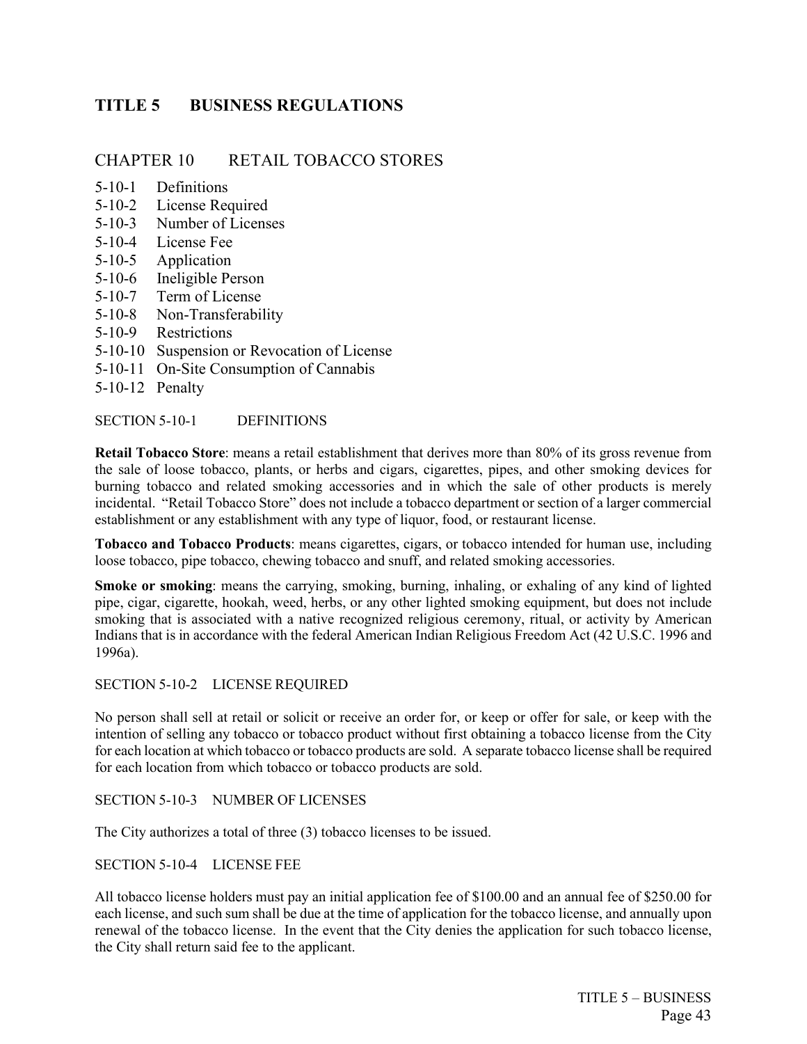## <span id="page-56-0"></span>**TITLE 5 BUSINESS REGULATIONS**

## CHAPTER 10 RETAIL TOBACCO STORES

- 5-10-1 Definitions
- 5-10-2 License Required
- 5-10-3 Number of Licenses
- 5-10-4 License Fee
- 5-10-5 Application
- 5-10-6 Ineligible Person
- 5-10-7 Term of License
- 5-10-8 Non-Transferability
- 5-10-9 Restrictions
- 5-10-10 Suspension or Revocation of License
- 5-10-11 On-Site Consumption of Cannabis
- 5-10-12 Penalty

SECTION 5-10-1 DEFINITIONS

**Retail Tobacco Store**: means a retail establishment that derives more than 80% of its gross revenue from the sale of loose tobacco, plants, or herbs and cigars, cigarettes, pipes, and other smoking devices for burning tobacco and related smoking accessories and in which the sale of other products is merely incidental. "Retail Tobacco Store" does not include a tobacco department or section of a larger commercial establishment or any establishment with any type of liquor, food, or restaurant license.

**Tobacco and Tobacco Products**: means cigarettes, cigars, or tobacco intended for human use, including loose tobacco, pipe tobacco, chewing tobacco and snuff, and related smoking accessories.

**Smoke or smoking**: means the carrying, smoking, burning, inhaling, or exhaling of any kind of lighted pipe, cigar, cigarette, hookah, weed, herbs, or any other lighted smoking equipment, but does not include smoking that is associated with a native recognized religious ceremony, ritual, or activity by American Indians that is in accordance with the federal American Indian Religious Freedom Act (42 U.S.C. 1996 and 1996a).

## SECTION 5-10-2 LICENSE REQUIRED

No person shall sell at retail or solicit or receive an order for, or keep or offer for sale, or keep with the intention of selling any tobacco or tobacco product without first obtaining a tobacco license from the City for each location at which tobacco or tobacco products are sold. A separate tobacco license shall be required for each location from which tobacco or tobacco products are sold.

## SECTION 5-10-3 NUMBER OF LICENSES

The City authorizes a total of three (3) tobacco licenses to be issued.

#### SECTION 5-10-4 LICENSE FEE

All tobacco license holders must pay an initial application fee of \$100.00 and an annual fee of \$250.00 for each license, and such sum shall be due at the time of application for the tobacco license, and annually upon renewal of the tobacco license. In the event that the City denies the application for such tobacco license, the City shall return said fee to the applicant.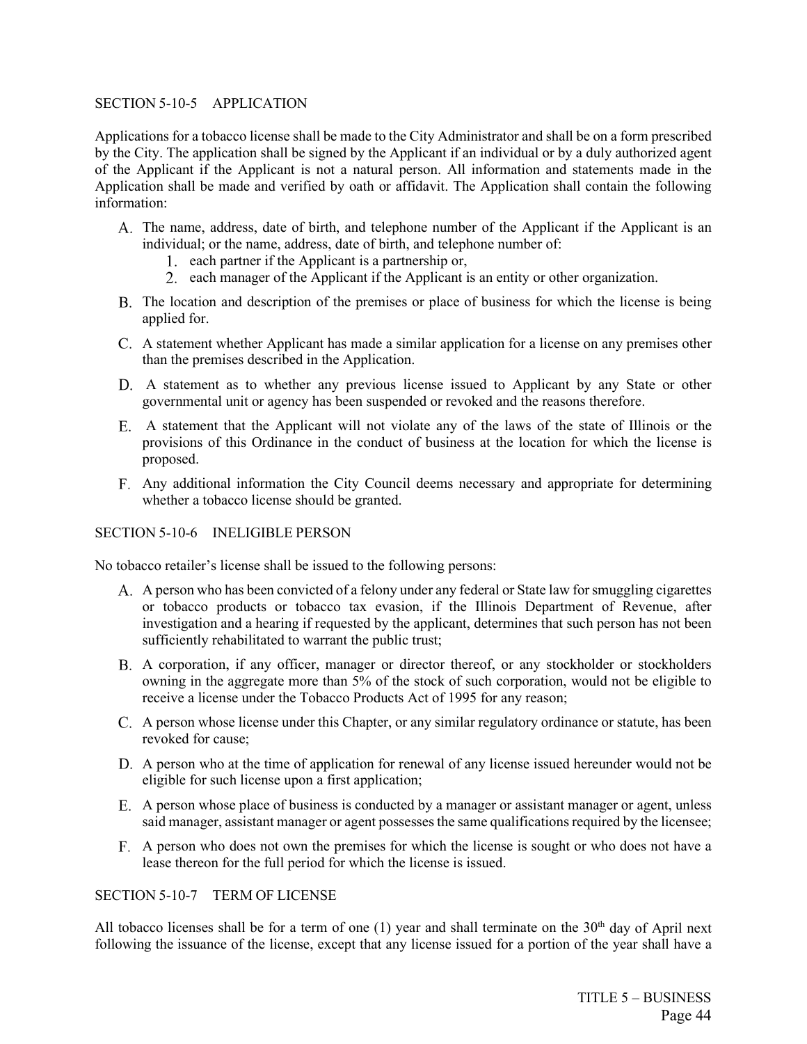## SECTION 5-10-5 APPLICATION

Applications for a tobacco license shall be made to the City Administrator and shall be on a form prescribed by the City. The application shall be signed by the Applicant if an individual or by a duly authorized agent of the Applicant if the Applicant is not a natural person. All information and statements made in the Application shall be made and verified by oath or affidavit. The Application shall contain the following information:

- The name, address, date of birth, and telephone number of the Applicant if the Applicant is an individual; or the name, address, date of birth, and telephone number of:
	- 1. each partner if the Applicant is a partnership or,
	- 2. each manager of the Applicant if the Applicant is an entity or other organization.
- The location and description of the premises or place of business for which the license is being applied for.
- A statement whether Applicant has made a similar application for a license on any premises other than the premises described in the Application.
- A statement as to whether any previous license issued to Applicant by any State or other governmental unit or agency has been suspended or revoked and the reasons therefore.
- A statement that the Applicant will not violate any of the laws of the state of Illinois or the provisions of this Ordinance in the conduct of business at the location for which the license is proposed.
- Any additional information the City Council deems necessary and appropriate for determining whether a tobacco license should be granted.

## SECTION 5-10-6 INELIGIBLE PERSON

No tobacco retailer's license shall be issued to the following persons:

- A. A person who has been convicted of a felony under any federal or State law for smuggling cigarettes or tobacco products or tobacco tax evasion, if the Illinois Department of Revenue, after investigation and a hearing if requested by the applicant, determines that such person has not been sufficiently rehabilitated to warrant the public trust;
- A corporation, if any officer, manager or director thereof, or any stockholder or stockholders owning in the aggregate more than 5% of the stock of such corporation, would not be eligible to receive a license under the Tobacco Products Act of 1995 for any reason;
- A person whose license under this Chapter, or any similar regulatory ordinance or statute, has been revoked for cause;
- A person who at the time of application for renewal of any license issued hereunder would not be eligible for such license upon a first application;
- A person whose place of business is conducted by a manager or assistant manager or agent, unless said manager, assistant manager or agent possesses the same qualifications required by the licensee;
- A person who does not own the premises for which the license is sought or who does not have a lease thereon for the full period for which the license is issued.

## SECTION 5-10-7 TERM OF LICENSE

All tobacco licenses shall be for a term of one  $(1)$  year and shall terminate on the 30<sup>th</sup> day of April next following the issuance of the license, except that any license issued for a portion of the year shall have a